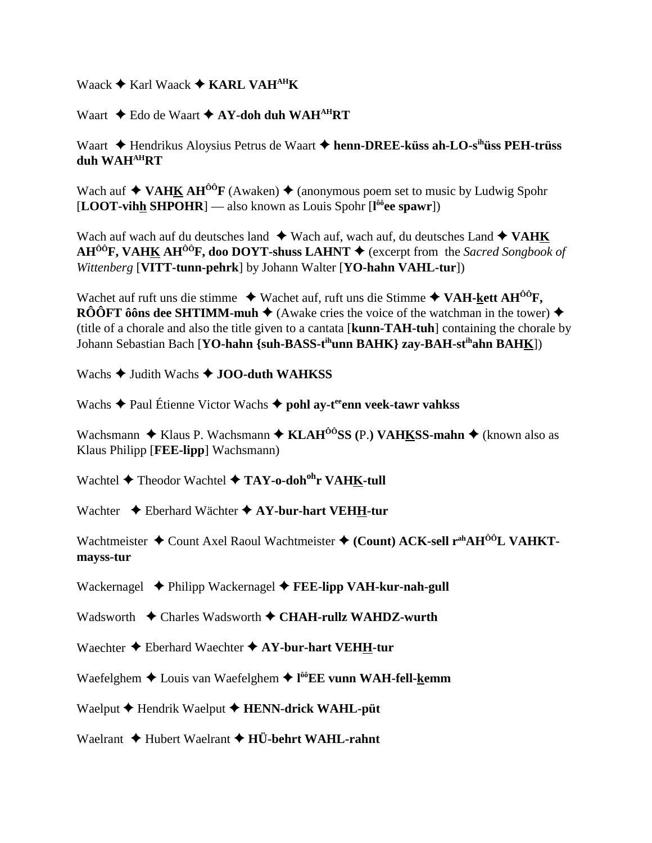Waack  $\triangle$  Karl Waack  $\triangle$  KARL VAH<sup>AH</sup>K

Waart  $\triangle$  Edo de Waart  $\triangle$  AY-doh duh WAH<sup>AH</sup>RT

Waart → Hendrikus Aloysius Petrus de Waart → henn-DREE-küss ah-LO-s<sup>ih</sup>üss PEH-trüss duh WAH<sup>AH</sup>RT

Wach auf  $\triangle$  VAHK AH<sup> $\hat{o}$ O F (Awaken)  $\triangle$  (anonymous poem set to music by Ludwig Spohr</sup> [LOOT-vihh SHPOHR] — also known as Louis Spohr  $[1<sup>ôô</sup>ee$  spawr])

Wach auf wach auf du deutsches land  $\triangleq$  Wach auf, wach auf, du deutsches Land  $\triangleq$  VAHK  $AH^{00}F$ , VAHK AH<sup>00</sup>F, doo DOYT-shuss LAHNT  $\blacklozenge$  (excerpt from the Sacred Songbook of Wittenberg [VITT-tunn-pehrk] by Johann Walter [YO-hahn VAHL-tur])

Wachet auf ruft uns die stimme  $\blacklozenge$  Wachet auf, ruft uns die Stimme  $\blacklozenge$  VAH-kett AH<sup>00</sup>F. **RÔÔFT ôôns dee SHTIMM-muh**  $\blacklozenge$  (Awake cries the voice of the watchman in the tower)  $\blacklozenge$ (title of a chorale and also the title given to a cantata [kunn-TAH-tuh] containing the chorale by Johann Sebastian Bach [YO-hahn {suh-BASS-t<sup>ih</sup>unn BAHK} zay-BAH-st<sup>ih</sup>ahn BAHK])

Wachs  $\triangle$  Judith Wachs  $\triangle$  JOO-duth WAHKSS

Wachs  $\triangle$  Paul Étienne Victor Wachs  $\triangle$  pohl ay-t<sup>ee</sup> enn veek-tawr vahkss

Wachsmann  $\triangle$  Klaus P. Wachsmann  $\triangle$  KLAH<sup> $\hat{O}$ o<sup>o</sup>SS (P.) VAHKSS-mahn  $\triangle$  (known also as</sup> Klaus Philipp [FEE-lipp] Wachsmann)

Wachtel  $\blacklozenge$  Theodor Wachtel  $\blacklozenge$  TAY-o-doh<sup>oh</sup>r VAHK-tull

Wachter  $\triangle$  Eberhard Wächter  $\triangle$  AY-bur-hart VEHH-tur

Wachtmeister ◆ Count Axel Raoul Wachtmeister ◆ (Count) ACK-sell r<sup>ah</sup>AH<sup>ôô</sup>L VAHKTmayss-tur

Wackernagel  $\triangle$  Philipp Wackernagel  $\triangle$  FEE-lipp VAH-kur-nah-gull

Wadsworth  $\triangle$  Charles Wadsworth  $\triangle$  CHAH-rullz WAHDZ-wurth

Waechter  $\blacklozenge$  Eberhard Waechter  $\blacklozenge$  AY-bur-hart VEHH-tur

Waefelghem  $\triangle$  Louis van Waefelghem  $\triangle$  l<sup>oo</sup>EE vunn WAH-fell-kemm

Waelput  $\blacklozenge$  Hendrik Waelput  $\blacklozenge$  HENN-drick WAHL-püt

Waelrant  $\blacklozenge$  Hubert Waelrant  $\blacklozenge$  HÜ-behrt WAHL-rahnt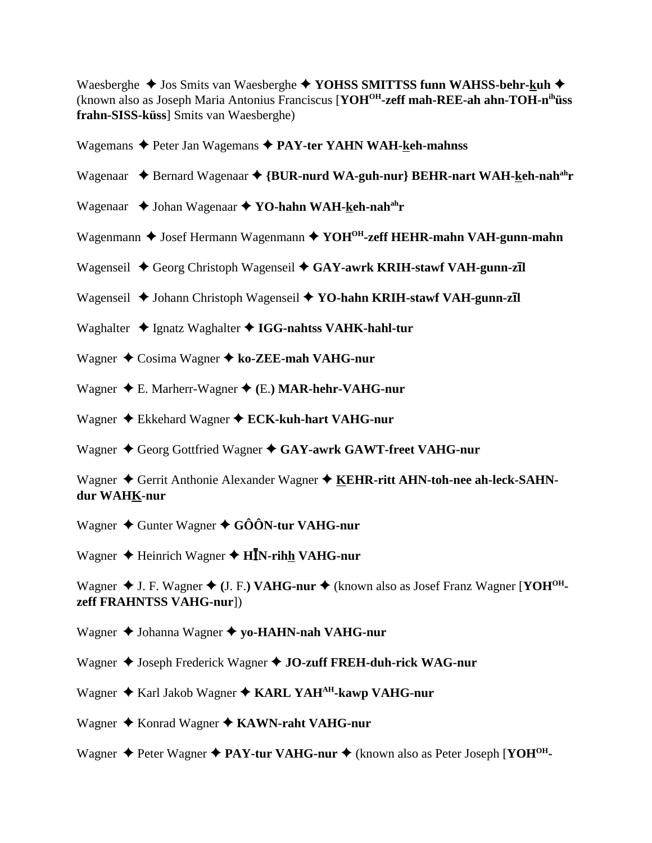Waesberghe  $\triangle$  Jos Smits van Waesberghe  $\triangle$  YOHSS SMITTSS funn WAHSS-behr-kuh  $\triangle$ (known also as Joseph Maria Antonius Franciscus [**YOHOH-zeff mah-REE-ah ahn-TOH-nihüss frahn-SISS-küss**] Smits van Waesberghe)

Wagemans ◆ Peter Jan Wagemans ◆ PAY-ter YAHN WAH-keh-mahnss

- Wagenaar  $\rightarrow$  Bernard Wagenaar  $\rightarrow$  {BUR-nurd WA-guh-nur} BEHR-nart WAH-keh-nah<sup>ah</sup>r
- Wagenaar  $\rightarrow$  Johan Wagenaar  $\rightarrow$  YO-hahn WAH-keh-nah<sup>ah</sup>r
- Wagenmann  $\triangle$  Josef Hermann Wagenmann  $\triangle$  YOH<sup>OH</sup>-zeff HEHR-mahn VAH-gunn-mahn
- Wagenseil ◆ Georg Christoph Wagenseil ◆ GAY-awrk KRIH-stawf VAH-gunn-z**īl**
- Wagenseil ◆ Johann Christoph Wagenseil ◆ YO-hahn KRIH-stawf VAH-gunn-z**īl**
- Waghalter  $\triangleq$  Ignatz Waghalter  $\triangleq$  **IGG-nahtss VAHK-hahl-tur**
- Wagner **→** Cosima Wagner → ko-ZEE-mah VAHG-nur
- Wagner E. Marherr-Wagner **(**E.**) MAR-hehr-VAHG-nur**
- Wagner ◆ Ekkehard Wagner ◆ **ECK-kuh-hart VAHG-nur**
- Wagner  $\triangle$  Georg Gottfried Wagner  $\triangle$  GAY-awrk GAWT-freet VAHG-nur

Wagner  $\triangle$  Gerrit Anthonie Alexander Wagner  $\triangle$  KEHR-ritt AHN-toh-nee ah-leck-SAHN**dur WAHK-nur**

Wagner **→** Gunter Wagner ◆ GÔÔN-tur VAHG-nur

Wagner ◆ Heinrich Wagner ◆ H**ĪN-rih<u>h</u> VAHG-nur** 

Wagner ◆ J. F. Wagner ◆ (J. F.) VAHG-nur ◆ (known also as Josef Franz Wagner [YOH<sup>OH</sup>**zeff FRAHNTSS VAHG-nur**])

- Wagner **→** Johanna Wagner ◆ yo-HAHN-nah VAHG-nur
- Wagner  $\triangle$  Joseph Frederick Wagner  $\triangle$  JO-zuff FREH-duh-rick WAG-nur
- Wagner ◆ Karl Jakob Wagner ◆ KARL YAH<sup>AH</sup>-kawp VAHG-nur
- Wagner ◆ Konrad Wagner ◆ KAWN-raht VAHG-nur
- Wagner  $\triangle$  Peter Wagner  $\triangle$  **PAY-tur VAHG-nur**  $\triangle$  (known also as Peter Joseph [**YOH<sup>OH</sup>-**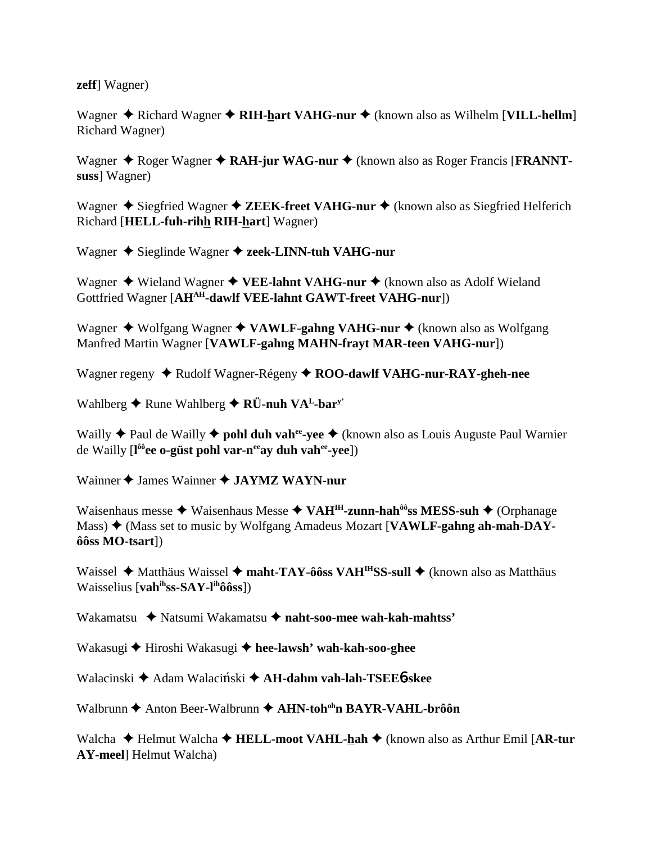zeff] Wagner)

Wagner  $\triangle$  Richard Wagner  $\triangle$  RIH-hart VAHG-nur  $\triangle$  (known also as Wilhelm [VILL-hellm] **Richard Wagner**)

Wagner  $\triangle$  Roger Wagner  $\triangle$  RAH-jur WAG-nur  $\triangle$  (known also as Roger Francis [FRANNTsuss] Wagner)

Wagner  $\triangle$  Siegfried Wagner  $\triangle$  ZEEK-freet VAHG-nur  $\triangle$  (known also as Siegfried Helferich Richard [HELL-fuh-rihh RIH-hart] Wagner)

Wagner  $\triangle$  Sieglinde Wagner  $\triangle$  zeek-LINN-tuh VAHG-nur

Wagner  $\triangle$  Wieland Wagner  $\triangle$  VEE-lahnt VAHG-nur  $\triangle$  (known also as Adolf Wieland Gottfried Wagner [AHAH-dawlf VEE-lahnt GAWT-freet VAHG-nur])

Wagner  $\triangle$  Wolfgang Wagner  $\triangle$  VAWLF-gahng VAHG-nur  $\triangle$  (known also as Wolfgang Manfred Martin Wagner [VAWLF-gahng MAHN-frayt MAR-teen VAHG-nur])

Wagner regeny ◆ Rudolf Wagner-Régeny ◆ ROO-dawlf VAHG-nur-RAY-gheh-nee

Wahlberg  $\blacklozenge$  Rune Wahlberg  $\blacklozenge$  RÜ-nuh VA<sup>L</sup>-bar<sup>y</sup>

Wailly  $\triangle$  Paul de Wailly  $\triangle$  pohl duh vah<sup>ee</sup>-vee  $\triangle$  (known also as Louis Auguste Paul Warnier de Wailly [l<sup>ôô</sup>ee o-güst pohl var-n<sup>ee</sup>ay duh vah<sup>ee</sup>-yee])

Wainner St James Wainner St JAYMZ WAYN-nur

Waisenhaus messe  $\triangleq$  Waisenhaus Messe  $\triangleq$  VAH<sup>IH</sup>-zunn-hah<sup>ôô</sup>ss MESS-suh  $\triangleq$  (Orphanage Mass) Net (Mass set to music by Wolfgang Amadeus Mozart [VAWLF-gahng ah-mah-DAY- $\hat{\text{o}}$ ôss MO-tsart])

Waissel  $\triangle$  Matthäus Waissel  $\triangle$  maht-TAY-ôôss VAH<sup>IH</sup>SS-sull  $\triangle$  (known also as Matthäus Waisselius [ $vah<sup>ih</sup>ss-SAY-I<sup>ih</sup>ôôss$ ])

Wakamatsu ◆ Natsumi Wakamatsu ◆ naht-soo-mee wah-kah-mahtss'

Wakasugi ← Hiroshi Wakasugi ← hee-lawsh' wah-kah-soo-ghee

Walacinski ◆ Adam Walaciński ◆ AH-dahm vah-lah-TSEE6-skee

Walbrunn ◆ Anton Beer-Walbrunn ◆ AHN-toh<sup>oh</sup>n BAYR-VAHL-brôôn

Walcha  $\blacklozenge$  Helmut Walcha  $\blacklozenge$  HELL-moot VAHL-hah  $\blacklozenge$  (known also as Arthur Emil [AR-tur] **AY-meel** Helmut Walcha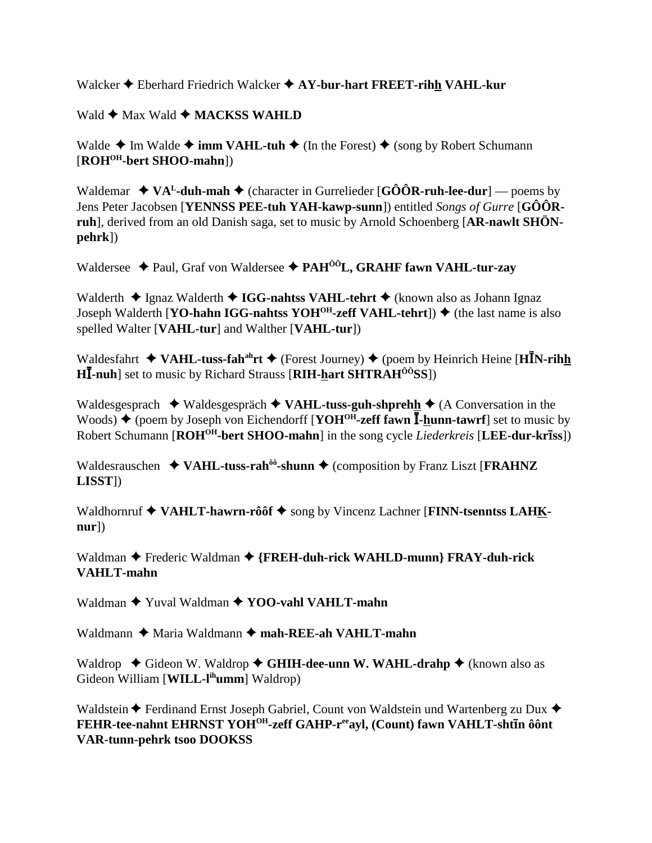Walcker  $\triangle$  Eberhard Friedrich Walcker  $\triangle$  AY-bur-hart FREET-rihh VAHL-kur

Wald **← Max Wald ← MACKSS WAHLD** 

Walde  $\triangle$  Im Walde  $\triangle$  **imm VAHL-tuh**  $\triangle$  (In the Forest)  $\triangle$  (song by Robert Schumann [**ROHOH-bert SHOO-mahn**])

Waldemar  $\rightarrow VA<sup>L</sup>$ -duh-mah  $\rightarrow$  (character in Gurrelieder [GÔÔR-ruh-lee-dur] — poems by Jens Peter Jacobsen [**YENNSS PEE-tuh YAH-kawp-sunn**]) entitled *Songs of Gurre* [**GÔÔRruh**], derived from an old Danish saga, set to music by Arnold Schoenberg [**AR-nawlt SHÖNpehrk**])

Waldersee **→** Paul, Graf von Waldersee → PAH<sup>ÔÔ</sup>L, GRAHF fawn VAHL-tur-zay

Walderth **→** Ignaz Walderth ◆ IGG-nahtss VAHL-tehrt ◆ (known also as Johann Ignaz Joseph Walderth [**YO-hahn IGG-nahtss YOH<sup>OH</sup>-zeff VAHL-tehrt**])  $\blacklozenge$  (the last name is also spelled Walter [**VAHL-tur**] and Walther [**VAHL-tur**])

Waldesfahrt ◆ VAHL-tuss-fah<sup>ah</sup>rt ◆ (Forest Journey) ◆ (poem by Heinrich Heine [H**I**N-rihh **H**-**-nuh**] set to music by Richard Strauss [**RIH-hart SHTRAHÔÔSS**])

Waldesgesprach  $\triangleleft$  Waldesgespräch  $\triangleleft$  VAHL-tuss-guh-shprehh  $\triangleleft$  (A Conversation in the Woods) ♦ (poem by Joseph von Eichendorff [**YOH<sup>OH</sup>-zeff fawn**  $\overline{I}$ -**hunn-tawrf**] set to music by Robert Schumann [**ROHOH-bert SHOO-mahn**] in the song cycle *Liederkreis* [**LEE-dur-krss**])

Waldesrauschen  $\triangleleft$  VAHL-tuss-rah<sup> $\delta \delta$ </sup>-shunn  $\triangleq$  (composition by Franz Liszt [**FRAHNZ LISST**])

Waldhornruf  $\blacklozenge$  VAHLT-hawrn-rôôf  $\blacklozenge$  song by Vincenz Lachner [FINN-tsenntss LAHK**nur**])

Waldman  $\triangle$  Frederic Waldman  $\triangle$  {FREH-duh-rick WAHLD-munn} FRAY-duh-rick **VAHLT-mahn**

Waldman  $\blacklozenge$  Yuval Waldman  $\blacklozenge$  YOO-vahl VAHLT-mahn

Waldmann  $\triangle$  Maria Waldmann  $\triangle$  mah-REE-ah VAHLT-mahn

Waldrop **→** Gideon W. Waldrop → GHIH-dee-unn W. WAHL-drahp → (known also as Gideon William [**WILL-lihumm**] Waldrop)

Waldstein  $\blacklozenge$  Ferdinand Ernst Joseph Gabriel, Count von Waldstein und Wartenberg zu Dux  $\blacklozenge$ **FEHR-tee-nahnt EHRNST YOHOH-zeff GAHP-reeayl, (Count) fawn VAHLT-shtn ôônt VAR-tunn-pehrk tsoo DOOKSS**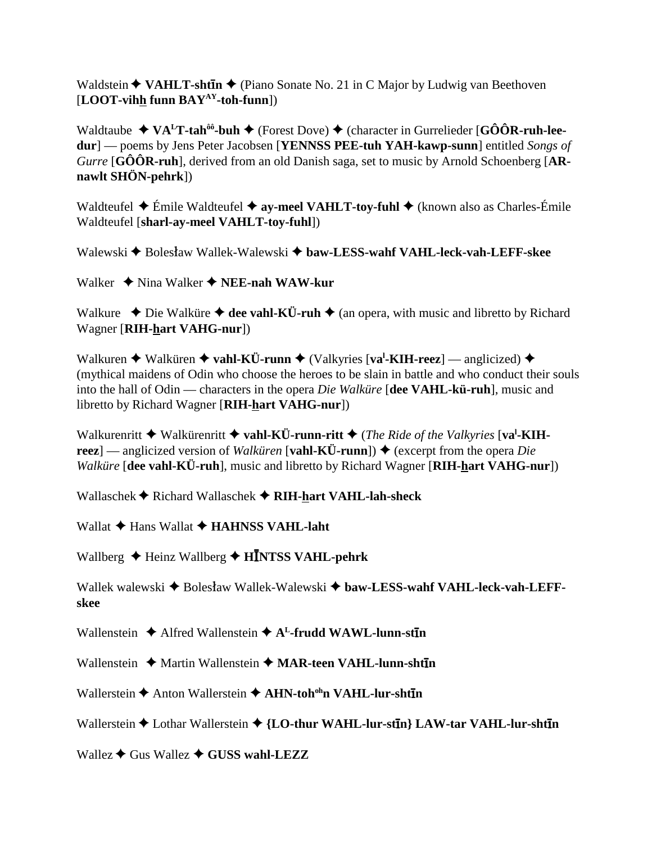Waldstein **◆ VAHLT-sht<del>I</del>n ◆** (Piano Sonate No. 21 in C Major by Ludwig van Beethoven [**LOOT-vihh funn BAYAY-toh-funn**])

Waldtaube  $\blacklozenge \mathbf{VA}^L \mathbf{T}$ -tah<sup>ôô</sup>-buh  $\blacklozenge$  (Forest Dove)  $\blacklozenge$  (character in Gurrelieder [GÔÔR-ruh-lee**dur**] — poems by Jens Peter Jacobsen [**YENNSS PEE-tuh YAH-kawp-sunn**] entitled *Songs of Gurre* [**GÔÔR-ruh**], derived from an old Danish saga, set to music by Arnold Schoenberg [**ARnawlt SHÖN-pehrk**])

Waldteufel **→** Émile Waldteufel **→ ay-meel VAHLT-toy-fuhl →** (known also as Charles-Émile Waldteufel [**sharl-ay-meel VAHLT-toy-fuhl**])

Walewski **+** Bolesław Wallek-Walewski + baw-LESS-wahf VAHL-leck-vah-LEFF-skee

Walker ◆ Nina Walker ◆ **NEE-nah WAW-kur** 

Walkure  $\rightarrow$  Die Walküre  $\rightarrow$  dee vahl-KÜ-ruh  $\rightarrow$  (an opera, with music and libretto by Richard Wagner [**RIH-hart VAHG-nur**])

Walkuren ◆ Walküren ◆ vahl-KÜ-runn ◆ (Valkyries [va<sup>l</sup>-KIH-reez] — anglicized) ◆ (mythical maidens of Odin who choose the heroes to be slain in battle and who conduct their souls into the hall of Odin — characters in the opera *Die Walküre* [**dee VAHL-kü-ruh**], music and libretto by Richard Wagner [**RIH-hart VAHG-nur**])

Walkurenritt  $\triangle$  Walkürenritt  $\triangle$  vahl-KÜ-runn-ritt  $\triangle$  (*The Ride of the Valkyries* [va<sup>l</sup>-KIH**reez**] — anglicized version of *Walküren* [**vahl-KÜ-runn**])  $\triangle$  (excerpt from the opera *Die Walküre* [**dee vahl-KÜ-ruh**], music and libretto by Richard Wagner [**RIH-hart VAHG-nur**])

Wallaschek **↑** Richard Wallaschek **↑ RIH-hart VAHL-lah-sheck** 

Wallat  $\triangle$  Hans Wallat  $\triangle$  **HAHNSS VAHL-laht** 

Wallberg ◆ Heinz Wallberg ◆ H**INTSS VAHL-pehrk** 

Wallek walewski **+** Bolesław Wallek-Walewski + baw-LESS-wahf VAHL-leck-vah-LEFF**skee**

Wallenstein ◆ Alfred Wallenstein ◆ A<sup>L</sup>-frudd WAWL-lunn-st**In** 

Wallenstein ◆ Martin Wallenstein ◆ MAR-teen VAHL-lunn-sht**tn** 

Wallerstein **→** Anton Wallerstein **→ AHN-toh<sup>oh</sup>n VAHL-lur-sht<del>I</del>n** 

Wallerstein  $\triangle$  Lothar Wallerstein  $\triangle$  {LO-thur WAHL-lur-st**In**} LAW-tar VAHL-lur-shtIn

Wallez  $\triangle$  Gus Wallez  $\triangle$  GUSS wahl-LEZZ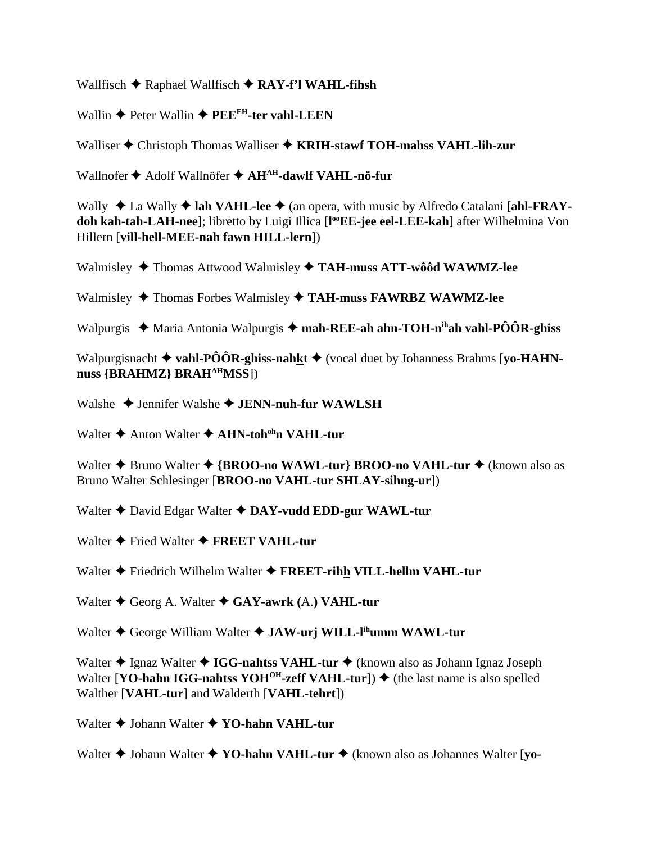Wallfisch **→** Raphael Wallfisch ◆ RAY-f'l WAHL-fihsh

Wallin  $\triangle$  Peter Wallin  $\triangle$  PEE<sup>EH</sup>-ter vahl-LEEN

Walliser  $\triangle$  Christoph Thomas Walliser  $\triangle$  **KRIH-stawf TOH-mahss VAHL-lih-zur** 

Wallnofer **◆** Adolf Wallnöfer ◆ AH<sup>AH</sup>-dawlf VAHL-nö-fur

Wally ◆ La Wally ◆ lah VAHL-lee ◆ (an opera, with music by Alfredo Catalani [ahl-FRAY**doh kah-tah-LAH-nee**]; libretto by Luigi Illica [**l ooEE-jee eel-LEE-kah**] after Wilhelmina Von Hillern [**vill-hell-MEE-nah fawn HILL-lern**])

Walmisley Thomas Attwood Walmisley **TAH-muss ATT-wôôd WAWMZ-lee**

Walmisley  $\blacklozenge$  Thomas Forbes Walmisley  $\blacklozenge$  TAH-muss FAWRBZ WAWMZ-lee

Walpurgis  $\blacklozenge$  Maria Antonia Walpurgis  $\blacklozenge$  **mah-REE-ah ahn-TOH-n<sup>ih</sup>ah vahl-PÔÔR-ghiss** 

Walpurgisnacht **vahl-PÔÔR-ghiss-nahkt** (vocal duet by Johanness Brahms [**yo-HAHN**nuss {BRAHMZ} BRAH<sup>AH</sup>MSS])

Walshe  $\triangle$  Jennifer Walshe  $\triangle$  **JENN-nuh-fur WAWLSH** 

Walter **→** Anton Walter **→ AHN-toh<sup>oh</sup>n VAHL-tur** 

Walter **◆** Bruno Walter ◆ {BROO-no WAWL-tur} BROO-no VAHL-tur ◆ (known also as Bruno Walter Schlesinger [**BROO-no VAHL-tur SHLAY-sihng-ur**])

Walter  $\triangle$  David Edgar Walter  $\triangle$  DAY-vudd EDD-gur WAWL-tur

Walter  $\triangle$  Fried Walter  $\triangle$  **FREET VAHL-tur** 

Walter Friedrich Wilhelm Walter **FREET-rihh VILL-hellm VAHL-tur**

Walter ◆ Georg A. Walter ◆ GAY-awrk (A.) VAHL-tur

Walter  $\triangle$  George William Walter  $\triangle$  **JAW-urj WILL-l<sup>ih</sup>umm WAWL-tur** 

Walter **◆ Ignaz Walter ◆ IGG-nahtss VAHL-tur ◆** (known also as Johann Ignaz Joseph Walter [**YO-hahn IGG-nahtss YOH<sup>OH</sup>-zeff VAHL-tur**])  $\blacklozenge$  (the last name is also spelled Walther [**VAHL-tur**] and Walderth [**VAHL-tehrt**])

Walter  $\triangle$  Johann Walter  $\triangle$  YO-hahn VAHL-tur

Walter **◆ Johann Walter ◆ YO-hahn VAHL-tur ◆** (known also as Johannes Walter [yo-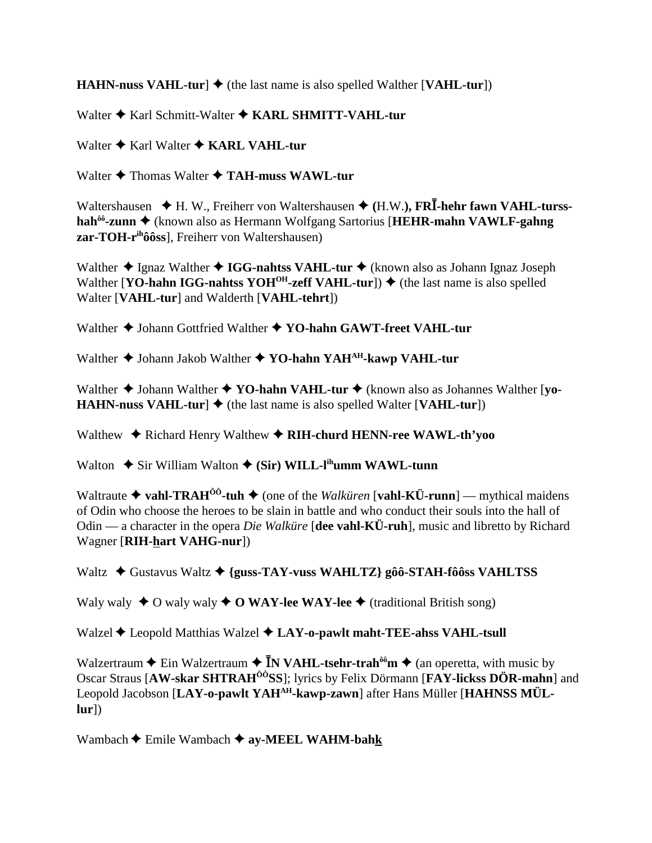**HAHN-nuss VAHL-tur]**  $\blacklozenge$  (the last name is also spelled Walther [VAHL-tur])

Walter ♦ Karl Schmitt-Walter ♦ KARL SHMITT-VAHL-tur

Walter  $\triangle$  Karl Walter  $\triangle$  KARL VAHL-tur

Walter  $\triangle$  Thomas Walter  $\triangle$  TAH-muss WAWL-tur

Waltershausen  $\blacklozenge$  H. W., Freiherr von Waltershausen  $\blacklozenge$  (H.W.), FRI-hehr fawn VAHL-tursshah<sup>ôô</sup>-zunn ♦ (known also as Hermann Wolfgang Sartorius [HEHR-mahn VAWLF-gahng zar-TOH-r<sup>ih</sup>ôôss], Freiherr von Waltershausen)

Walther  $\triangle$  Ignaz Walther  $\triangle$  IGG-nahtss VAHL-tur  $\triangle$  (known also as Johann Ignaz Joseph Walther [YO-hahn IGG-nahtss YOH<sup>OH</sup>-zeff VAHL-tur])  $\blacklozenge$  (the last name is also spelled Walter [VAHL-tur] and Walderth [VAHL-tehrt])

Walther ♦ Johann Gottfried Walther ♦ YO-hahn GAWT-freet VAHL-tur

Walther  $\triangle$  Johann Jakob Walther  $\triangle$  YO-hahn YAH<sup>AH</sup>-kawp VAHL-tur

Walther  $\triangle$  Johann Walther  $\triangle$  YO-hahn VAHL-tur  $\triangle$  (known also as Johannes Walther [yo-**HAHN-nuss VAHL-tur**  $\blacklozenge$  (the last name is also spelled Walter [VAHL-tur])

Walthew  $\triangle$  Richard Henry Walthew  $\triangle$  RIH-churd HENN-ree WAWL-th'yoo

Walton  $\triangle$  Sir William Walton  $\triangle$  (Sir) WILL-l<sup>ih</sup>umm WAWL-tunn

Waltraute  $\triangle$  vahl-TRAH<sup>00</sup>-tuh  $\triangle$  (one of the *Walkuren* [vahl-KÜ-runn] — mythical maidens of Odin who choose the heroes to be slain in battle and who conduct their souls into the hall of Odin — a character in the opera *Die Walküre* [dee vahl-KÜ-ruh], music and libretto by Richard Wagner [RIH-hart VAHG-nur])

Waltz  $\triangle$  Gustavus Waltz  $\triangle$  {guss-TAY-vuss WAHLTZ} gôô-STAH-fôôss VAHLTSS

Waly waly  $\bullet$  O waly waly  $\bullet$  O WAY-lee WAY-lee  $\bullet$  (traditional British song)

Walzel  $\triangle$  Leopold Matthias Walzel  $\triangle$  LAY-o-pawlt maht-TEE-ahss VAHL-tsull

Walzertraum  $\triangle$  Ein Walzertraum  $\triangle$  **IN VAHL-tsehr-trah**<sup> $\hat{\theta}$ o<sup>o</sup>m  $\triangle$  (an operetta, with music by</sup> Oscar Straus [AW-skar SHTRAH<sup>ôô</sup>SS]; lyrics by Felix Dörmann [FAY-lickss DÖR-mahn] and Leopold Jacobson [LAY-o-pawlt YAH<sup>AH</sup>-kawp-zawn] after Hans Müller [HAHNSS MÜL- $|ur|$ 

Wambach  $\triangle$  Emile Wambach  $\triangle$  ay-MEEL WAHM-bahk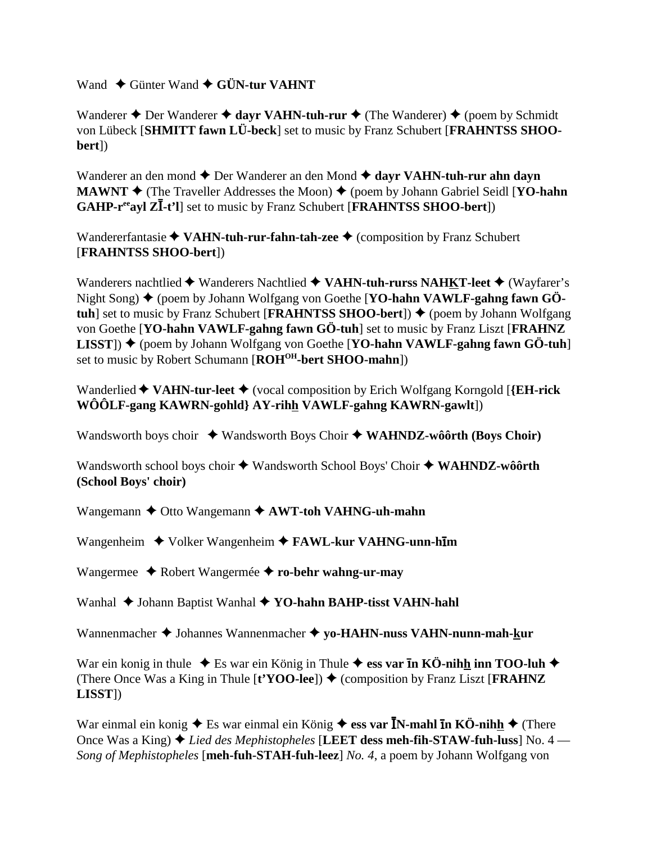Wand **← Günter Wand ← GÜN-tur VAHNT** 

Wanderer  $\triangle$  Der Wanderer  $\triangle$  dayr VAHN-tuh-rur  $\triangle$  (The Wanderer)  $\triangle$  (poem by Schmidt von Lübeck [**SHMITT fawn LÜ-beck**] set to music by Franz Schubert [**FRAHNTSS SHOObert**])

Wanderer an den mond  $\triangle$  Der Wanderer an den Mond  $\triangle$  dayr VAHN-tuh-rur ahn dayn **MAWNT**  $\blacklozenge$  (The Traveller Addresses the Moon)  $\blacklozenge$  (poem by Johann Gabriel Seidl [**YO-hahn GAHP-r<sup>ee</sup>ayl ZI-t'l**] set to music by Franz Schubert [**FRAHNTSS SHOO-bert**])

Wandererfantasie **◆ VAHN-tuh-rur-fahn-tah-zee ◆** (composition by Franz Schubert [**FRAHNTSS SHOO-bert**])

Wanderers nachtlied ◆ Wanderers Nachtlied ◆ VAHN-tuh-rurss NAHKT-leet ◆ (Wayfarer's Night Song)  $\blacklozenge$  (poem by Johann Wolfgang von Goethe [YO-hahn VAWLF-gahng fawn GÖ**tuh**] set to music by Franz Schubert [**FRAHNTSS SHOO-bert**])  $\blacklozenge$  (poem by Johann Wolfgang von Goethe [**YO-hahn VAWLF-gahng fawn GÖ-tuh**] set to music by Franz Liszt [**FRAHNZ LISST**) ♦ (poem by Johann Wolfgang von Goethe [**YO-hahn VAWLF-gahng fawn GÖ-tuh**] set to music by Robert Schumann [ROH<sup>OH</sup>-bert SHOO-mahn])

Wanderlied **VAHN-tur-leet** (vocal composition by Erich Wolfgang Korngold [**{EH-rick WÔÔLF-gang KAWRN-gohld} AY-rihh VAWLF-gahng KAWRN-gawlt**])

Wandsworth boys choir  $\rightarrow$  Wandsworth Boys Choir  $\rightarrow$  WAHNDZ-wôôrth (Boys Choir)

Wandsworth school boys choir  $\blacklozenge$  Wandsworth School Boys' Choir  $\blacklozenge$  WAHNDZ-wôôrth **(School Boys' choir)**

Wangemann **→** Otto Wangemann **→ AWT-toh VAHNG-uh-mahn** 

Wangenheim ◆ Volker Wangenheim ◆ **FAWL-kur VAHNG-unn-hm** 

Wangermee Robert Wangermée **ro-behr wahng-ur-may**

Wanhal ◆ Johann Baptist Wanhal ◆ YO-hahn BAHP-tisst VAHN-hahl

Wannenmacher  $\triangleq$  Johannes Wannenmacher  $\triangleq$  vo-HAHN-nuss VAHN-nunn-mah-kur

War ein konig in thule  $\triangle$  Es war ein König in Thule  $\triangle$  ess var **In KÖ-nihh inn TOO-luh**  $\triangle$ (There Once Was a King in Thule  $[t'YOO-lee]$ )  $\blacklozenge$  (composition by Franz Liszt [**FRAHNZ LISST**])

War einmal ein konig  $\blacklozenge$  Es war einmal ein König  $\blacklozenge$  ess var **I**N-mahl **In KÖ-nihh**  $\blacklozenge$  (There Once Was a King) *Lied des Mephistopheles* [**LEET dess meh-fih-STAW-fuh-luss**] No. 4 — *Song of Mephistopheles* [**meh-fuh-STAH-fuh-leez**] *No. 4*, a poem by Johann Wolfgang von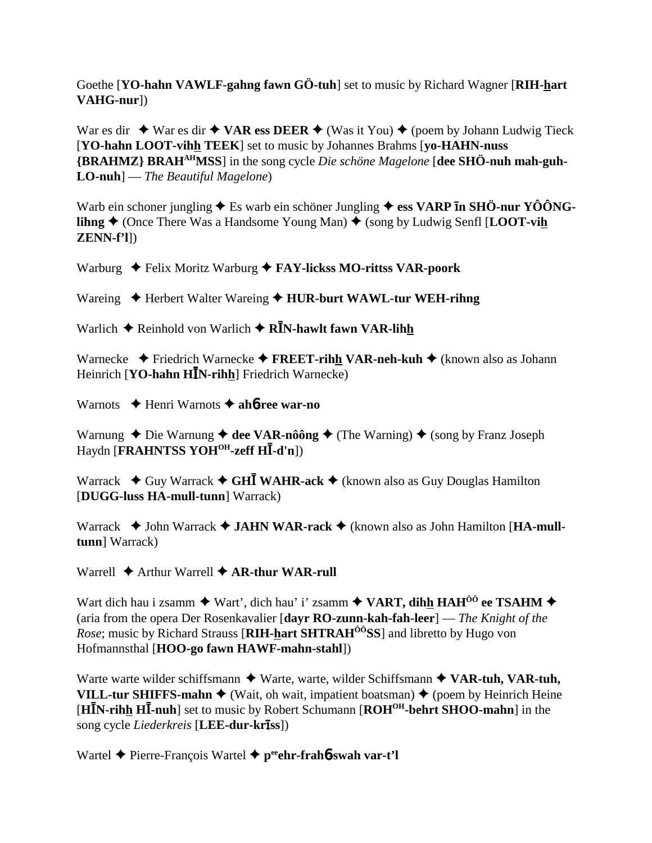Goethe [YO-hahn VAWLF-gahng fawn GÖ-tuh] set to music by Richard Wagner [RIH-hart] VAHG-nur])

War es dir  $\rightarrow$  War es dir  $\rightarrow$  VAR ess DEER  $\rightarrow$  (Was it You)  $\rightarrow$  (poem by Johann Ludwig Tieck [YO-hahn LOOT-vihh TEEK] set to music by Johannes Brahms [vo-HAHN-nuss] {BRAHMZ} BRAH<sup>AH</sup>MSS] in the song cycle *Die schöne Magelone* [dee SHÖ-nuh mah-guh- $LO$ -nuh $]-$ The Beautiful Magelone)

Warb ein schoner jungling  $\triangle$  Es warb ein schöner Jungling  $\triangle$  ess VARP In SHÖ-nur YÔÔNG**lihng**  $\triangle$  (Once There Was a Handsome Young Man)  $\triangle$  (song by Ludwig Senfl [**LOOT-vih**  $ZENN-f'1$ ]

Warburg  $\triangleq$  Felix Moritz Warburg  $\triangleq$  FAY-lickss MO-rittss VAR-poork

Wareing  $\triangle$  Herbert Walter Wareing  $\triangle$  HUR-burt WAWL-tur WEH-rihng

Warlich  $\triangle$  Reinhold von Warlich  $\triangle$  RIN-hawlt fawn VAR-lihh

Warnecke  $\blacklozenge$  Friedrich Warnecke  $\blacklozenge$  FREET-rihh VAR-neh-kuh  $\blacklozenge$  (known also as Johann Heinrich [YO-hahn  $H\bar{I}N$ -rihh] Friedrich Warnecke)

Warnots  $\triangle$  Henri Warnots  $\triangle$  ahb-ree war-no

Warnung  $\triangle$  Die Warnung  $\triangle$  dee VAR-nôông  $\triangle$  (The Warning)  $\triangle$  (song by Franz Joseph Haydn [FRAHNTSS YOH<sup>OH</sup>-zeff HI-d'n])

Warrack  $\triangle$  Guy Warrack  $\triangle$  GHI WAHR-ack  $\triangle$  (known also as Guy Douglas Hamilton [DUGG-luss HA-mull-tunn] Warrack)

Warrack  $\blacklozenge$  John Warrack  $\blacklozenge$  JAHN WAR-rack  $\blacklozenge$  (known also as John Hamilton [HA-mulltunn] Warrack)

Warrell  $\blacklozenge$  Arthur Warrell  $\blacklozenge$  AR-thur WAR-rull

Wart dich hau i zsamm  $\blacklozenge$  Wart', dich hau' i' zsamm  $\blacklozenge$  VART, dihh HAH<sup>ÔÔ</sup> ee TSAHM  $\blacklozenge$ (aria from the opera Der Rosenkavalier [dayr RO-zunn-kah-fah-leer] — The Knight of the *Rose*; music by Richard Strauss [RIH-hart SHTRAH<sup>00</sup>SS] and libretto by Hugo von Hofmannsthal [HOO-go fawn HAWF-mahn-stahl])

Warte warte wilder schiffsmann  $\blacklozenge$  Warte, warte, wilder Schiffsmann  $\blacklozenge$  VAR-tuh, VAR-tuh, VILL-tur SHIFFS-mahn  $\blacklozenge$  (Wait, oh wait, impatient boatsman)  $\blacklozenge$  (poem by Heinrich Heine [HIN-rihh HI-nuh] set to music by Robert Schumann [ROH<sup>OH</sup>-behrt SHOO-mahn] in the song cycle *Liederkreis* [LEE-dur-kriss])

Wartel  $\triangle$  Pierre-François Wartel  $\triangle$  p<sup>ee</sup>ehr-frah**6**-swah var-t'l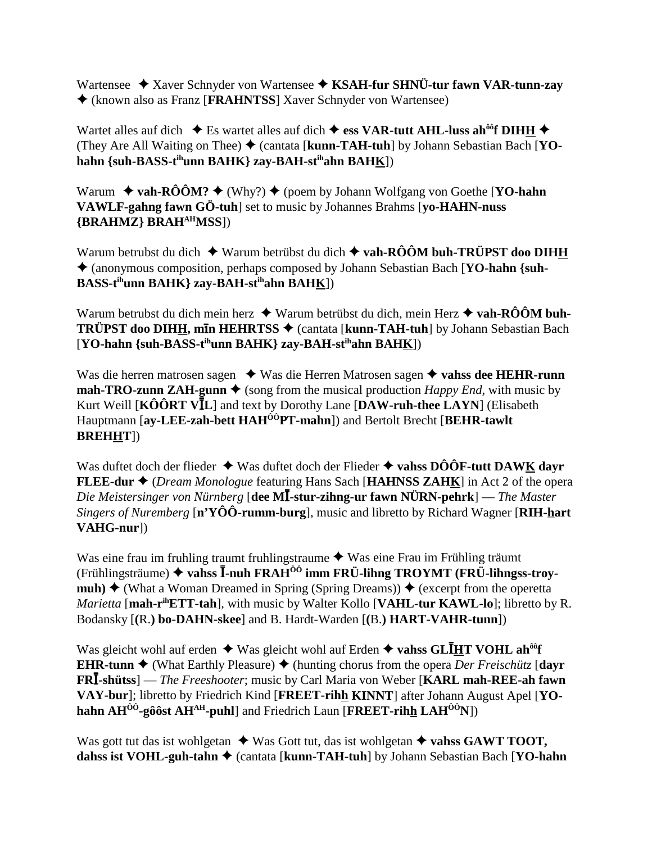Wartensee  $\rightarrow$  Xaver Schnyder von Wartensee  $\rightarrow$  KSAH-fur SHNÜ-tur fawn VAR-tunn-zay (known also as Franz [**FRAHNTSS**] Xaver Schnyder von Wartensee)

Wartet alles auf dich  $\bullet$  Es wartet alles auf dich  $\bullet$  ess VAR-tutt AHL-luss ah<sup>oo</sup>f DIHH  $\bullet$ (They Are All Waiting on Thee) (cantata [**kunn-TAH-tuh**] by Johann Sebastian Bach [**YOhahn {suh-BASS-tihunn BAHK} zay-BAH-stihahn BAHK**])

Warum  $\rightarrow$  vah-RÔÔM?  $\rightarrow$  (Why?)  $\rightarrow$  (poem by Johann Wolfgang von Goethe [**YO-hahn**] **VAWLF-gahng fawn GÖ-tuh**] set to music by Johannes Brahms [**yo-HAHN-nuss {BRAHMZ} BRAHAHMSS**])

Warum betrubst du dich  $\blacklozenge$  Warum betrübst du dich  $\blacklozenge$  vah-RÔÔM buh-TRÜPST doo DIHH (anonymous composition, perhaps composed by Johann Sebastian Bach [**YO-hahn {suh-BASS-tihunn BAHK} zay-BAH-stihahn BAHK**])

Warum betrubst du dich mein herz **→** Warum betrübst du dich, mein Herz **→ vah-RÔÔM buh-TRÜPST doo DIHH, m<del>l</del>n HEHRTSS ♦** (cantata [kunn-TAH-tuh] by Johann Sebastian Bach [**YO-hahn {suh-BASS-tihunn BAHK} zay-BAH-stihahn BAHK**])

Was die herren matrosen sagen  $\triangle$  Was die Herren Matrosen sagen  $\triangle$  vahss dee HEHR-runn **mah-TRO-zunn ZAH-gunn**  $\blacklozenge$  (song from the musical production *Happy End*, with music by Kurt Weill [KÔÔRT VIL] and text by Dorothy Lane [DAW-ruh-thee LAYN] (Elisabeth Hauptmann [**ay-LEE-zah-bett HAHÔÔPT-mahn**]) and Bertolt Brecht [**BEHR-tawlt BREHHT**])

Was duftet doch der flieder **↓** Was duftet doch der Flieder **→ vahss DÔÔF-tutt DAWK dayr FLEE-dur ♦** (*Dream Monologue* featuring Hans Sach [**HAHNSS ZAHK**] in Act 2 of the opera *Die Meistersinger von Nürnberg* [**dee M**-**-stur-zihng-ur fawn NÜRN-pehrk**] — *The Master Singers of Nuremberg* [**n'YÔÔ-rumm-burg**], music and libretto by Richard Wagner [**RIH-hart VAHG-nur**])

Was eine frau im fruhling traumt fruhlingstraume  $\blacklozenge$  Was eine Frau im Frühling träumt (Frühlingsträume) ◆ vahss **I-nuh FRAH<sup>ôô</sup> imm FRÜ-lihng TROYMT (FRÜ-lihngss-troymuh)**  $\triangle$  (What a Woman Dreamed in Spring (Spring Dreams))  $\triangle$  (excerpt from the operetta *Marietta* [**mah-rihETT-tah**], with music by Walter Kollo [**VAHL-tur KAWL-lo**]; libretto by R. Bodansky [**(**R.**) bo-DAHN-skee**] and B. Hardt-Warden [**(**B.**) HART-VAHR-tunn**])

Was gleicht wohl auf erden  $\triangleq$  Was gleicht wohl auf Erden  $\triangleq$  vahss GLIHT VOHL ah<sup>ôô</sup>f **EHR-tunn**  $\triangle$  (What Earthly Pleasure)  $\triangle$  (hunting chorus from the opera *Der Freischütz* **[dayr**] **FRI-shütss**] — *The Freeshooter*; music by Carl Maria von Weber [KARL mah-REE-ah fawn **VAY-bur**]; libretto by Friedrich Kind [**FREET-rihh KINNT**] after Johann August Apel [**YOhahn AHÔÔ-gôôst AHAH-puhl**] and Friedrich Laun [**FREET-rihh LAHÔÔN**])

Was gott tut das ist wohlgetan  $\triangle$  Was Gott tut, das ist wohlgetan  $\triangle$  vahss GAWT TOOT, **dahss ist VOHL-guh-tahn ♦** (cantata [**kunn-TAH-tuh**] by Johann Sebastian Bach [**YO-hahn**]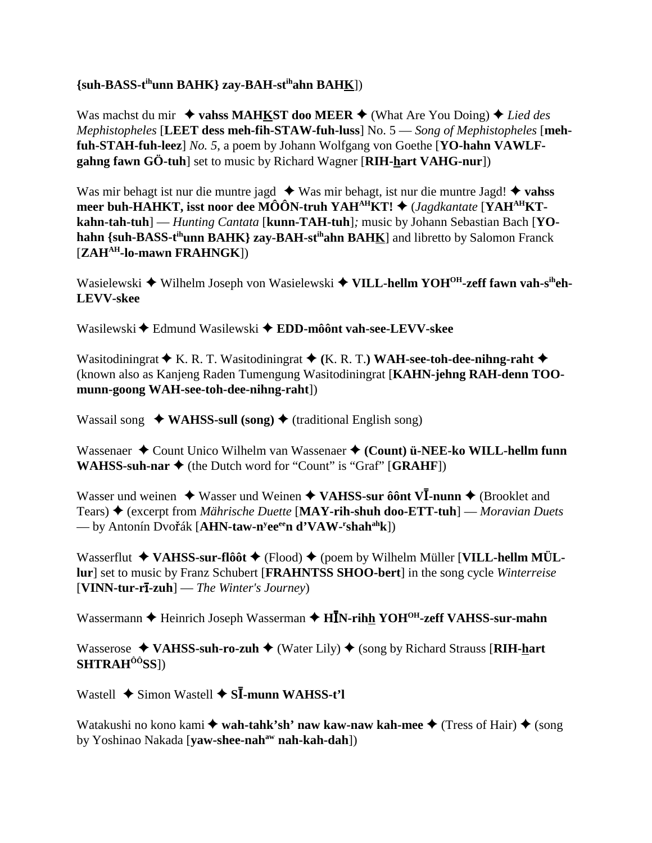## **{suh-BASS-tihunn BAHK} zay-BAH-stihahn BAHK**])

Was machst du mir  $\triangleq$  vahss MAHKST doo MEER  $\triangleq$  (What Are You Doing)  $\triangleq$  Lied des *Mephistopheles* [**LEET dess meh-fih-STAW-fuh-luss**] No. 5 — *Song of Mephistopheles* [**mehfuh-STAH-fuh-leez**] *No. 5*, a poem by Johann Wolfgang von Goethe [**YO-hahn VAWLFgahng fawn GÖ-tuh**] set to music by Richard Wagner [**RIH-hart VAHG-nur**])

Was mir behagt ist nur die muntre jagd  $\blacklozenge$  Was mir behagt, ist nur die muntre Jagd!  $\blacklozenge$  vahss **meer buh-HAHKT, isst noor dee MÔÔN-truh YAH<sup>AH</sup>KT! ◆** (*Jagdkantate* [YAH<sup>AH</sup>KT**kahn-tah-tuh**] — *Hunting Cantata* [**kunn-TAH-tuh**]*;* music by Johann Sebastian Bach [**YOhahn {suh-BASS-t<sup>ih</sup>unn BAHK} zay-BAH-st<sup>ih</sup>ahn BAHK**] and libretto by Salomon Franck [**ZAHAH-lo-mawn FRAHNGK**])

Wasielewski ◆ Wilhelm Joseph von Wasielewski ◆ VILL-hellm YOH<sup>OH</sup>-zeff fawn vah-s<sup>ih</sup>eh-**LEVV-skee**

Wasilewski Edmund Wasilewski **EDD-môônt vah-see-LEVV-skee**

Wasitodiningrat  $\blacklozenge$  K. R. T. Wasitodiningrat  $\blacklozenge$  (K. R. T.) WAH-see-toh-dee-nihng-raht  $\blacklozenge$ (known also as Kanjeng Raden Tumengung Wasitodiningrat [**KAHN-jehng RAH-denn TOOmunn-goong WAH-see-toh-dee-nihng-raht**])

Wassail song ◆ WAHSS-sull (song) ◆ (traditional English song)

Wassenaer  $\triangle$  Count Unico Wilhelm van Wassenaer  $\triangle$  (Count) ü-NEE-ko WILL-hellm funn **WAHSS-suh-nar**  $\blacklozenge$  (the Dutch word for "Count" is "Graf" [GRAHF])

Wasser und weinen  $\triangle$  Wasser und Weinen  $\triangle$  VAHSS-sur ôônt V**I**-nunn  $\triangle$  (Brooklet and Tears) (excerpt from *Mährische Duette* [**MAY-rih-shuh doo-ETT-tuh**] — *Moravian Duets* — by Antonín Dvo**ř**ák [**AHN-taw-n<sup>y</sup>ee<sup>ee</sup>n d'VAW-<sup>r</sup>shah<sup>ah</sup>k**])

Wasserflut **→ VAHSS-sur-flôôt** ← (Flood) ← (poem by Wilhelm Müller [**VILL-hellm MÜLlur**] set to music by Franz Schubert [**FRAHNTSS SHOO-bert**] in the song cycle *Winterreise* [**VINN-tur-r-zuh**] — *The Winter's Journey*)

Wassermann **+** Heinrich Joseph Wasserman + HIN-rihh YOH<sup>OH</sup>-zeff VAHSS-sur-mahn

Wasserose ◆ VAHSS-suh-ro-zuh ◆ (Water Lily) ◆ (song by Richard Strauss [RIH-hart **SHTRAHÔÔSS**])

Wastell ◆ Simon Wastell ◆ S**Ī-munn WAHSS-t'l** 

Watakushi no kono kami **◆ wah-tahk'sh' naw kaw-naw kah-mee ◆** (Tress of Hair) ◆ (song by Yoshinao Nakada [**vaw-shee-nah<sup>aw</sup> nah-kah-dah**])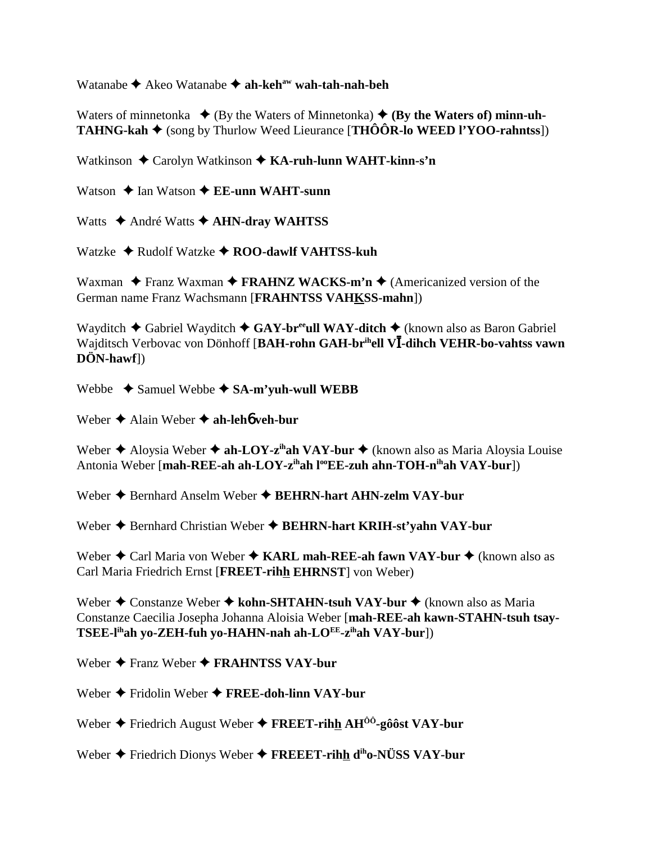Watanabe ◆ Akeo Watanabe ◆ ah-keh<sup>aw</sup> wah-tah-nah-beh

Waters of minnetonka  $\blacklozenge$  (By the Waters of Minnetonka)  $\blacklozenge$  (By the Waters of) minn-uh-**TAHNG-kah**  $\blacklozenge$  (song by Thurlow Weed Lieurance [**THÔÔR-lo WEED l'YOO-rahntss**])

Watkinson  $\triangle$  Carolyn Watkinson  $\triangle$  KA-ruh-lunn WAHT-kinn-s'n

Watson  $\triangle$  Ian Watson  $\triangle$  EE-unn WAHT-sunn

Watts  $\triangle$  André Watts  $\triangle$  AHN-dray WAHTSS

Watzke  $\triangle$  Rudolf Watzke  $\triangle$  ROO-dawlf VAHTSS-kuh

Waxman  $\triangle$  Franz Waxman  $\triangle$  FRAHNZ WACKS-m'n  $\triangle$  (Americanized version of the German name Franz Wachsmann [FRAHNTSS VAHKSS-mahn])

Wayditch  $\triangle$  Gabriel Wayditch  $\triangle$  GAY-br<sup>ee</sup>ull WAY-ditch  $\triangle$  (known also as Baron Gabriel Wajditsch Verbovac von Dönhoff [BAH-rohn GAH-brihell VI-dihch VEHR-bo-vahtss vawn  $D\ddot{O}N$ -hawf $\rangle$ 

Webbe  $\rightarrow$  Samuel Webbe  $\rightarrow$  SA-m'vuh-wull WEBB

Weber  $\triangle$  Alain Weber  $\triangle$  ah-leho veh-bur

Weber  $\triangle$  Aloysia Weber  $\triangle$  ah-LOY-z<sup>ih</sup>ah VAY-bur  $\triangle$  (known also as Maria Aloysia Louise Antonia Weber [mah-REE-ah ah-LOY-z<sup>ih</sup>ah l<sup>oo</sup>EE-zuh ahn-TOH-n<sup>ih</sup>ah VAY-bur])

Weber ◆ Bernhard Anselm Weber ◆ BEHRN-hart AHN-zelm VAY-bur

Weber ♦ Bernhard Christian Weber ♦ BEHRN-hart KRIH-st'yahn VAY-bur

Weber  $\triangle$  Carl Maria von Weber  $\triangle$  KARL mah-REE-ah fawn VAY-bur  $\triangle$  (known also as Carl Maria Friedrich Ernst [FREET-rihh EHRNST] von Weber)

Weber  $\triangle$  Constanze Weber  $\triangle$  kohn-SHTAHN-tsuh VAY-bur  $\triangle$  (known also as Maria Constanze Caecilia Josepha Johanna Aloisia Weber [mah-REE-ah kawn-STAHN-tsuh tsay-TSEE-l<sup>ih</sup>ah yo-ZEH-fuh yo-HAHN-nah ah-LO<sup>EE</sup>-z<sup>ih</sup>ah VAY-bur])

Weber  $\triangle$  Franz Weber  $\triangle$  FRAHNTSS VAY-bur

Weber  $\triangle$  Fridolin Weber  $\triangle$  FREE-doh-linn VAY-bur

Weber  $\triangle$  Friedrich August Weber  $\triangle$  FREET-rihh AH<sup>00</sup>-g00st VAY-bur

Weber  $\blacklozenge$  Friedrich Dionys Weber  $\blacklozenge$  FREEET-rihh d<sup>ih</sup>o-NÜSS VAY-bur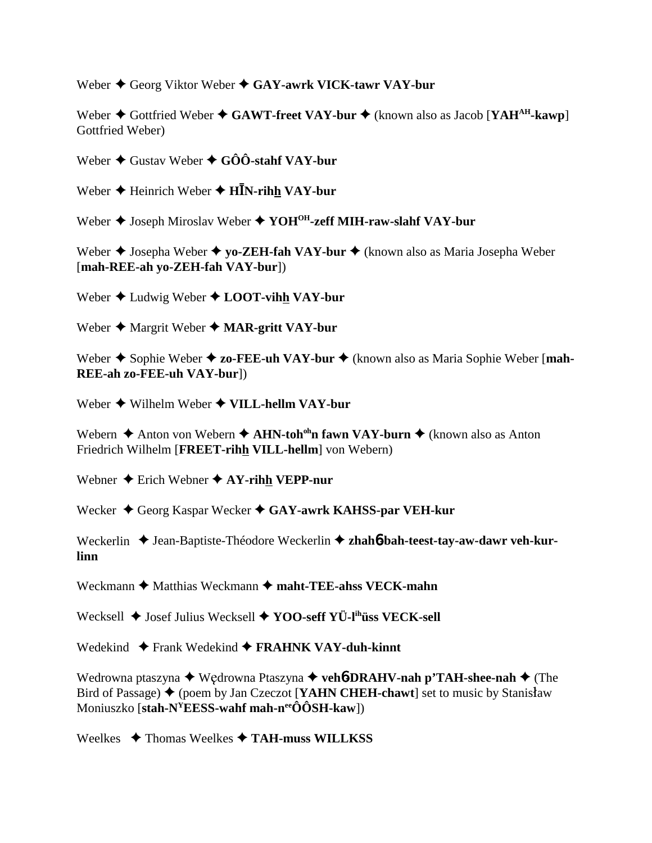Weber  $\triangle$  Georg Viktor Weber  $\triangle$  GAY-awrk VICK-tawr VAY-bur

Weber  $\triangle$  Gottfried Weber  $\triangle$  GAWT-freet VAY-bur  $\triangle$  (known also as Jacob [YAH<sup>AH</sup>-kawp] Gottfried Weber)

Weber **→** Gustav Weber ◆ GÔÔ-stahf VAY-bur

Weber ♦ Heinrich Weber ♦ HĪN-rih<u>h</u> VAY-bur

Weber  $\blacklozenge$  Joseph Miroslav Weber  $\blacklozenge$  **YOH<sup>OH</sup>-zeff MIH-raw-slahf VAY-bur** 

Weber **→** Josepha Weber **→ yo-ZEH-fah VAY-bur →** (known also as Maria Josepha Weber [**mah-REE-ah yo-ZEH-fah VAY-bur**])

Weber ◆ Ludwig Weber ◆ LOOT-vihh VAY-bur

Weber  $\triangle$  Margrit Weber  $\triangle$  **MAR-gritt VAY-bur** 

Weber  $\triangle$  Sophie Weber  $\triangle$  zo-FEE-uh VAY-bur  $\triangle$  (known also as Maria Sophie Weber [mah-**REE-ah zo-FEE-uh VAY-bur**])

Weber  $\triangle$  Wilhelm Weber  $\triangle$  VILL-hellm VAY-bur

Webern **→** Anton von Webern **→ AHN-toh<sup>oh</sup>n fawn VAY-burn →** (known also as Anton Friedrich Wilhelm [**FREET-rihh VILL-hellm**] von Webern)

Webner  $\triangle$  Erich Webner  $\triangle$  AY-rihh VEPP-nur

Wecker ◆ Georg Kaspar Wecker ◆ GAY-awrk KAHSS-par VEH-kur

Weckerlin ◆ Jean-Baptiste-Théodore Weckerlin ◆ zhah6**-bah-teest-tay-aw-dawr veh-kurlinn**

Weckmann  $\triangle$  Matthias Weckmann  $\triangle$  maht-TEE-ahss VECK-mahn

Wecksell  $\blacklozenge$  Josef Julius Wecksell  $\blacklozenge$  **YOO-seff YÜ-l<sup>ih</sup>üss VECK-sell** 

Wedekind ◆ Frank Wedekind ◆ FRAHNK VAY-duh-kinnt

Wedrowna ptaszyna ◆ Wędrowna Ptaszyna ◆ veh**6-DRAHV-nah p'TAH-shee-nah** ◆ (The Bird of Passage)  $\bigstar$  (poem by Jan Czeczot [**YAHN CHEH-chawt**] set to music by Stanisław Moniuszko [**stah-NYEESS-wahf mah-neeÔÔSH-kaw**])

Weelkes Thomas Weelkes **TAH-muss WILLKSS**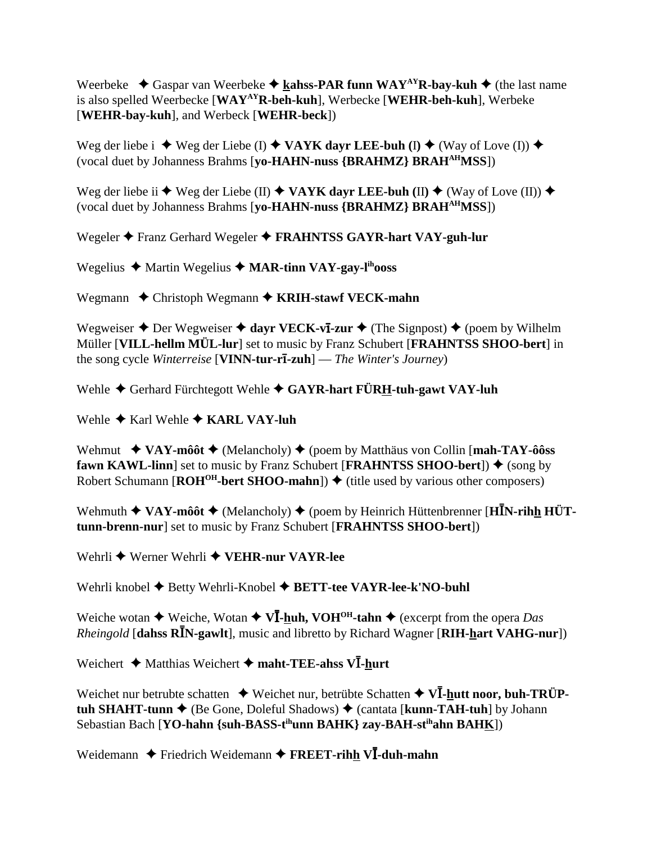Weerbeke  $\triangleleft$  Gaspar van Weerbeke  $\triangleleft$  kahss-PAR funn WAY<sup>AY</sup>R-bay-kuh  $\triangleleft$  (the last name is also spelled Weerbecke [**WAYAYR-beh-kuh**], Werbecke [**WEHR-beh-kuh**], Werbeke [**WEHR-bay-kuh**], and Werbeck [**WEHR-beck**])

Weg der liebe i  $\blacklozenge$  Weg der Liebe (I)  $\blacklozenge$  VAYK dayr LEE-buh (I)  $\blacklozenge$  (Way of Love (I))  $\blacklozenge$ (vocal duet by Johanness Brahms [**yo-HAHN-nuss {BRAHMZ} BRAHAHMSS**])

Weg der liebe ii ◆ Weg der Liebe (II) ◆ VAYK dayr LEE-buh (II) ◆ (Way of Love (II)) ◆ (vocal duet by Johanness Brahms [**yo-HAHN-nuss {BRAHMZ} BRAHAHMSS**])

Wegeler  $\triangle$  Franz Gerhard Wegeler  $\triangle$  **FRAHNTSS GAYR-hart VAY-guh-lur** 

Wegelius ◆ Martin Wegelius ◆ MAR-tinn VAY-gay-l<sup>ih</sup>ooss

Wegmann  $\triangle$  Christoph Wegmann  $\triangle$  **KRIH-stawf VECK-mahn** 

Wegweiser  $\triangle$  Der Wegweiser  $\triangle$  dayr VECK-v**I-zur**  $\triangle$  (The Signpost)  $\triangle$  (poem by Wilhelm Müller [**VILL-hellm MÜL-lur**] set to music by Franz Schubert [**FRAHNTSS SHOO-bert**] in the song cycle *Winterreise* [**VINN-tur-r-zuh**] — *The Winter's Journey*)

Wehle  $\blacklozenge$  Gerhard Fürchtegott Wehle  $\blacklozenge$  GAYR-hart FÜRH-tuh-gawt VAY-luh

Wehle **→** Karl Wehle **→ KARL VAY-luh** 

Wehmut  $\rightarrow$  VAY-môôt  $\rightarrow$  (Melancholy)  $\rightarrow$  (poem by Matthäus von Collin [mah-TAY-ôôss] **fawn KAWL-linn**] set to music by Franz Schubert [**FRAHNTSS SHOO-bert**])  $\blacklozenge$  (song by Robert Schumann  $[ROH<sup>OH</sup>-bert SHOO-mahn]$ )  $\blacklozenge$  (title used by various other composers)

Wehmuth ◆ VAY-môôt ◆ (Melancholy) ◆ (poem by Heinrich Hüttenbrenner [HIN-rihh HÜT**tunn-brenn-nur**] set to music by Franz Schubert [**FRAHNTSS SHOO-bert**])

Wehrli **→** Werner Wehrli **→ VEHR-nur VAYR-lee** 

Wehrli knobel  $\blacklozenge$  Betty Wehrli-Knobel  $\blacklozenge$  **BETT-tee VAYR-lee-k'NO-buhl** 

Weiche wotan ◆ Weiche, Wotan ◆ V**I-huh, VOH<sup>OH</sup>-tahn** ◆ (excerpt from the opera *Das Rheingold* [dahss RIN-gawlt], music and libretto by Richard Wagner [RIH-hart VAHG-nur])

Weichert  $\triangle$  Matthias Weichert  $\triangle$  maht-TEE-ahss VI-hurt

Weichet nur betrubte schatten  $\rightarrow$  Weichet nur, betrübte Schatten  $\rightarrow$  VI-**hutt noor, buh-TRÜPtuh SHAHT-tunn ←** (Be Gone, Doleful Shadows) ← (cantata [**kunn-TAH-tuh**] by Johann Sebastian Bach [**YO-hahn {suh-BASS-tihunn BAHK} zay-BAH-stihahn BAHK**])

Weidemann  $\triangle$  Friedrich Weidemann  $\triangle$  FREET-rihh VI-duh-mahn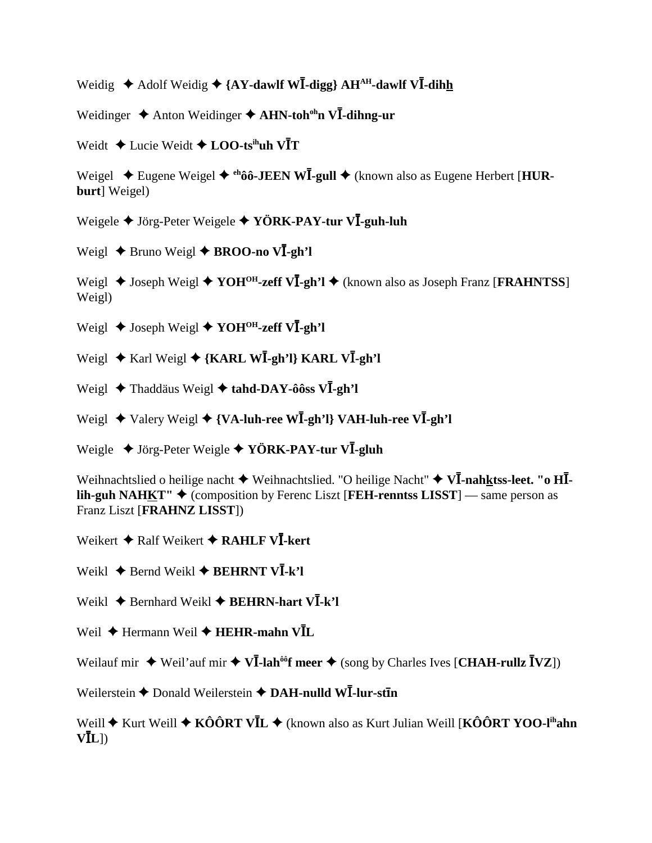Weidig ◆ Adolf Weidig ◆ {AY-dawlf WI-digg} AH<sup>AH</sup>-dawlf VI-dihh

Weidinger  $\triangle$  Anton Weidinger  $\triangle$  AHN-toh<sup>oh</sup>n VI-dihng-ur

Weidt  $\triangle$  Lucie Weidt  $\triangle$  **LOO-ts<sup>ih</sup>uh VIT** 

Weigel ◆ Eugene Weigel ◆ <sup>eh</sup>ôô-JEEN W**I**-gull ◆ (known also as Eugene Herbert [HUR**burt**] Weigel)

Weigele ◆ Jörg-Peter Weigele ◆ YÖRK-PAY-tur VĪ-guh-luh

Weigl ◆ Bruno Weigl ◆ BROO-no VI-gh'l

Weigl ◆ Joseph Weigl ◆ YOH<sup>OH</sup>-zeff VI-gh'l ◆ (known also as Joseph Franz [FRAHNTSS] Weigl)

 $\text{Weight } \bigstar$  Joseph Weigl **→ YOH<sup>OH</sup>-zeff VI-gh'l** 

 $\text{Weight}$  ★ Karl Weigl ◆ {KARL WI-gh'l} KARL VI-gh'l

Weigl ◆ Thaddäus Weigl ◆ tahd-DAY-ôôss VI-gh'l

Weigl ◆ Valery Weigl ◆ {VA-luh-ree WI-gh'l} VAH-luh-ree VI-gh'l

Weigle ◆ Jörg-Peter Weigle ◆ YÖRK-PAY-tur VI-gluh

Weihnachtslied o heilige nacht  $\blacklozenge$  Weihnachtslied. "O heilige Nacht"  $\blacklozenge$  V**I**-nahktss-leet. "o HI**lih-guh NAHKT"** ◆ (composition by Ferenc Liszt [**FEH-renntss LISST**] — same person as Franz Liszt [**FRAHNZ LISST**])

Weikert  $\bigstar$  Ralf Weikert  $\bigstar$  RAHLF VI-kert

 $\text{Weikl}$  **→** Bernd Weikl **→ BEHRNT VI-k'l** 

Weikl ◆ Bernhard Weikl ◆ BEHRN-hart VI-k'l

Weil  $\blacklozenge$  Hermann Weil  $\blacklozenge$  HEHR-mahn VIL

Weilauf mir  $\triangle$  Weil'auf mir  $\triangle$  V**I**-lah<sup>ôô</sup>f meer  $\triangle$  (song by Charles Ives [CHAH-rullz **IVZ**])

 $W$ eilerstein  $\blacklozenge$  Donald Weilerstein  $\blacklozenge$  DAH-nulld WI-lur-stin

Weill ♦ Kurt Weill ♦ KÔÔRT VĪL ♦ (known also as Kurt Julian Weill [KÔÔRT YOO-l<sup>ih</sup>**ahn**  $V\bar{L}$ ])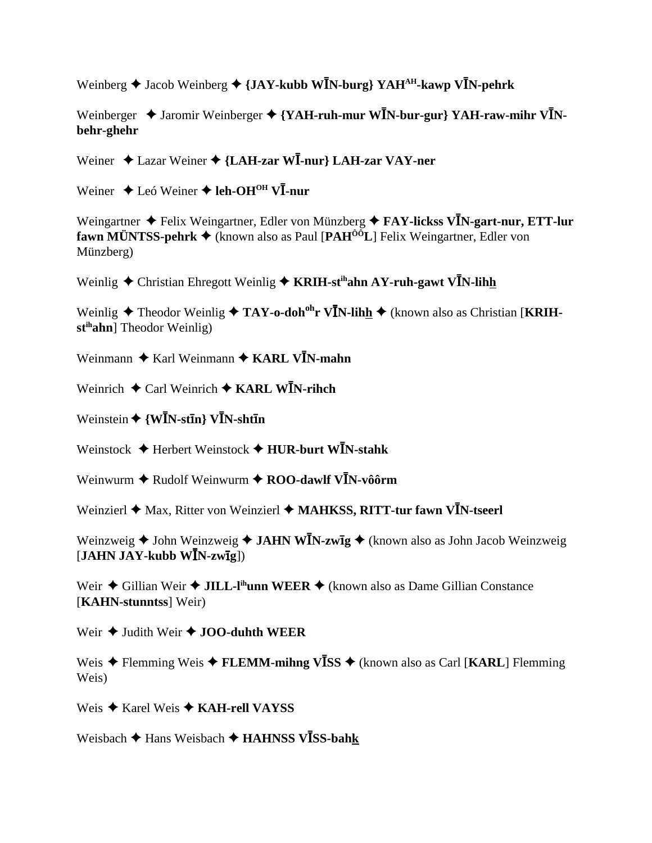Weinberg  $\triangle$  Jacob Weinberg  $\triangle$  {JAY-kubb WIN-burg} YAH<sup>AH</sup>-kawp VIN-pehrk

Weinberger  $\triangleleft$  Jaromir Weinberger  $\triangleleft$  {YAH-ruh-mur W**I**N-bur-gur} YAH-raw-mihr V**I**N**behr-ghehr**

Weiner  $\triangle$  Lazar Weiner  $\triangle$  {LAH-zar WI-nur} LAH-zar VAY-ner

Weiner ◆ Leó Weiner ◆ leh-OH<sup>OH</sup> VI-nur

Weingartner  $\triangle$  Felix Weingartner, Edler von Münzberg  $\triangle$  FAY-lickss V**I**N-gart-nur, ETT-lur **fawn MÜNTSS-pehrk** (known also as Paul [**PAHÔÔL**] Felix Weingartner, Edler von Münzberg)

Weinlig  $\triangle$  Christian Ehregott Weinlig  $\triangle$  KRIH-st<sup>ih</sup>ahn AY-ruh-gawt V**I**N-lihh

Weinlig ◆ Theodor Weinlig ◆ TAY-o-doh<sup>oh</sup>r V**I**N-lihh ◆ (known also as Christian [KRIH**stihahn**] Theodor Weinlig)

Weinmann  $\textbf{A}$  Karl Weinmann  $\textbf{A}$  KARL V**I**N-mahn

Weinrich  $\triangle$  Carl Weinrich  $\triangle$  KARL WIN-rihch

 $\text{Weinstein} \bigstar \{ \textbf{W} \textbf{\textit{I}} \textbf{N} \textbf{-} \textbf{st} \textbf{\textit{I}} \textbf{n} \} \textbf{V} \textbf{\textit{I}} \textbf{N} \textbf{-} \textbf{sh} \textbf{t} \textbf{\textit{I}} \textbf{n}$ 

Weinstock  $\blacklozenge$  Herbert Weinstock  $\blacklozenge$  HUR-burt WIN-stahk

Weinwurm  $\blacklozenge$  Rudolf Weinwurm  $\blacklozenge$  **ROO-dawlf V<sup>I</sup>N-vôôrm** 

Weinzierl  $\blacklozenge$  Max, Ritter von Weinzierl  $\blacklozenge$  MAHKSS, RITT-tur fawn VIN-tseerl

Weinzweig ◆ John Weinzweig ◆ JAHN W**I**N-zw**ig** ◆ (known also as John Jacob Weinzweig  $[\textbf{JAHN JAY-kubb W}\bar{I}N\text{-}zw\bar{I}\bar{g}])$ 

Weir  $\triangle$  Gillian Weir  $\triangle$  JILL-l<sup>ih</sup>unn WEER  $\triangle$  (known also as Dame Gillian Constance [**KAHN-stunntss**] Weir)

Weir  $\triangle$  Judith Weir  $\triangle$  **JOO-duhth WEER** 

Weis ◆ Flemming Weis ◆ FLEMM-mihng V**ISS** ◆ (known also as Carl [KARL] Flemming Weis)

Weis **→ Karel Weis → KAH-rell VAYSS** 

Weisbach ◆ Hans Weisbach ◆ HAHNSS VĪSS-bah<u>k</u>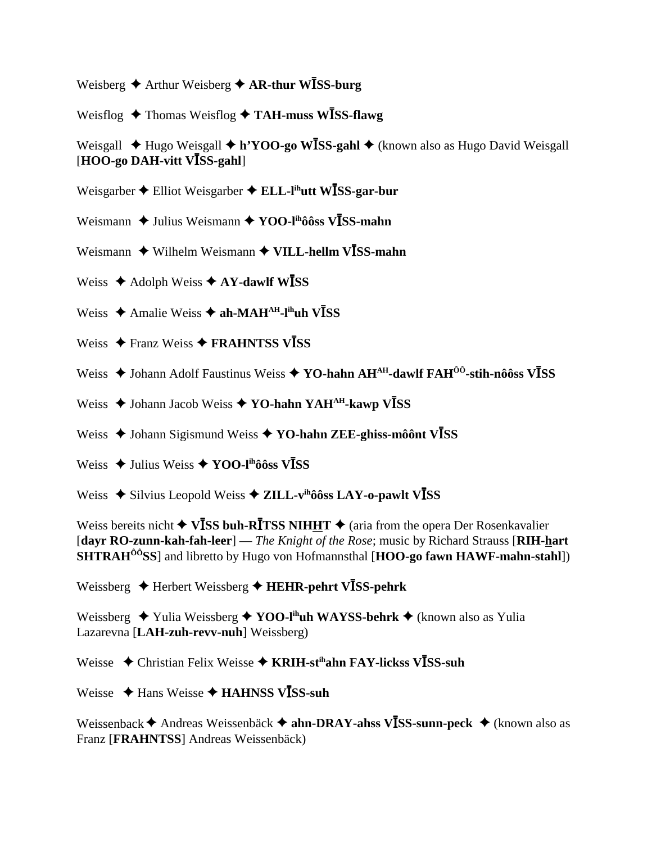Weisberg  $\triangle$  Arthur Weisberg  $\triangle$  AR-thur WISS-burg

Weisflog  $\triangle$  Thomas Weisflog  $\triangle$  TAH-muss WISS-flawg

Weisgall  $\triangle$  Hugo Weisgall  $\triangle$  h'YOO-go WISS-gahl  $\triangle$  (known also as Hugo David Weisgall [HOO-go DAH-vitt VISS-gahl]

- Weisgarber  $\triangle$  Elliot Weisgarber  $\triangle$  ELL-l<sup>ih</sup>utt W**ISS-gar-bur**
- Weismann  $\triangle$  Julius Weismann  $\triangle$  YOO-l<sup>ih</sup>ôôss V**ISS-mahn**
- Weismann  $\blacklozenge$  Wilhelm Weismann  $\blacklozenge$  VILL-hellm VISS-mahn
- Weiss  $\triangle$  Adolph Weiss  $\triangle$  AY-dawlf WISS
- Weiss  $\triangle$  Amalie Weiss  $\triangle$  ah-MAH<sup>AH</sup>-l<sup>ih</sup>uh V**ISS**
- Weiss  $\triangle$  Franz Weiss  $\triangle$  FRAHNTSS VISS
- Weiss  $\triangle$  Johann Adolf Faustinus Weiss  $\triangle$  YO-hahn AH<sup>AH</sup>-dawlf FAH<sup> $\hat{o}$ o-stih-nôôss V**ISS**</sup>
- Weiss  $\triangle$  Johann Jacob Weiss  $\triangle$  YO-hahn YAH<sup>AH</sup>-kawp V $\overline{I}SS$
- Weiss  $\triangle$  Johann Sigismund Weiss  $\triangle$  YO-hahn ZEE-ghiss-môônt VISS
- Weiss  $\triangle$  Julius Weiss  $\triangle$  YOO-I<sup>th</sup>ôôss V**ISS**
- Weiss  $\triangle$  Silvius Leopold Weiss  $\triangle$  ZILL-v<sup>ih</sup>ôôss LAY-o-pawlt V**ISS**

Weiss bereits nicht  $\triangleleft$  VISS buh-RITSS NIHHT  $\triangleleft$  (aria from the opera Der Rosenkavalier [dayr RO-zunn-kah-fah-leer] — The Knight of the Rose; music by Richard Strauss [RIH-hart] **SHTRAH<sup>** $\hat{0}$ **<sup>o</sup>SS**] and libretto by Hugo von Hofmannsthal [HOO-go fawn HAWF-mahn-stahl])</sup>

Weissberg  $\triangle$  Herbert Weissberg  $\triangle$  HEHR-pehrt VISS-pehrk

Weissberg  $\blacklozenge$  Yulia Weissberg  $\blacklozenge$  YOO-l<sup>in</sup>uh WAYSS-behrk  $\blacklozenge$  (known also as Yulia Lazarevna [LAH-zuh-revv-nuh] Weissberg)

Weisse  $\triangle$  Christian Felix Weisse  $\triangle$  KRIH-st<sup>ih</sup>ahn FAY-lickss VISS-suh

Weisse  $\triangleleft$  Hans Weisse  $\triangleleft$  HAHNSS VISS-suh

Weissenback  $\triangle$  Andreas Weissenbäck  $\triangle$  ahn-DRAY-ahss VISS-sunn-peck  $\triangle$  (known also as Franz [FRAHNTSS] Andreas Weissenbäck)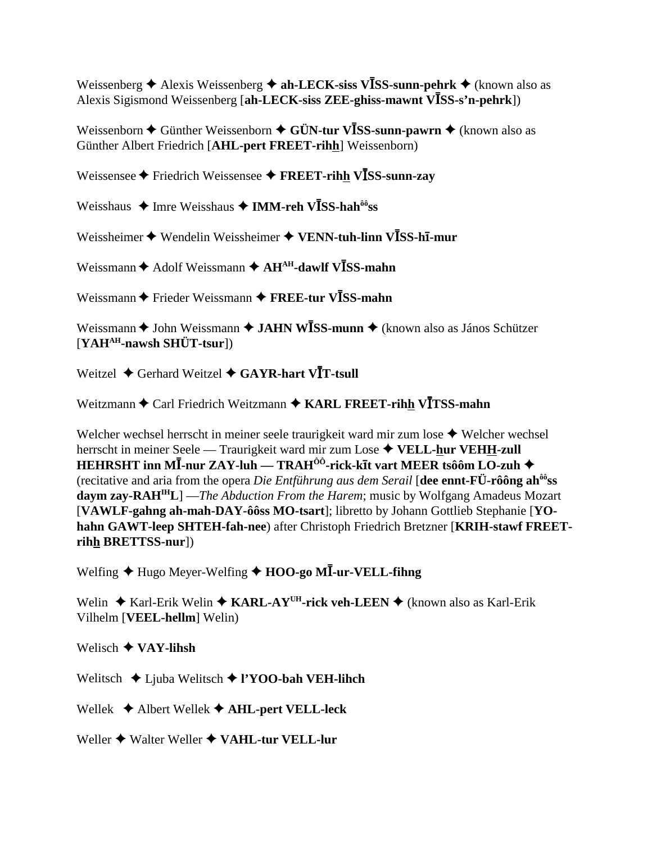Weissenberg  $\triangle$  Alexis Weissenberg  $\triangle$  ah-LECK-siss VISS-sunn-pehrk  $\triangle$  (known also as Alexis Sigismond Weissenberg [ah-LECK-siss ZEE-ghiss-mawnt VISS-s'n-pehrk])

Weissenborn  $\triangle$  Günther Weissenborn  $\triangle$  GÜN-tur VISS-sunn-pawrn  $\triangle$  (known also as Günther Albert Friedrich [AHL-pert FREET-rihh] Weissenborn)

Weissensee  $\blacklozenge$  Friedrich Weissensee  $\blacklozenge$  FREET-rihh VISS-sunn-zay

Weisshaus ◆ Imre Weisshaus ◆ IMM-reh VĪSS-hah<sup>ôô</sup>ss

Weissheimer ◆ Wendelin Weissheimer ◆ VENN-tuh-linn VĪSS-hī-mur

Weissmann  $\triangle$  Adolf Weissmann  $\triangle$  AH<sup>AH</sup>-dawlf VISS-mahn

Weissmann  $\triangle$  Frieder Weissmann  $\triangle$  FREE-tur VISS-mahn

Weissmann  $\triangle$  John Weissmann  $\triangle$  JAHN WISS-munn  $\triangle$  (known also as János Schützer)  $[YAH^{AH}-nawsh SHÜT-tsur]$ 

Weitzel  $\triangle$  Gerhard Weitzel  $\triangle$  GAYR-hart VIT-tsull

Weitzmann  $\triangle$  Carl Friedrich Weitzmann  $\triangle$  KARL FREET-rihh VITSS-mahn

Welcher wechsel herrscht in meiner seele traurigkeit ward mir zum lose  $\triangle$  Welcher wechsel herrscht in meiner Seele — Traurigkeit ward mir zum Lose ♦ VELL-hur VEHH-zull HEHRSHT inn MĪ-nur ZAY-luh — TRAH<sup>ÔÔ</sup>-rick-kīt vart MEER tsôôm LO-zuh ◆ (recitative and aria from the opera *Die Entführung aus dem Serail* [dee ennt- $\vec{F}$ U- $\vec{r}$ ô ng ah<sup>ô</sup>ss  $\frac{1}{2}$  daym zay-RAH<sup>IH</sup>L] —*The Abduction From the Harem*; music by Wolfgang Amadeus Mozart [VAWLF-gahng ah-mah-DAY-ôôss MO-tsart]; libretto by Johann Gottlieb Stephanie [YOhahn GAWT-leep SHTEH-fah-nee) after Christoph Friedrich Bretzner [KRIH-stawf FREETrihh BRETTSS-nur])

Welfing ◆ Hugo Meyer-Welfing ◆ HOO-go MI-ur-VELL-fihng

Welin  $\triangle$  Karl-Erik Welin  $\triangle$  KARL-AY<sup>UH</sup>-rick veh-LEEN  $\triangle$  (known also as Karl-Erik Vilhelm [VEEL-hellm] Welin)

Welisch  $\bigstar$  VAY-lihsh

Welitsch  $\triangle$  Ljuba Welitsch  $\triangle$  l'YOO-bah VEH-lihch

Wellek  $\triangle$  Albert Wellek  $\triangle$  AHL-pert VELL-leck

Weller  $\triangle$  Walter Weller  $\triangle$  VAHL-tur VELL-lur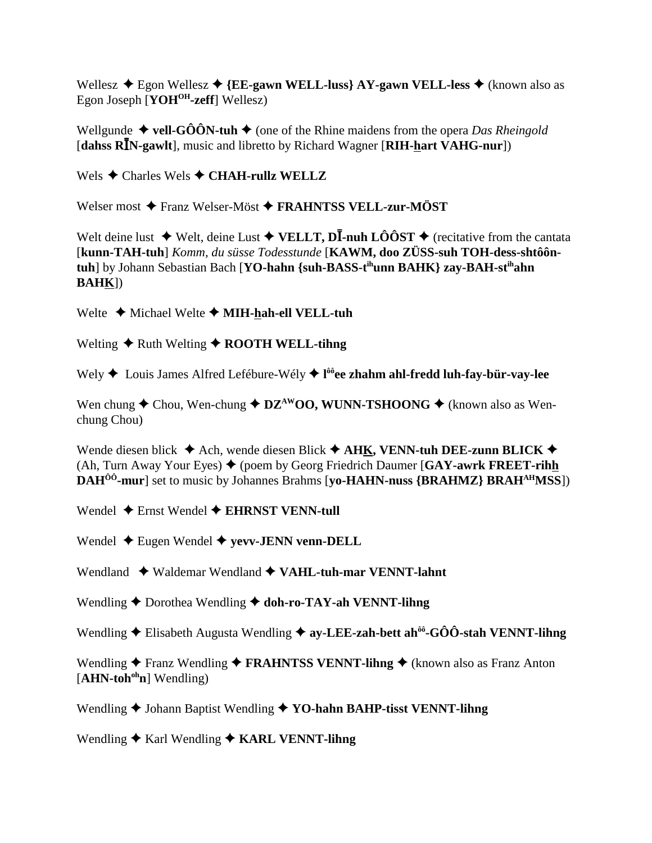Wellesz  $\triangle$  Egon Wellesz  $\triangle$  {EE-gawn WELL-luss} AY-gawn VELL-less  $\triangle$  (known also as Egon Joseph [ $YOH^{OH}$ -zeff] Wellesz)

Wellgunde  $\blacklozenge$  vell-GÔÔN-tuh  $\blacklozenge$  (one of the Rhine maidens from the opera Das Rheingold [dahss RIN-gawlt], music and libretto by Richard Wagner [RIH-hart VAHG-nur])

Wels  $\triangle$  Charles Wels  $\triangle$  CHAH-rullz WELLZ

Welser most  $\bigstar$  Franz Welser-Möst  $\bigstar$  FRAHNTSS VELL-zur-MÖST

Welt deine lust  $\blacklozenge$  Welt, deine Lust  $\blacklozenge$  VELLT, DI-nuh LÔÔST  $\blacklozenge$  (recitative from the cantata [kunn-TAH-tuh] Komm, du süsse Todesstunde [KAWM, doo ZÜSS-suh TOH-dess-shtôôntuh] by Johann Sebastian Bach [YO-hahn {suh-BASS-t<sup>ih</sup>unn BAHK} zay-BAH-st<sup>ih</sup>ahn **BAHK**)

Welte  $\triangle$  Michael Welte  $\triangle$  MIH-hah-ell VELL-tuh

Welting  $\triangle$  Ruth Welting  $\triangle$  ROOTH WELL-tihng

Wely ♦ Louis James Alfred Lefébure-Wély ♦ l<sup>ôô</sup>ee zhahm ahl-fredd luh-fay-bür-vay-lee

Wen chung  $\triangle$  Chou, Wen-chung  $\triangle$  DZ<sup>AW</sup>OO, WUNN-TSHOONG  $\triangle$  (known also as Wenchung Chou)

Wende diesen blick  $\triangle$  Ach, wende diesen Blick  $\triangle$  AHK, VENN-tuh DEE-zunn BLICK  $\triangle$ (Ah, Turn Away Your Eyes)  $\blacklozenge$  (poem by Georg Friedrich Daumer [GAY-awrk FREET-rihh **DAH<sup>ôô</sup>-mur** set to music by Johannes Brahms [vo-HAHN-nuss {BRAHMZ} BRAH<sup>AH</sup>MSS])

Wendel  $\triangle$  Ernst Wendel  $\triangle$  EHRNST VENN-tull

Wendel  $\triangle$  Eugen Wendel  $\triangle$  yevv-JENN venn-DELL

Wendland  $\rightarrow$  Waldemar Wendland  $\rightarrow$  VAHL-tuh-mar VENNT-lahnt

Wendling  $\blacklozenge$  Dorothea Wendling  $\blacklozenge$  doh-ro-TAY-ah VENNT-lihng

Wendling  $\triangle$  Elisabeth Augusta Wendling  $\triangle$  ay-LEE-zah-bett ah<sup> $\hat{\theta}$ </sup>-GÔÔ-stah VENNT-lihng

Wendling  $\bigstar$  Franz Wendling  $\bigstar$  FRAHNTSS VENNT-lihng  $\bigstar$  (known also as Franz Anton  $[AHN-toh<sup>oh</sup>n]$  Wendling)

Wendling  $\blacklozenge$  Johann Baptist Wendling  $\blacklozenge$  YO-hahn BAHP-tisst VENNT-lihng

Wendling  $\triangle$  Karl Wendling  $\triangle$  KARL VENNT-lihng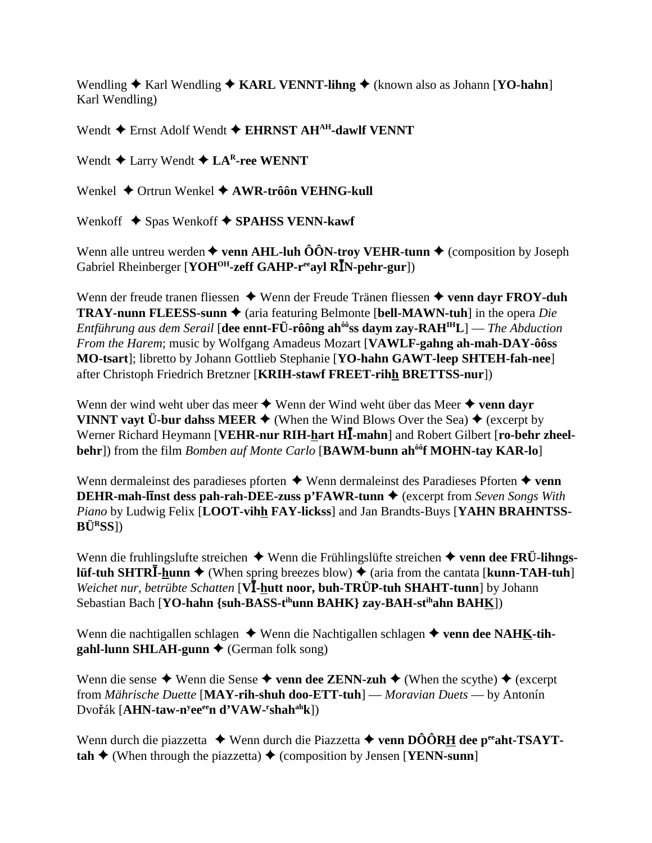Wendling  $\triangle$  Karl Wendling  $\triangle$  KARL VENNT-lihng  $\triangle$  (known also as Johann [YO-hahn] Karl Wendling)

Wendt  $\triangle$  Ernst Adolf Wendt  $\triangle$  EHRNST AH<sup>AH</sup>-dawlf VENNT

Wendt  $\triangle$  Larry Wendt  $\triangle$  LA<sup>R</sup>-ree WENNT

Wenkel  $\triangle$  Ortrun Wenkel  $\triangle$  AWR-trôôn VEHNG-kull

Wenkoff  $\triangle$  Spas Wenkoff  $\triangle$  SPAHSS VENN-kawf

Wenn alle untreu werden  $\triangle$  venn AHL-luh ÔÔN-troy VEHR-tunn  $\triangle$  (composition by Joseph Gabriel Rheinberger [YOH<sup>OH</sup>-zeff GAHP-r<sup>ee</sup>ayl RIN-pehr-gur])

Wenn der freude tranen fliessen  $\triangle$  Wenn der Freude Tränen fliessen  $\triangle$  venn dayr FROY-duh **TRAY-nunn FLEESS-sunn**  $\triangleq$  (aria featuring Belmonte [bell-MAWN-tuh] in the opera *Die Entführung aus dem Serail* [dee ennt-FÜ-rôông ah<sup> $\frac{\partial \hat{\theta}}{\partial s}$ s daym zay-RAH<sup>IH</sup>L] — *The Abduction*</sup> From the Harem; music by Wolfgang Amadeus Mozart [VAWLF-gahng ah-mah-DAY-ôôss] MO-tsart]; libretto by Johann Gottlieb Stephanie [YO-hahn GAWT-leep SHTEH-fah-nee] after Christoph Friedrich Bretzner [KRIH-stawf FREET-rihh BRETTSS-nur])

Wenn der wind weht uber das meer  $\triangle$  Wenn der Wind weht über das Meer  $\triangle$  venn dayr VINNT vayt  $\ddot{\textbf{U}}$ -bur dahss MEER  $\blacklozenge$  (When the Wind Blows Over the Sea)  $\blacklozenge$  (excerpt by Werner Richard Heymann [VEHR-nur RIH-hart HI-mahn] and Robert Gilbert [ro-behr zheelbehr]) from the film *Bomben auf Monte Carlo* [BAWM-bunn ah<sup>ôô</sup>f MOHN-tay KAR-lo]

Wenn dermaleinst des paradieses pforten  $\triangle$  Wenn dermaleinst des Paradieses Pforten  $\triangle$  venn **DEHR-mah-linst dess pah-rah-DEE-zuss p'FAWR-tunn**  $\triangle$  (excerpt from Seven Songs With Piano by Ludwig Felix [LOOT-vihh FAY-lickss] and Jan Brandts-Buys [YAHN BRAHNTSS- $B\ddot{U}$ <sup>R</sup>SS])

Wenn die fruhlingslufte streichen  $\triangle$  Wenn die Frühlingslüfte streichen  $\triangle$  venn dee FRÜ-lihngs**lüf-tuh SHTRI**-hunn  $\blacklozenge$  (When spring breezes blow)  $\blacklozenge$  (aria from the cantata [kunn-TAH-tuh] Weichet nur, betrübte Schatten [VI-hutt noor, buh-TRÜP-tuh SHAHT-tunn] by Johann Sebastian Bach [YO-hahn {suh-BASS-t<sup>ih</sup>unn BAHK} zay-BAH-st<sup>ih</sup>ahn BAHK])

Wenn die nachtigallen schlagen  $\triangle$  Wenn die Nachtigallen schlagen  $\triangle$  venn dee NAHK-tih- $\text{gahl-lunn}\text{SHLAH-gunn} \blacklozenge (\text{German} \text{ folk} \text{ song})$ 

Wenn die sense  $\triangle$  Wenn die Sense  $\triangle$  venn dee ZENN-zuh  $\triangle$  (When the scythe)  $\triangle$  (excerpt from Mährische Duette [MAY-rih-shuh doo-ETT-tuh] — Moravian Duets — by Antonín Dvořák [AHN-taw-n<sup>y</sup>ee<sup>ee</sup>n d'VAW-'shah<sup>ah</sup>k])

Wenn durch die piazzetta  $\triangleq$  Wenn durch die Piazzetta  $\triangleq$  venn DÔÔRH dee p<sup>ee</sup>aht-TSAYT- $\text{tah} \triangleq$  (When through the piazzetta)  $\triangleq$  (composition by Jensen [YENN-sunn]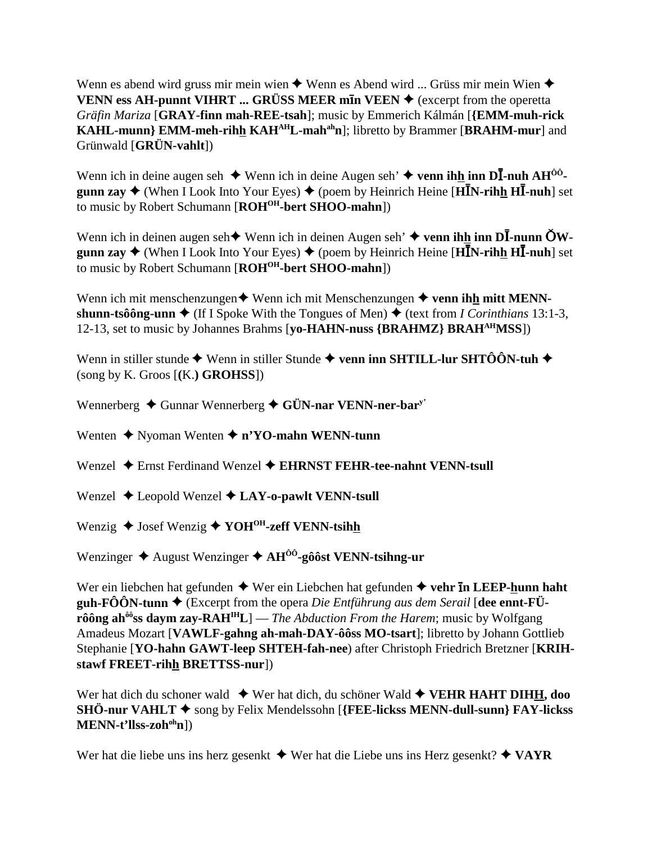Wenn es abend wird gruss mir mein wien  $\triangle$  Wenn es Abend wird ... Grüss mir mein Wien  $\triangle$ **VENN ess AH-punnt VIHRT ... GRÜSS MEER m<b>I**n VEEN  $\blacklozenge$  (excerpt from the operetta *Gräfin Mariza* [**GRAY-finn mah-REE-tsah**]; music by Emmerich Kálmán [**{EMM-muh-rick KAHL-munn**} **EMM-meh-rihh KAH<sup>AH</sup>L-mah<sup>ah</sup>n**]; libretto by Brammer [BRAHM-mur] and Grünwald [**GRÜN-vahlt**])

Wenn ich in deine augen seh  $\triangleq$  Wenn ich in deine Augen seh'  $\triangleq$  venn ihh inn D**I**-nuh AH<sup>ôô</sup>gunn zay  $\triangle$  (When I Look Into Your Eyes)  $\triangle$  (poem by Heinrich Heine [ $\overline{H}$ **IN-rihh HI-nuh**] set to music by Robert Schumann [**ROH<sup>OH</sup>-bert SHOO-mahn**])

Wenn ich in deinen augen seh $\triangleq$  Wenn ich in deinen Augen seh'  $\triangleq$  venn ihh inn D**I**-nunn  $\text{ÖW-}$ **gunn zay ♦** (When I Look Into Your Eyes) ♦ (poem by Heinrich Heine [HIN-rihh HI-nuh] set to music by Robert Schumann [ $ROH^{OH}$ -bert SHOO-mahn])

Wenn ich mit menschenzungen  $\blacklozenge$  Wenn ich mit Menschenzungen  $\blacklozenge$  venn ihh mitt MENN**shunn-tsôông-unn**  $\triangleleft$  (If I Spoke With the Tongues of Men)  $\triangleleft$  (text from *I Corinthians* 13:1-3, 12-13, set to music by Johannes Brahms [**yo-HAHN-nuss {BRAHMZ} BRAHAHMSS**])

Wenn in stiller stunde  $\blacklozenge$  Wenn in stiller Stunde  $\blacklozenge$  venn inn SHTILL-lur SHTÔÔN-tuh  $\blacklozenge$ (song by K. Groos [**(**K.**) GROHSS**])

Wennerberg **→** Gunnar Wennerberg ◆ GÜN-nar VENN-ner-bar<sup>y</sup>

Wenten **→** Nyoman Wenten **→ n'YO-mahn WENN-tunn** 

Wenzel **→** Ernst Ferdinand Wenzel **→ EHRNST FEHR-tee-nahnt VENN-tsull** 

Wenzel **→** Leopold Wenzel **→ LAY-o-pawlt VENN-tsull** 

Wenzig  $\triangle$  Josef Wenzig  $\triangle$  YOH<sup>OH</sup>-zeff VENN-tsihh

Wenzinger **→** August Wenzinger **→ AH<sup>ôô</sup>-gôôst VENN-tsihng-ur** 

Wer ein liebchen hat gefunden  $\triangle$  Wer ein Liebchen hat gefunden  $\triangle$  vehr **In LEEP-hunn haht guh-FÔÔN-tunn**  $\blacklozenge$  (Excerpt from the opera *Die Entführung aus dem Serail* [dee ennt-FÜ**rôông ahôôss daym zay-RAHIHL**] — *The Abduction From the Harem*; music by Wolfgang Amadeus Mozart [**VAWLF-gahng ah-mah-DAY-ôôss MO-tsart**]; libretto by Johann Gottlieb Stephanie [**YO-hahn GAWT-leep SHTEH-fah-nee**) after Christoph Friedrich Bretzner [**KRIHstawf FREET-rihh BRETTSS-nur**])

Wer hat dich du schoner wald  $\blacklozenge$  Wer hat dich, du schöner Wald  $\blacklozenge$  **VEHR HAHT DIHH, doo SHÖ-nur VAHLT** ◆ song by Felix Mendelssohn [**{FEE-lickss MENN-dull-sunn**} **FAY-lickss MENN-t'llss-zohohn**])

Wer hat die liebe uns ins herz gesenkt  $\triangleq$  Wer hat die Liebe uns ins Herz gesenkt?  $\triangleq$  VAYR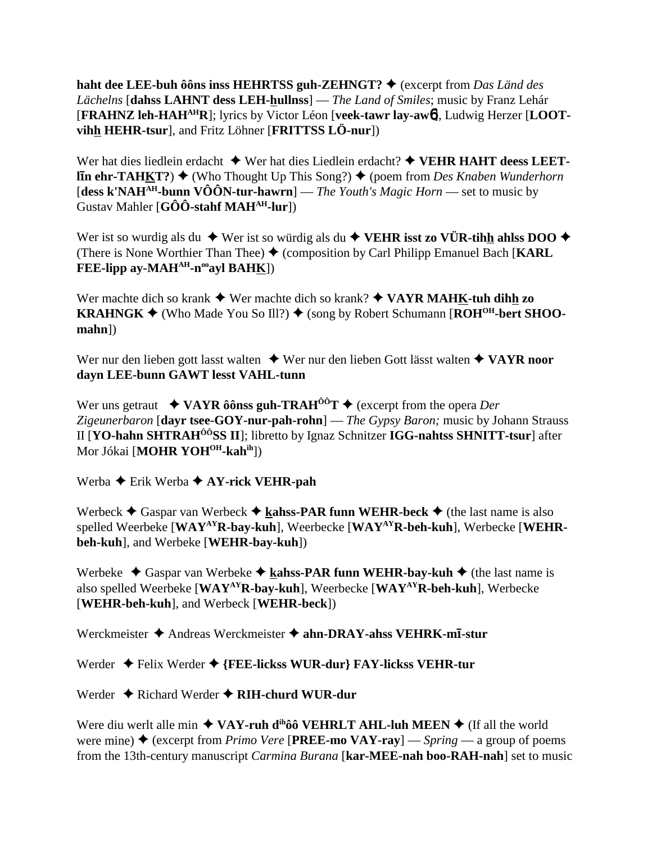haht dee LEE-buh ô ôns inss HEHRTSS guh-ZEHNGT?  $\blacklozenge$  (excerpt from Das Länd des Lächelns [dahss LAHNT dess LEH-hullnss] — The Land of Smiles; music by Franz Lehár [FRAHNZ leh-HAH<sup>AH</sup>R]; lyrics by Victor Léon [veek-tawr lay-aw6], Ludwig Herzer [LOOTvihh HEHR-tsur], and Fritz Löhner [FRITTSS LÖ-nur])

Wer hat dies liedlein erdacht  $\blacklozenge$  Wer hat dies Liedlein erdacht?  $\blacklozenge$  VEHR HAHT deess LEET-**In ehr-TAHKT?)**  $\blacklozenge$  (Who Thought Up This Song?)  $\blacklozenge$  (poem from *Des Knaben Wunderhorn*) [dess k'NAH<sup>AH</sup>-bunn VÔÔN-tur-hawrn] — The Youth's Magic Horn — set to music by Gustav Mahler  $[G\hat{O}\hat{O}$ -stahf MAH<sup>AH</sup>-lur])

Wer ist so wurdig als du  $\blacklozenge$  Wer ist so würdig als du  $\blacklozenge$  VEHR isst zo VÜR-tihh ahlss DOO  $\blacklozenge$ (There is None Worthier Than Thee)  $\blacklozenge$  (composition by Carl Philipp Emanuel Bach [KARL] FEE-lipp ay-MAH<sup>AH</sup>-n<sup>oo</sup>ayl BAH<u>K</u>])

Wer machte dich so krank  $\blacklozenge$  Wer machte dich so krank?  $\blacklozenge$  VAYR MAHK-tuh dihh zo **KRAHNGK**  $\blacklozenge$  (Who Made You So Ill?)  $\blacklozenge$  (song by Robert Schumann [ROH<sup>OH</sup>-bert SHOO- $$ 

Wer nur den lieben gott lasst walten  $\triangle$  Wer nur den lieben Gott lässt walten  $\triangle$  VAYR noor dayn LEE-bunn GAWT lesst VAHL-tunn

Wer uns getraut  $\rightarrow$  VAYR ôônss guh-TRAH<sup>ôô</sup>T  $\rightarrow$  (excerpt from the opera *Der* Zigeunerbaron [dayr tsee-GOY-nur-pah-rohn] — The Gypsy Baron; music by Johann Strauss II [YO-hahn SHTRAH<sup>ÔÔ</sup>SS II]; libretto by Ignaz Schnitzer IGG-nahtss SHNITT-tsur] after Mor Jókai [MOHR YOH<sup>OH</sup>-kahih])

Werba  $\triangle$  Erik Werba  $\triangle$  AY-rick VEHR-pah

Werbeck  $\triangle$  Gaspar van Werbeck  $\triangle$  kahss-PAR funn WEHR-beck  $\triangle$  (the last name is also spelled Weerbeke [WAY<sup>AY</sup>R-bay-kuh], Weerbecke [WAY<sup>AY</sup>R-beh-kuh], Werbecke [WEHRbeh-kuh], and Werbeke [WEHR-bay-kuh])

Werbeke  $\triangle$  Gaspar van Werbeke  $\triangle$  kahss-PAR funn WEHR-bay-kuh  $\triangle$  (the last name is also spelled Weerbeke [WAY<sup>AY</sup>R-bay-kuh], Weerbecke [WAY<sup>AY</sup>R-beh-kuh], Werbecke [WEHR-beh-kuh], and Werbeck [WEHR-beck])

Werckmeister  $\triangle$  Andreas Werckmeister  $\triangle$  ahn-DRAY-ahss VEHRK-m1-stur

Werder  $\triangleleft$  Felix Werder  $\triangleleft$  {FEE-lickss WUR-dur} FAY-lickss VEHR-tur

Werder  $\triangle$  Richard Werder  $\triangle$  RIH-churd WUR-dur

Were diu werlt alle min  $\triangle$  VAY-ruh d<sup>ih</sup>ôô VEHRLT AHL-luh MEEN  $\triangle$  (If all the world were mine)  $\triangle$  (excerpt from *Primo Vere* [**PREE-mo VAY-ray**] — *Spring* — a group of poems from the 13th-century manuscript *Carmina Burana* [kar-MEE-nah boo-RAH-nah] set to music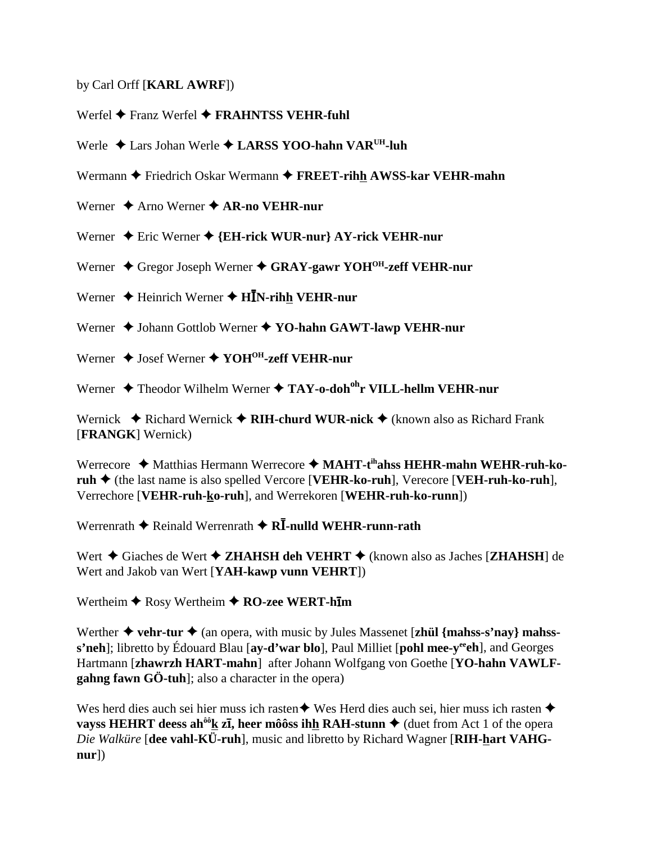by Carl Orff [KARL AWRF])

Werfel  $\blacklozenge$  Franz Werfel  $\blacklozenge$  FRAHNTSS VEHR-fuhl

Werle ◆ Lars Johan Werle ◆ LARSS YOO-hahn VAR<sup>UH</sup>-luh

Wermann ♦ Friedrich Oskar Wermann ♦ FREET-rihh AWSS-kar VEHR-mahn

Werner  $\triangle$  Arno Werner  $\triangle$  AR-no VEHR-nur

Werner  $\triangle$  Eric Werner  $\triangle$  {EH-rick WUR-nur} AY-rick VEHR-nur

Werner  $\triangle$  Gregor Joseph Werner  $\triangle$  GRAY-gawr YOH<sup>OH</sup>-zeff VEHR-nur

Werner  $\triangle$  Heinrich Werner  $\triangle$  HIN-rihh VEHR-nur

Werner ◆ Johann Gottlob Werner ◆ YO-hahn GAWT-lawp VEHR-nur

Werner  $\triangle$  Josef Werner  $\triangle$  YOH<sup>OH</sup>-zeff VEHR-nur

Werner  $\triangle$  Theodor Wilhelm Werner  $\triangle$  TAY-o-doh<sup>oh</sup>r VILL-hellm VEHR-nur

Wernick  $\triangle$  Richard Wernick  $\triangle$  RIH-churd WUR-nick  $\triangle$  (known also as Richard Frank [FRANGK] Wernick)

Werrecore  $\triangle$  Matthias Hermann Werrecore  $\triangle$  MAHT-t<sup>ih</sup>ahss HEHR-mahn WEHR-ruh-ko- $\mathbf{ruh} \triangleq$  (the last name is also spelled Vercore [VEHR-ko-ruh], Verecore [VEH-ruh-ko-ruh], Verrechore [VEHR-ruh-ko-ruh], and Werrekoren [WEHR-ruh-ko-runn])

Werrenrath  $\blacklozenge$  Reinald Werrenrath  $\blacklozenge$  R**I**-nulld WEHR-runn-rath

Wert  $\triangle$  Giaches de Wert  $\triangle$  ZHAHSH deh VEHRT  $\triangle$  (known also as Jaches [ZHAHSH] de Wert and Jakob van Wert [YAH-kawp vunn VEHRT])

Wertheim  $\bigstar$  Rosy Wertheim  $\bigstar$  RO-zee WERT-him

Werther  $\triangle$  vehr-tur  $\triangle$  (an opera, with music by Jules Massenet [zhül {mahss-s'nay} mahsss'neh]; libretto by Édouard Blau [ay-d'war blo], Paul Milliet [pohl mee-y<sup>ee</sup>eh], and Georges Hartmann [zhawrzh HART-mahn] after Johann Wolfgang von Goethe [YO-hahn VAWLFgahng fawn  $G\ddot{\mathrm{o}}$ -tuh]; also a character in the opera)

Wes herd dies auch sei hier muss ich rasten  $\triangle$  Wes Herd dies auch sei, hier muss ich rasten  $\triangle$ vayss HEHRT deess ah<sup> $\delta \hat{\theta}$ </sup>k z**i**, heer môoss ihh RAH-stunn  $\blacklozenge$  (duet from Act 1 of the opera Die Walküre [dee vahl-KÜ-ruh], music and libretto by Richard Wagner [RIH-hart VAHG $nur$ )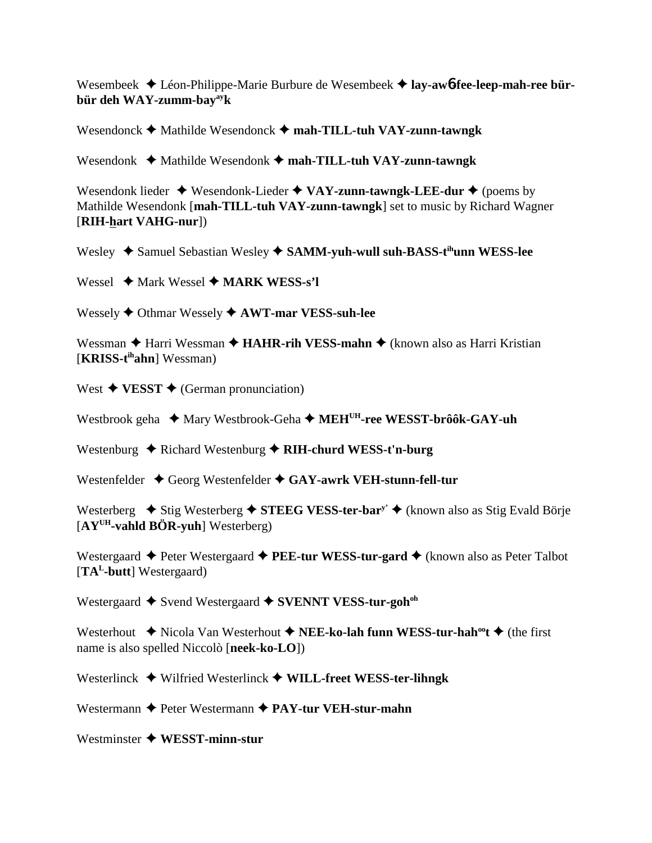Wesembeek Léon-Philippe-Marie Burbure de Wesembeek **lay-aw**6**-fee-leep-mah-ree bürbür deh WAY-zumm-bayayk**

Wesendonck  $\blacklozenge$  Mathilde Wesendonck  $\blacklozenge$  mah-TILL-tuh VAY-zunn-tawngk

Wesendonk  $\triangleleft$  Mathilde Wesendonk  $\triangleleft$  mah-TILL-tuh VAY-zunn-tawngk

Wesendonk lieder  $\triangle$  Wesendonk-Lieder  $\triangle$  VAY-zunn-tawngk-LEE-dur  $\triangle$  (poems by Mathilde Wesendonk [**mah-TILL-tuh VAY-zunn-tawngk**] set to music by Richard Wagner [**RIH-hart VAHG-nur**])

Wesley  $\triangle$  Samuel Sebastian Wesley  $\triangle$  SAMM-yuh-wull suh-BASS-t<sup>ih</sup>unn WESS-lee

Wessel  $\rightarrow$  Mark Wessel  $\rightarrow$  **MARK WESS-s'l** 

Wessely **↑** Othmar Wessely **↑ AWT-mar VESS-suh-lee** 

Wessman  $\triangle$  Harri Wessman  $\triangle$  **HAHR-rih VESS-mahn**  $\triangle$  (known also as Harri Kristian [**KRISS-tihahn**] Wessman)

West  $\triangle$  **VESST**  $\triangle$  (German pronunciation)

Westbrook geha ◆ Mary Westbrook-Geha ◆ MEH<sup>UH</sup>-ree WESST-brôôk-GAY-uh

Westenburg ◆ Richard Westenburg ◆ RIH-churd WESS-t'n-burg

Westenfelder  $\triangle$  Georg Westenfelder  $\triangle$  GAY-awrk VEH-stunn-fell-tur

Westerberg  $\blacklozenge$  Stig Westerberg  $\blacklozenge$  **STEEG VESS-ter-bary**  $\blacklozenge$  (known also as Stig Evald Börje [**AYUH-vahld BÖR-yuh**] Westerberg)

Westergaard  $\triangle$  Peter Westergaard  $\triangle$  **PEE-tur WESS-tur-gard**  $\triangle$  (known also as Peter Talbot [**TAL-butt**] Westergaard)

Westergaard  $\triangle$  Svend Westergaard  $\triangle$  SVENNT VESS-tur-goh<sup>oh</sup>

Westerhout  $\blacklozenge$  Nicola Van Westerhout  $\blacklozenge$  **NEE-ko-lah funn WESS-tur-hah<sup>oo</sup>t**  $\blacklozenge$  (the first name is also spelled Niccolò [**neek-ko-LO**])

Westerlinck  $\blacklozenge$  Wilfried Westerlinck  $\blacklozenge$  WILL-freet WESS-ter-lihngk

Westermann  $\triangle$  Peter Westermann  $\triangle$  PAY-tur VEH-stur-mahn

Westminster **WESST-minn-stur**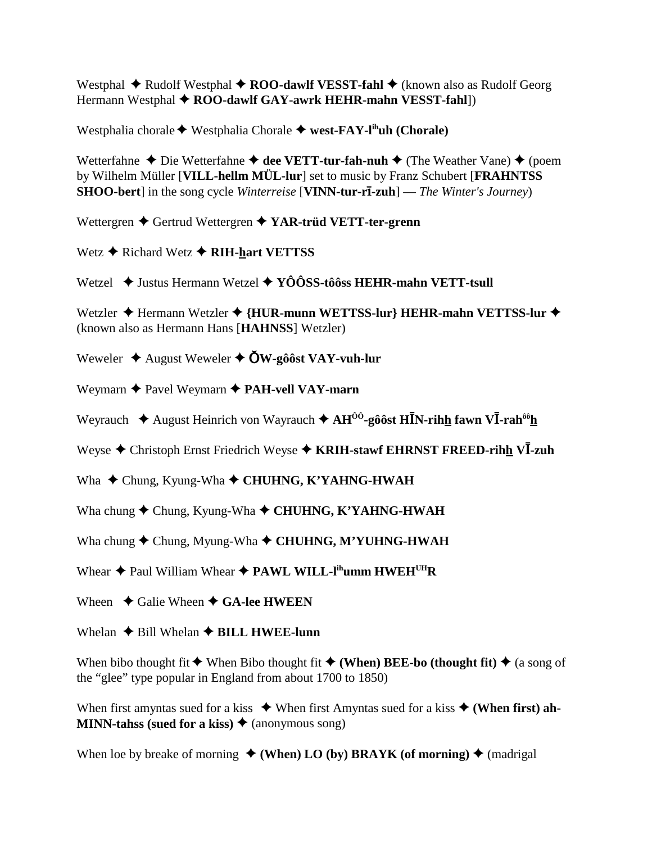Westphal  $\triangle$  Rudolf Westphal  $\triangle$  ROO-dawlf VESST-fahl  $\triangle$  (known also as Rudolf Georg Hermann Westphal ◆ ROO-dawlf GAY-awrk HEHR-mahn VESST-fahl])

Westphalia chorale  $\blacklozenge$  Westphalia Chorale  $\blacklozenge$  west-FAY-l<sup>ih</sup>uh (Chorale)

Wetterfahne  $\triangle$  Die Wetterfahne  $\triangle$  dee VETT-tur-fah-nuh  $\triangle$  (The Weather Vane)  $\triangle$  (poem by Wilhelm Müller [VILL-hellm MÜL-lur] set to music by Franz Schubert [FRAHNTSS] **SHOO-bert** in the song cycle *Winterreise* [VINN-tur-r**ī-zuh**] — *The Winter's Journey*)

Wettergren  $\blacklozenge$  Gertrud Wettergren  $\blacklozenge$  YAR-trüd VETT-ter-grenn

Wetz  $\triangle$  Richard Wetz  $\triangle$  RIH-hart VETTSS

Wetzel  $\div$  Justus Hermann Wetzel  $\div$  YOOSS-tôôss HEHR-mahn VETT-tsull

Wetzler ◆ Hermann Wetzler ◆ {HUR-munn WETTSS-lur} HEHR-mahn VETTSS-lur ◆ (known also as Hermann Hans [HAHNSS] Wetzler)

Weweler  $\triangle$  August Weweler  $\triangle$  OW-gôôst VAY-vuh-lur

Weymarn  $\triangle$  Pavel Weymarn  $\triangle$  PAH-vell VAY-marn

Weyrauch  $\triangleq$  August Heinrich von Wayrauch  $\triangleq AH^{00}$ -gôôst HĪN-rihh fawn VĪ-rah<sup>ôô</sup>h

Weyse  $\triangle$  Christoph Ernst Friedrich Weyse  $\triangle$  KRIH-stawf EHRNST FREED-rihh VI-zuh

Wha  $\triangle$  Chung, Kyung-Wha  $\triangle$  CHUHNG, K'YAHNG-HWAH

Wha chung  $\blacklozenge$  Chung, Kyung-Wha  $\blacklozenge$  CHUHNG, K'YAHNG-HWAH

Wha chung  $\blacklozenge$  Chung, Myung-Wha  $\blacklozenge$  CHUHNG, M'YUHNG-HWAH

Whear  $\triangle$  Paul William Whear  $\triangle$  PAWL WILL-I<sup>ih</sup>umm HWEH<sup>UH</sup>R

Wheen  $\triangle$  Galie Wheen  $\triangle$  GA-lee HWEEN

Whelan  $\triangle$  Bill Whelan  $\triangle$  BILL HWEE-lunn

When bibo thought fit  $\blacklozenge$  When Bibo thought fit  $\blacklozenge$  (When) BEE-bo (thought fit)  $\blacklozenge$  (a song of the "glee" type popular in England from about 1700 to 1850)

When first amyntas sued for a kiss  $\bullet$  When first Amyntas sued for a kiss  $\bullet$  (When first) ah-**MINN-tahss (sued for a kiss)**  $\triangle$  (anonymous song)

When loe by breake of morning  $\triangle$  (When) LO (by) BRAYK (of morning)  $\triangle$  (madrigal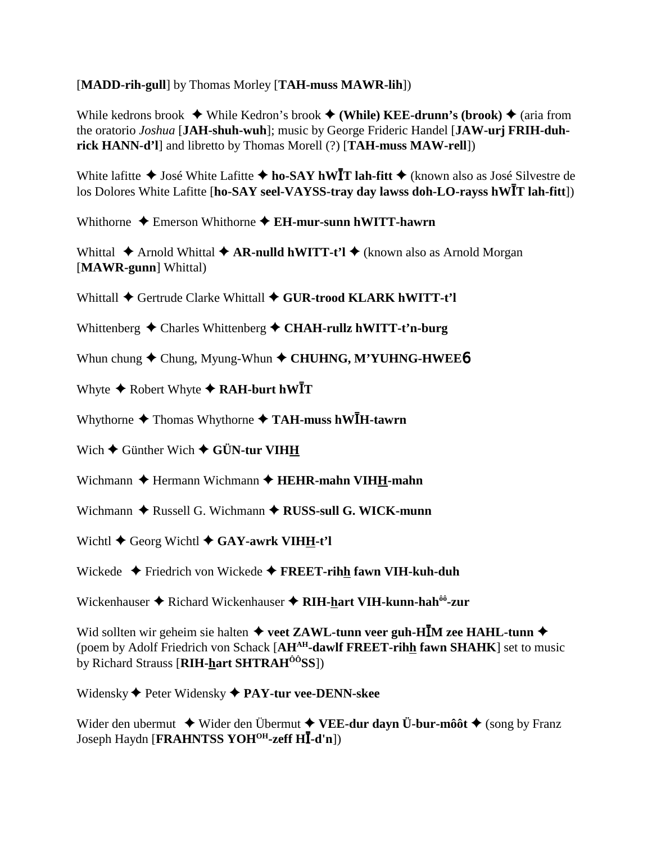[**MADD-rih-gull**] by Thomas Morley [**TAH-muss MAWR-lih**])

While kedrons brook  $\blacklozenge$  While Kedron's brook  $\blacklozenge$  (While) KEE-drunn's (brook)  $\blacklozenge$  (aria from the oratorio *Joshua* [**JAH-shuh-wuh**]; music by George Frideric Handel [**JAW-urj FRIH-duhrick HANN-d'l**] and libretto by Thomas Morell (?) [**TAH-muss MAW-rell**])

White lafitte ◆ José White Lafitte ◆ ho-SAY hWIT lah-fitt ◆ (known also as José Silvestre de los Dolores White Lafitte [ho-SAY seel-VAYSS-tray day lawss doh-LO-rayss hWIT lah-fitt])

Whithorne  $\triangle$  Emerson Whithorne  $\triangle$  **EH-mur-sunn hWITT-hawrn** 

Whittal ◆ Arnold Whittal ◆ **AR-nulld hWITT-t'l** ◆ (known also as Arnold Morgan [**MAWR-gunn**] Whittal)

Whittall  $\blacklozenge$  Gertrude Clarke Whittall  $\blacklozenge$  GUR-trood KLARK hWITT-t'l

Whittenberg  $\triangle$  Charles Whittenberg  $\triangle$  CHAH-rullz hWITT-t'n-burg

Whun chung  $\blacklozenge$  Chung, Myung-Whun  $\blacklozenge$  CHUHNG, M'YUHNG-HWEE<sup>6</sup>

Whyte  $\triangle$  Robert Whyte  $\triangle$  RAH-burt hWIT

Whythorne  $\triangle$  Thomas Whythorne  $\triangle$  TAH-muss hW**IH-tawrn** 

Wich  $\blacklozenge$  Günther Wich  $\blacklozenge$  GÜN-tur VIHH

Wichmann  $\triangle$  Hermann Wichmann  $\triangle$  **HEHR-mahn VIHH-mahn** 

Wichmann  $\triangle$  Russell G. Wichmann  $\triangle$  RUSS-sull G. WICK-munn

Wichtl  $\blacklozenge$  Georg Wichtl  $\blacklozenge$  GAY-awrk VIHH-t'l

Wickede Friedrich von Wickede **FREET-rihh fawn VIH-kuh-duh**

Wickenhauser  $\triangle$  Richard Wickenhauser  $\triangle$  RIH-hart VIH-kunn-hah<sup>ôô</sup>-zur

Wid sollten wir geheim sie halten  $\triangleq$  veet ZAWL-tunn veer guh-HIM zee HAHL-tunn  $\triangleq$ (poem by Adolf Friedrich von Schack [**AHAH-dawlf FREET-rihh fawn SHAHK**] set to music by Richard Strauss [**RIH-hart SHTRAHÔÔSS**])

Widensky Peter Widensky **PAY-tur vee-DENN-skee**

Wider den ubermut  $\blacklozenge$  Wider den Übermut  $\blacklozenge$  **VEE-dur dayn Ü-bur-môôt**  $\blacklozenge$  (song by Franz Joseph Haydn [**FRAHNTSS YOHOH-zeff H**-**-d'n**])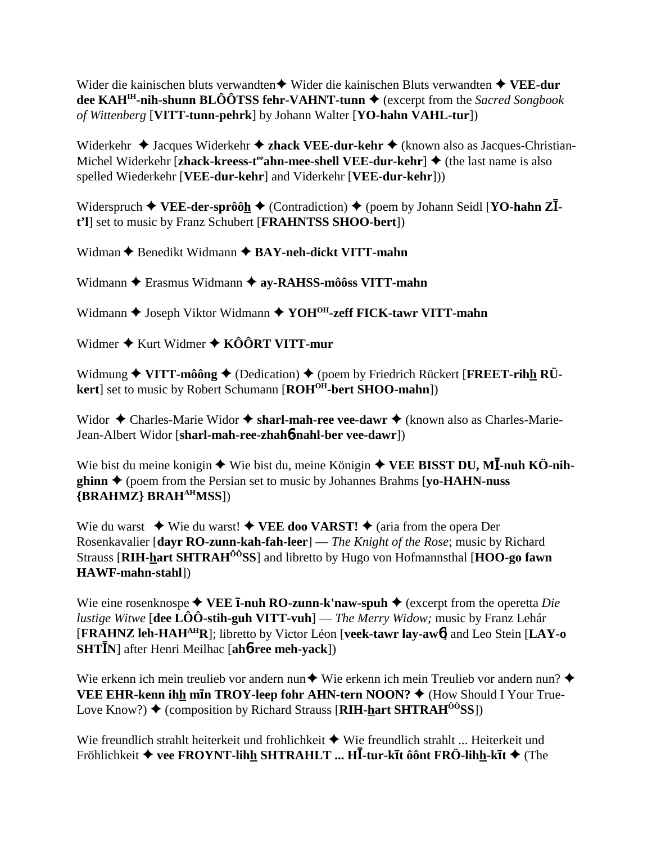Wider die kainischen bluts verwandten $\triangleq$  Wider die kainischen Bluts verwandten  $\triangleq$  VEE-dur dee KAH<sup>IH</sup>-nih-shunn BLÔÔTSS fehr-VAHNT-tunn  $\blacklozenge$  (excerpt from the *Sacred Songbook* of Wittenberg [VITT-tunn-pehrk] by Johann Walter [YO-hahn VAHL-tur])

Widerkehr  $\triangleleft$  Jacques Widerkehr  $\triangleleft$  zhack VEE-dur-kehr  $\triangleleft$  (known also as Jacques-Christian-Michel Widerkehr [zhack-kreess-t<sup>ee</sup> ahn-mee-shell VEE-dur-kehr]  $\triangle$  (the last name is also spelled Wiederkehr [VEE-dur-kehr] and Viderkehr [VEE-dur-kehr]))

Widerspruch  $\blacklozenge$  VEE-der-sprôôh  $\blacklozenge$  (Contradiction)  $\blacklozenge$  (poem by Johann Seidl [YO-hahn Z $\bar{I}$ t'll set to music by Franz Schubert [FRAHNTSS SHOO-bert])

Widman ♦ Benedikt Widmann ♦ BAY-neh-dickt VITT-mahn

Widmann ← Erasmus Widmann ← ay-RAHSS-môôss VITT-mahn

Widmann ♦ Joseph Viktor Widmann ♦ YOH<sup>OH</sup>-zeff FICK-tawr VITT-mahn

Widmer  $\triangle$  Kurt Widmer  $\triangle$  KÔÔRT VITT-mur

Widmung  $\blacklozenge$  VITT-môông  $\blacklozenge$  (Dedication)  $\blacklozenge$  (poem by Friedrich Rückert [FREET-rihh RÜkert] set to music by Robert Schumann [ROH<sup>OH</sup>-bert SHOO-mahn])

Widor  $\triangleleft$  Charles-Marie Widor  $\triangleleft$  sharl-mah-ree vee-dawr  $\triangleleft$  (known also as Charles-Marie-Jean-Albert Widor [sharl-mah-ree-zhah6-nahl-ber vee-dawr])

Wie bist du meine konigin  $\triangle$  Wie bist du, meine Königin  $\triangle$  VEE BISST DU, MI-nuh KÖ-nih**ghinn**  $\triangle$  (poem from the Persian set to music by Johannes Brahms [vo-HAHN-nuss] {BRAHMZ} BRAH<sup>AH</sup>MSS])

Wie du warst  $\blacklozenge$  Wie du warst!  $\blacklozenge$  VEE doo VARST!  $\blacklozenge$  (aria from the opera Der Rosenkavalier [dayr RO-zunn-kah-fah-leer] — The Knight of the Rose; music by Richard Strauss [RIH-hart SHTRAH<sup>00</sup>SS] and libretto by Hugo von Hofmannsthal [HOO-go fawn HAWF-mahn-stahl])

Wie eine rosenknospe  $\blacklozenge$  VEE **I-nuh RO-zunn-k'naw-spuh**  $\blacklozenge$  (excerpt from the operetta *Die lustige Witwe* [dee  $\hat{LOO}$ -stih-guh VITT-vuh] — *The Merry Widow*; music by Franz Lehár [FRAHNZ leh-HAH<sup>AH</sup>R]; libretto by Victor Léon [veek-tawr lay-aw<sup>6</sup>] and Leo Stein [LAY-0] **SHTIN** after Henri Meilhac [ah**o-ree meh-yack**])

Wie erkenn ich mein treulieb vor andern nun $\blacklozenge$  Wie erkenn ich mein Treulieb vor andern nun? VEE EHR-kenn ihh min TROY-leep fohr AHN-tern NOON? ♦ (How Should I Your True-Love Know?)  $\blacklozenge$  (composition by Richard Strauss [RIH-hart SHTRAH<sup> $\hat{o}$ 6</sub>SS])</sup>

Wie freundlich strahlt heiterkeit und frohlichkeit  $\blacklozenge$  Wie freundlich strahlt ... Heiterkeit und Fröhlichkeit ♦ vee FROYNT-lihh SHTRAHLT ... HĪ-tur-kīt ôônt FRÖ-lihh-kīt ♦ (The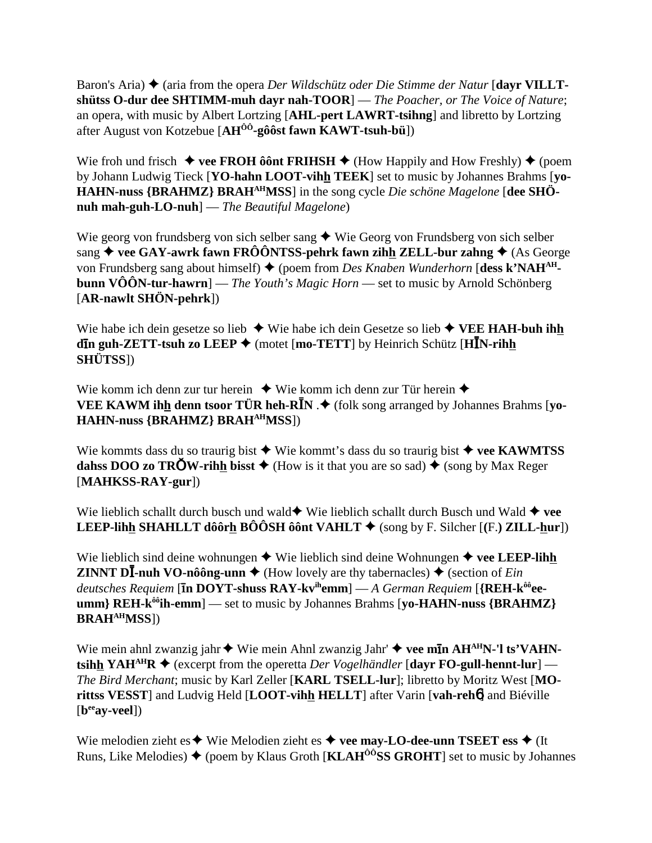Baron's Aria)  $\blacklozenge$  (aria from the opera *Der Wildschütz oder Die Stimme der Natur* [dayr VILLTshütss O-dur dee SHTIMM-muh dayr nah-TOOR]  $-$  The Poacher, or The Voice of Nature; an opera, with music by Albert Lortzing [AHL-pert LAWRT-tsihng] and libretto by Lortzing after August von Kotzebue [AH<sup>00</sup>-gôôst fawn KAWT-tsuh-bü])

Wie froh und frisch  $\blacklozenge$  vee FROH ô ont FRIHSH  $\blacklozenge$  (How Happily and How Freshly)  $\blacklozenge$  (poem by Johann Ludwig Tieck [YO-hahn LOOT-vihh TEEK] set to music by Johannes Brahms [vo-HAHN-nuss {BRAHMZ} BRAH<sup>AH</sup>MSS] in the song cycle Die schöne Magelone [dee SHÖnuh mah-guh-LO-nuh $]-$ The Beautiful Magelone)

Wie georg von frundsberg von sich selber sang  $\triangle$  Wie Georg von Frundsberg von sich selber sang  $\blacklozenge$  vee GAY-awrk fawn FRÔÔNTSS-pehrk fawn zihh ZELL-bur zahng  $\blacklozenge$  (As George von Frundsberg sang about himself)  $\triangleq$  (poem from *Des Knaben Wunderhorn* [dess k'NAH<sup>AH</sup>**bunn VÔÔN-tur-hawrn**] — *The Youth's Magic Horn* — set to music by Arnold Schönberg  $[AR\text{-}nawlt SHÖN\text{-}pehrk])$ 

Wie habe ich dein gesetze so lieb  $\triangleq$  Wie habe ich dein Gesetze so lieb  $\triangleq$  VEE HAH-buh ihh din guh-ZETT-tsuh zo LEEP ♦ (motet [mo-TETT] by Heinrich Schütz [HIN-rihh **SHÜTSS])** 

Wie komm ich denn zur tur herein  $\bullet$  Wie komm ich denn zur Tür herein  $\bullet$ VEE KAWM ihh denn tsoor TÜR heh-R $\bar{I}N \cdot \blacklozenge$  (folk song arranged by Johannes Brahms [yo-**HAHN-nuss {BRAHMZ} BRAH<sup>AH</sup>MSS**])

Wie kommts dass du so traurig bist  $\triangleq$  Wie kommt's dass du so traurig bist  $\triangleq$  vee KAWMTSS dahss DOO zo TROW-rihh bisst  $\triangle$  (How is it that you are so sad)  $\triangle$  (song by Max Reger  $[MAHKSS-RAY-gur]$ 

Wie lieblich schallt durch busch und wald Wie lieblich schallt durch Busch und Wald  $\blacklozenge$  vee **LEEP-lihh SHAHLLT dôôrh BÔÔSH ôônt VAHLT**  $\blacklozenge$  (song by F. Silcher [(F.) **ZILL-hur**])

Wie lieblich sind deine wohnungen  $\blacklozenge$  Wie lieblich sind deine Wohnungen  $\blacklozenge$  vee LEEP-lihh **ZINNT DI-nuh VO-nôông-unn**  $\blacklozenge$  (How lovely are thy tabernacles)  $\blacklozenge$  (section of *Ein*) deutsches Requiem [ $\overline{\text{In DOYT}}$ -shuss RAY-kv<sup>ih</sup>emm] — A German Requiem [{REH-k<sup>ôô</sup>ee- $\text{umm}$  REH- $k^{00}$ ih-emm $]$  — set to music by Johannes Brahms [vo-HAHN-nuss {BRAHMZ} **BRAHAHMSS])** 

Wie mein ahnl zwanzig jahr  $\blacklozenge$  Wie mein Ahnl zwanzig Jahr'  $\blacklozenge$  vee min AH<sup>AH</sup>N-'l ts'VAHNtsihh YAH<sup>AH</sup>R  $\blacklozenge$  (excerpt from the operetta *Der Vogelhändler* [dayr FO-gull-hennt-lur] — The Bird Merchant; music by Karl Zeller [KARL TSELL-lur]; libretto by Moritz West [MOrittss VESST] and Ludvig Held [LOOT-vihh HELLT] after Varin [vah-reho] and Biéville  $[b^{ee}av-veel]$ 

Wie melodien zieht es  $\triangle$  Wie Melodien zieht es  $\triangle$  vee may-LO-dee-unn TSEET ess  $\triangle$  (It Runs, Like Melodies)  $\blacklozenge$  (poem by Klaus Groth [KLAH<sup> $\hat{o}$ ôSS GROHT] set to music by Johannes</sup>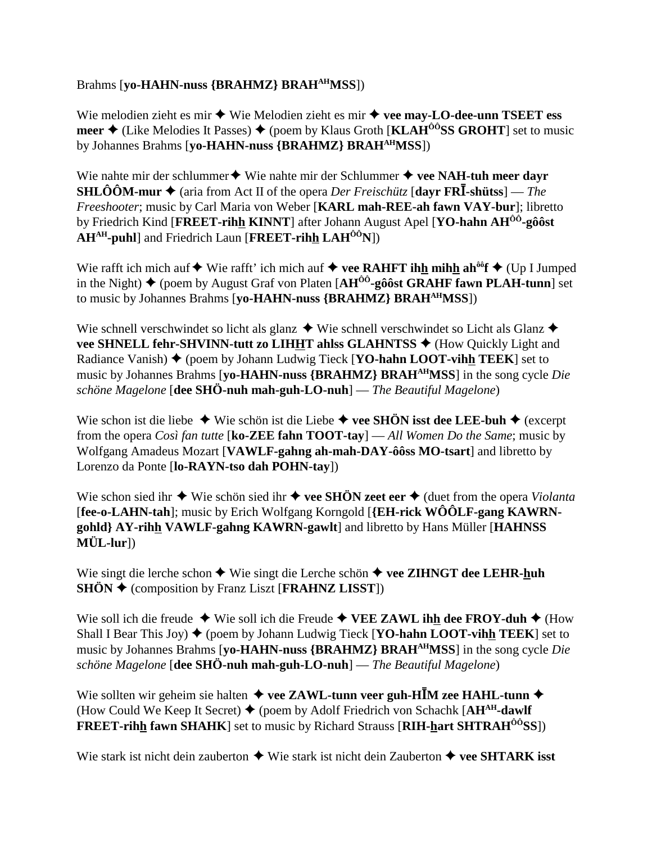## Brahms [**yo-HAHN-nuss {BRAHMZ} BRAHAHMSS**])

Wie melodien zieht es mir  $\triangle$  Wie Melodien zieht es mir  $\triangle$  vee may-LO-dee-unn TSEET ess **meer**  $\triangle$  (Like Melodies It Passes)  $\triangle$  (poem by Klaus Groth [**KLAH<sup>ôô</sup>SS GROHT**] set to music by Johannes Brahms [**yo-HAHN-nuss {BRAHMZ} BRAHAHMSS**])

Wie nahte mir der schlummer  $\triangle$  Wie nahte mir der Schlummer  $\triangle$  vee NAH-tuh meer dayr **SHLÔÔM-mur ♦** (aria from Act II of the opera *Der Freischütz* [dayr FRĪ-shütss] — *The Freeshooter*; music by Carl Maria von Weber [**KARL mah-REE-ah fawn VAY-bur**]; libretto by Friedrich Kind [**FREET-rihh KINNT**] after Johann August Apel [**YO-hahn AHÔÔ-gôôst AHAH-puhl**] and Friedrich Laun [**FREET-rihh LAHÔÔN**])

Wie rafft ich mich auf  $\blacklozenge$  Wie rafft' ich mich auf  $\blacklozenge$  **vee RAHFT ihh mihh ah**<sup>ôô</sup>**f**  $\blacklozenge$  (Up I Jumped in the Night)  $\triangle$  (poem by August Graf von Platen  $[AH^{00}$ -gôôst GRAHF fawn PLAH-tunn] set to music by Johannes Brahms [**yo-HAHN-nuss {BRAHMZ} BRAHAHMSS**])

Wie schnell verschwindet so licht als glanz  $\blacklozenge$  Wie schnell verschwindet so Licht als Glanz  $\blacklozenge$ **vee SHNELL fehr-SHVINN-tutt zo LIHHT ahlss GLAHNTSS ♦** (How Quickly Light and Radiance Vanish)  $\blacklozenge$  (poem by Johann Ludwig Tieck [**YO-hahn LOOT-vihh TEEK**] set to music by Johannes Brahms [**yo-HAHN-nuss {BRAHMZ} BRAHAHMSS**] in the song cycle *Die schöne Magelone* [**dee SHÖ-nuh mah-guh-LO-nuh**] — *The Beautiful Magelone*)

Wie schon ist die liebe ◆ Wie schön ist die Liebe ◆ vee SHÖN isst dee LEE-buh ◆ (excerpt from the opera *Così fan tutte* [**ko-ZEE fahn TOOT-tay**] — *All Women Do the Same*; music by Wolfgang Amadeus Mozart [**VAWLF-gahng ah-mah-DAY-ôôss MO-tsart**] and libretto by Lorenzo da Ponte [**lo-RAYN-tso dah POHN-tay**])

Wie schon sied ihr  $\triangle$  Wie schön sied ihr  $\triangle$  vee SHÖN zeet eer  $\triangle$  (duet from the opera *Violanta* [**fee-o-LAHN-tah**]; music by Erich Wolfgang Korngold [**{EH-rick WÔÔLF-gang KAWRNgohld} AY-rihh VAWLF-gahng KAWRN-gawlt**] and libretto by Hans Müller [**HAHNSS MÜL-lur**])

Wie singt die lerche schon  $\triangle$  Wie singt die Lerche schön  $\triangle$  vee ZIHNGT dee LEHR-huh **SHÖN ♦** (composition by Franz Liszt [**FRAHNZ LISST**])

Wie soll ich die freude  $\blacklozenge$  Wie soll ich die Freude  $\blacklozenge$  VEE ZAWL ihh dee FROY-duh  $\blacklozenge$  (How Shall I Bear This Joy)  $\blacklozenge$  (poem by Johann Ludwig Tieck [**YO-hahn LOOT-vihh TEEK**] set to music by Johannes Brahms [**yo-HAHN-nuss {BRAHMZ} BRAHAHMSS**] in the song cycle *Die schöne Magelone* [**dee SHÖ-nuh mah-guh-LO-nuh**] — *The Beautiful Magelone*)

Wie sollten wir geheim sie halten  $\triangleq$  vee ZAWL-tunn veer guh-HIM zee HAHL-tunn  $\triangleq$ (How Could We Keep It Secret)  $\blacklozenge$  (poem by Adolf Friedrich von Schachk [AH<sup>AH</sup>-dawlf] **FREET-rihh fawn SHAHK**] set to music by Richard Strauss [**RIH-hart SHTRAHÔÔSS**])

Wie stark ist nicht dein zauberton  $\triangle$  Wie stark ist nicht dein Zauberton  $\triangle$  vee SHTARK isst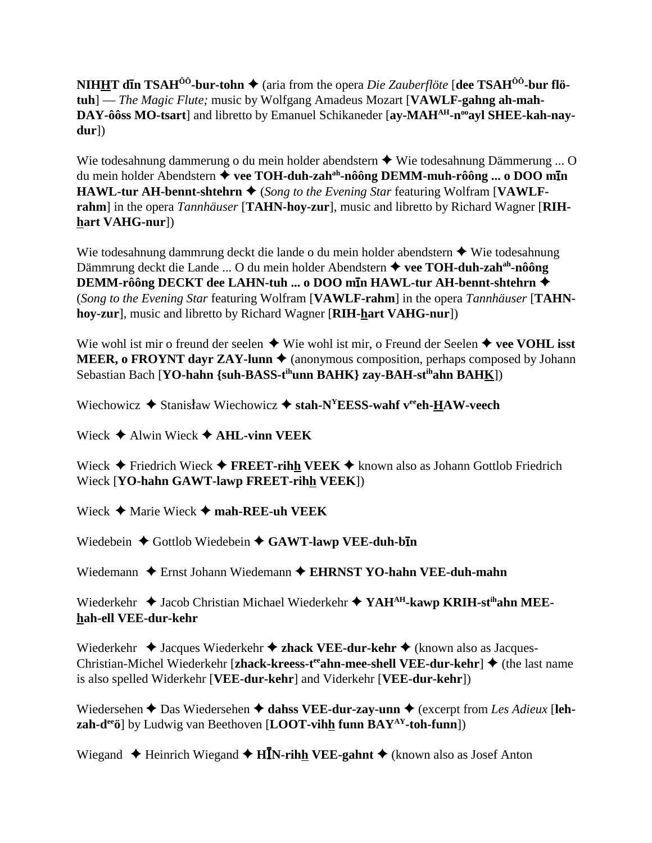**NIHHT dn TSAH<sup>ÔÔ</sup>-bur-tohn**  $\blacklozenge$  (aria from the opera *Die Zauberflöte* [dee **TSAH<sup>ÔÔ</sup>-bur flötuh**] — *The Magic Flute;* music by Wolfgang Amadeus Mozart [**VAWLF-gahng ah-mah-**DAY-ôôss MO-tsart] and libretto by Emanuel Schikaneder [ay-MAH<sup>AH</sup>-n<sup>oo</sup>ayl SHEE-kah-nay**dur**])

Wie todesahnung dammerung o du mein holder abendstern  $\triangle$  Wie todesahnung Dämmerung ... O du mein holder Abendstern **vee TOH-duh-zahah-nôông DEMM-muh-rôông ... o DOO mn HAWL-tur AH-bennt-shtehrn ♦** (*Song to the Evening Star featuring Wolfram* [**VAWLFrahm**] in the opera *Tannhäuser* [**TAHN-hoy-zur**], music and libretto by Richard Wagner [**RIHhart VAHG-nur**])

Wie todesahnung dammrung deckt die lande o du mein holder abendstern  $\triangle$  Wie todesahnung Dämmrung deckt die Lande ... O du mein holder Abendstern **vee TOH-duh-zahah-nôông DEMM-rôông DECKT dee LAHN-tuh ... o DOO m<u>i</u>n HAWL-tur AH-bennt-shtehrn ◆** (*Song to the Evening Star* featuring Wolfram [**VAWLF-rahm**] in the opera *Tannhäuser* [**TAHNhoy-zur**], music and libretto by Richard Wagner [**RIH-hart VAHG-nur**])

Wie wohl ist mir o freund der seelen  $\blacklozenge$  Wie wohl ist mir, o Freund der Seelen  $\blacklozenge$  **vee VOHL isst MEER, o FROYNT dayr ZAY-lunn**  $\triangle$  (anonymous composition, perhaps composed by Johann Sebastian Bach [**YO-hahn {suh-BASS-tihunn BAHK} zay-BAH-stihahn BAHK**])

Wiechowicz  $\blacklozenge$  Stanisław Wiechowicz  $\blacklozenge$  stah-N<sup>Y</sup>EESS-wahf v<sup>ee</sup>eh-HAW-veech

Wieck  $\triangle$  Alwin Wieck  $\triangle$  **AHL-vinn VEEK** 

Wieck **→** Friedrich Wieck → FREET-rihh VEEK → known also as Johann Gottlob Friedrich Wieck [**YO-hahn GAWT-lawp FREET-rihh VEEK**])

Wieck **→** Marie Wieck → mah-REE-uh VEEK

Wiedebein  $\triangle$  Gottlob Wiedebein  $\triangle$  GAWT-lawp VEE-duh-b**in** 

Wiedemann Ernst Johann Wiedemann **EHRNST YO-hahn VEE-duh-mahn**

Wiederkehr  $\triangleq$  Jacob Christian Michael Wiederkehr  $\triangleq$  YAH<sup>AH</sup>-kawp KRIH-st<sup>ih</sup>ahn MEE**hah-ell VEE-dur-kehr**

Wiederkehr  $\triangleleft$  Jacques Wiederkehr  $\triangleleft$  **zhack VEE-dur-kehr**  $\triangleleft$  (known also as Jacques-Christian-Michel Wiederkehr [zhack-kreess-t<sup>ee</sup>ahn-mee-shell VEE-dur-kehr] ♦ (the last name is also spelled Widerkehr [**VEE-dur-kehr**] and Viderkehr [**VEE-dur-kehr**])

Wiedersehen  $\triangle$  Das Wiedersehen  $\triangle$  dahss VEE-dur-zay-unn  $\triangle$  (excerpt from *Les Adieux* [leh**zah-deeö**] by Ludwig van Beethoven [**LOOT-vihh funn BAYAY-toh-funn**])

Wiegand ◆ Heinrich Wiegand ◆ H**IN-rih<u>h</u> VEE-gahnt** ◆ (known also as Josef Anton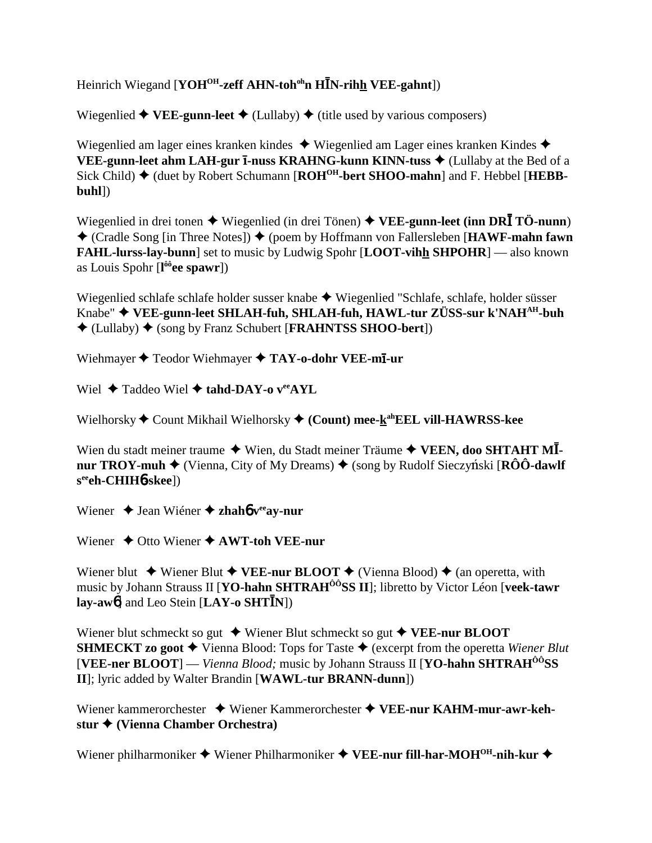Heinrich Wiegand [YOH<sup>OH</sup>-zeff AHN-toh<sup>oh</sup>n HĪN-rihh VEE-gahnt])

Wiegenlied  $\blacklozenge$  VEE-gunn-leet  $\blacklozenge$  (Lullaby)  $\blacklozenge$  (title used by various composers)

Wiegenlied am lager eines kranken kindes  $\triangle$  Wiegenlied am Lager eines kranken Kindes  $\triangle$ VEE-gunn-leet ahm LAH-gur I-nuss KRAHNG-kunn KINN-tuss ♦ (Lullaby at the Bed of a Sick Child) ◆ (duet by Robert Schumann [ROH<sup>OH</sup>-bert SHOO-mahn] and F. Hebbel [HEBB- $\text{buhl}$ 

Wiegenlied in drei tonen  $\triangleq$  Wiegenlied (in drei Tönen)  $\triangleq$  VEE-gunn-leet (inn DRI TÖ-nunn)  $\triangle$  (Cradle Song [in Three Notes])  $\triangle$  (poem by Hoffmann von Fallersleben [HAWF-mahn fawn **FAHL-lurss-lay-bunn** set to music by Ludwig Spohr [LOOT-vihh SHPOHR] — also known as Louis Spohr  $[1<sup>ôô</sup>ee spawr]$ )

Wiegenlied schlafe schlafe holder susser knabe ◆ Wiegenlied "Schlafe, schlafe, holder süsser Knabe" ◆ VEE-gunn-leet SHLAH-fuh, SHLAH-fuh, HAWL-tur ZÜSS-sur k'NAH<sup>AH</sup>-buh  $\triangle$  (Lullaby)  $\triangle$  (song by Franz Schubert [**FRAHNTSS SHOO-bert**])

Wiehmayer  $\blacklozenge$  Teodor Wiehmayer  $\blacklozenge$  TAY-o-dohr VEE-mI-ur

Wiel  $\triangle$  Taddeo Wiel  $\triangle$  tahd-DAY-o v<sup>ee</sup>AYL

Wielhorsky ◆ Count Mikhail Wielhorsky ◆ (Count) mee-kahEEL vill-HAWRSS-kee

Wien du stadt meiner traume  $\blacklozenge$  Wien, du Stadt meiner Träume  $\blacklozenge$  VEEN, doo SHTAHT MInur TROY-muh  $\blacklozenge$  (Vienna, City of My Dreams)  $\blacklozenge$  (song by Rudolf Sieczyński [RÔÔ-dawlf]  $s^{\rm ee}$ eh-CHIH $b$ -skee])

Wiener  $\triangle$  Jean Wiener  $\triangle$  zhaho v<sup>ee</sup> av-nur

Wiener  $\triangle$  Otto Wiener  $\triangle$  AWT-toh VEE-nur

Wiener blut  $\blacklozenge$  Wiener Blut  $\blacklozenge$  VEE-nur BLOOT  $\blacklozenge$  (Vienna Blood)  $\blacklozenge$  (an operetta, with music by Johann Strauss II [**YO-hahn SHTRAH<sup>ôô</sup>SS II**]; libretto by Victor Léon [veek-tawr]  $\text{lay-aw6}$ ] and Leo Stein [LAY-o SHT $\bar{I}$ N])

Wiener blut schmeckt so gut  $\blacklozenge$  Wiener Blut schmeckt so gut  $\blacklozenge$  VEE-nur BLOOT **SHMECKT zo goot**  $\blacklozenge$  Vienna Blood: Tops for Taste  $\blacklozenge$  (excerpt from the operetta Wiener Blut [VEE-ner BLOOT] — Vienna Blood; music by Johann Strauss II [YO-hahn SHTRAH $^{00}$ SS II]; lyric added by Walter Brandin [WAWL-tur BRANN-dunn])

Wiener kammerorchester  $\rightarrow$  Wiener Kammerorchester  $\rightarrow$  VEE-nur KAHM-mur-awr-kehstur ♦ (Vienna Chamber Orchestra)

Wiener philharmoniker  $\blacklozenge$  Wiener Philharmoniker  $\blacklozenge$  VEE-nur fill-har-MOH<sup>OH</sup>-nih-kur  $\blacklozenge$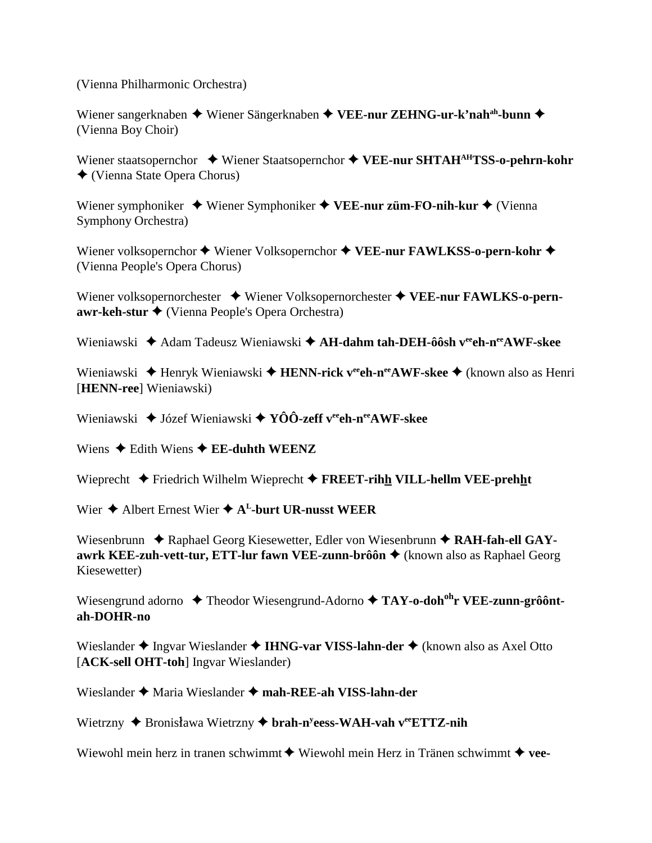(Vienna Philharmonic Orchestra)

Wiener sangerknaben ◆ Wiener Sängerknaben ◆ VEE-nur ZEHNG-ur-k'nah<sup>ah</sup>-bunn ◆ (Vienna Boy Choir)

Wiener staatsopernchor  $\triangleq$  Wiener Staatsopernchor  $\triangleq$  VEE-nur SHTAH<sup>AH</sup>TSS-o-pehrn-kohr ◆ (Vienna State Opera Chorus)

Wiener symphoniker  $\blacklozenge$  Wiener Symphoniker  $\blacklozenge$  VEE-nur züm-FO-nih-kur  $\blacklozenge$  (Vienna **Symphony Orchestra**)

Wiener volksopernchor  $\blacklozenge$  Wiener Volksopernchor  $\blacklozenge$  VEE-nur FAWLKSS-o-pern-kohr  $\blacklozenge$ (Vienna People's Opera Chorus)

Wiener volksopernorchester  $\rightarrow$  Wiener Volksopernorchester  $\rightarrow$  VEE-nur FAWLKS-o-pern $awr\text{-}keh\text{-}stur \blacklozenge$  (Vienna People's Opera Orchestra)

Wieniawski  $\triangleq$  Adam Tadeusz Wieniawski  $\triangleq$  AH-dahm tah-DEH- $\hat{\theta}$ ôsh v<sup>ee</sup>ch-n<sup>ee</sup>AWF-skee

Wieniawski  $\triangleq$  Henryk Wieniawski  $\triangleq$  HENN-rick v<sup>ee</sup>ch-n<sup>ee</sup>AWF-skee  $\triangleq$  (known also as Henri [HENN-ree] Wieniawski)

Wieniawski  $\triangleq$  Józef Wieniawski  $\triangleq$  YÔÔ-zeff v<sup>ee</sup>ch-n<sup>ee</sup>AWF-skee

Wiens  $\triangle$  Edith Wiens  $\triangle$  EE-duhth WEENZ

Wieprecht  $\blacklozenge$  Friedrich Wilhelm Wieprecht  $\blacklozenge$  FREET-rihh VILL-hellm VEE-prehht

Wier  $\triangle$  Albert Ernest Wier  $\triangle$  A<sup>L</sup>-burt UR-nusst WEER

Wiesenbrunn  $\triangle$  Raphael Georg Kiesewetter, Edler von Wiesenbrunn  $\triangle$  RAH-fah-ell GAYawrk KEE-zuh-vett-tur, ETT-lur fawn VEE-zunn-brôôn ◆ (known also as Raphael Georg Kiesewetter)

Wiesengrund adorno  $\triangle$  Theodor Wiesengrund-Adorno  $\triangle$  TAY-o-doh<sup>oh</sup>r VEE-zunn-grôôntah-DOHR-no

Wieslander  $\triangle$  Ingvar Wieslander  $\triangle$  IHNG-var VISS-lahn-der  $\triangle$  (known also as Axel Otto [ACK-sell OHT-toh] Ingvar Wieslander)

Wieslander  $\triangle$  Maria Wieslander  $\triangle$  mah-REE-ah VISS-lahn-der

Wietrzny ◆ Bronisława Wietrzny ◆ brah-n<sup>y</sup>eess-WAH-vah veeETTZ-nih

Wiewohl mein herz in tranen schwimmt  $\blacklozenge$  Wiewohl mein Herz in Tränen schwimmt  $\blacklozenge$  vee-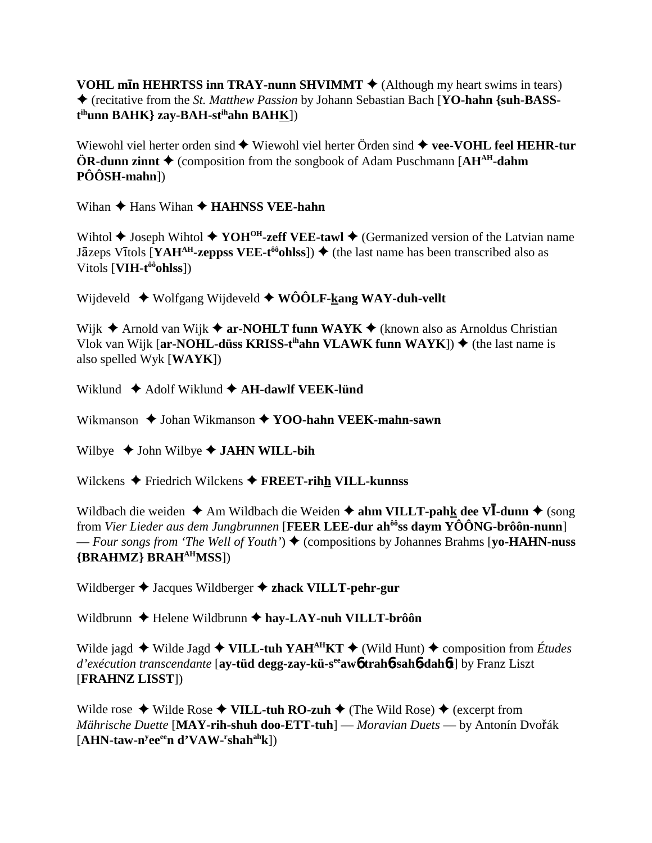**VOHL mIn HEHRTSS inn TRAY-nunn SHVIMMT**  $\triangle$  (Although my heart swims in tears) ♦ (recitative from the St. Matthew Passion by Johann Sebastian Bach [YO-hahn {suh-BASS- $\mathbf{t}^{\text{ih}}$ unn BAHK} zay-BAH-s $\mathbf{t}^{\text{ih}}$ ahn BAHK])

Wiewohl viel herter orden sind  $\blacklozenge$  Wiewohl viel herter Örden sind  $\blacklozenge$  vee-VOHL feel HEHR-tur **ÖR-dunn zinnt**  $\triangle$  (composition from the songbook of Adam Puschmann [AH<sup>AH</sup>-dahm]  $\hat{PO}$ ÔSH-mahn])

Wihan  $\triangle$  Hans Wihan  $\triangle$  HAHNSS VEE-hahn

Wihtol  $\blacklozenge$  Joseph Wihtol  $\blacklozenge$  YOH<sup>OH</sup>-zeff VEE-tawl  $\blacklozenge$  (Germanized version of the Latvian name Jāzeps Vītols [YAH<sup>AH</sup>-zeppss VEE-t<sup>ôo</sup>ohlss])  $\blacklozenge$  (the last name has been transcribed also as Vitols  $[**VIH**-**t**<sup>ôô</sup>ohlss])$ 

Wijdeveld  $\blacklozenge$  Wolfgang Wijdeveld  $\blacklozenge$  WÔÔLF-kang WAY-duh-vellt

Wijk  $\triangle$  Arnold van Wijk  $\triangle$  ar-NOHLT funn WAYK  $\triangle$  (known also as Arnoldus Christian Vlok van Wijk [ar-NOHL-düss KRISS-t<sup>ih</sup>ahn VLAWK funn WAYK])  $\blacklozenge$  (the last name is also spelled Wyk  $[{\bf WAYK}])$ 

Wiklund  $\triangle$  Adolf Wiklund  $\triangle$  AH-dawlf VEEK-lünd

Wikmanson  $\triangle$  Johan Wikmanson  $\triangle$  YOO-hahn VEEK-mahn-sawn

Wilbye  $\triangleleft$  John Wilbye  $\triangleleft$  JAHN WILL-bih

Wilckens  $\blacklozenge$  Friedrich Wilckens  $\blacklozenge$  FREET-rihh VILL-kunnss

Wildbach die weiden  $\triangle$  Am Wildbach die Weiden  $\triangle$  ahm VILLT-pahk dee VI-dunn  $\triangle$  (song from Vier Lieder aus dem Jungbrunnen [FEER LEE-dur ah $^{66}$ ss daym YÔÔNG-brôôn-nunn] — Four songs from 'The Well of Youth')  $\blacklozenge$  (compositions by Johannes Brahms [vo-HAHN-nuss] {BRAHMZ} BRAH<sup>AH</sup>MSS])

Wildberger  $\triangle$  Jacques Wildberger  $\triangle$  zhack VILLT-pehr-gur

Wildbrunn  $\triangle$  Helene Wildbrunn  $\triangle$  hay-LAY-nuh VILLT-brôôn

Wilde jagd  $\blacklozenge$  Wilde Jagd  $\blacklozenge$  VILL-tuh YAH<sup>AH</sup>KT  $\blacklozenge$  (Wild Hunt)  $\blacklozenge$  composition from *Études* d'exécution transcendante [ay-tüd degg-zay-kü-s<sup>ee</sup>awb trahb-sahb-dahbt] by Franz Liszt [FRAHNZ LISST])

Wilde rose  $\blacklozenge$  Wilde Rose  $\blacklozenge$  VILL-tuh RO-zuh  $\blacklozenge$  (The Wild Rose)  $\blacklozenge$  (excerpt from Mährische Duette [MAY-rih-shuh doo-ETT-tuh] — Moravian Duets — by Antonín Dvořák  $[AHN-taw-n<sup>y</sup>ee<sup>ee</sup>n d'VAW-rshah<sup>ah</sup>k])$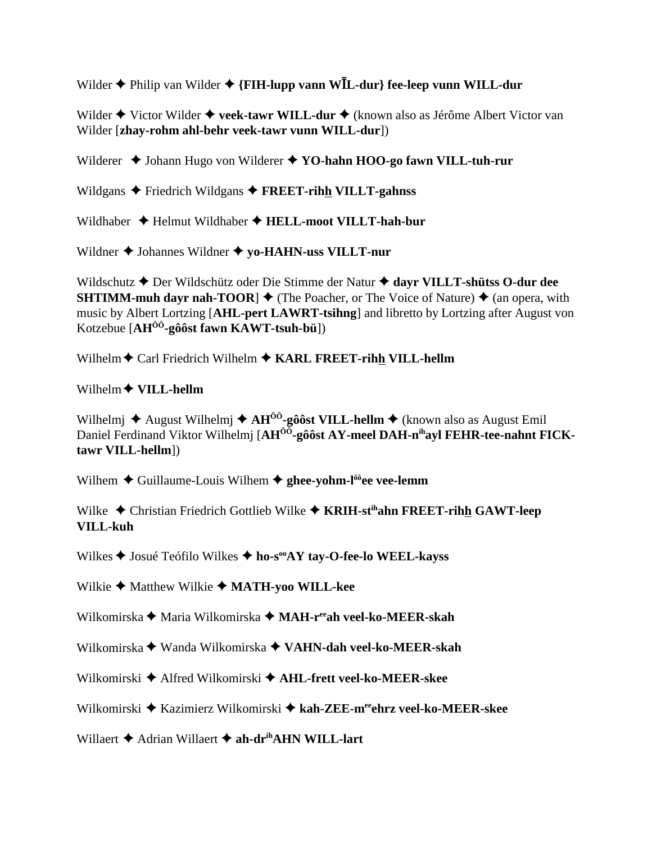Wilder  $\blacklozenge$  Philip van Wilder  $\blacklozenge$  {FIH-lupp vann WIL-dur} fee-leep vunn WILL-dur

Wilder ♦ Victor Wilder ♦ veek-tawr WILL-dur ♦ (known also as Jérôme Albert Victor van Wilder [zhay-rohm ahl-behr veek-tawr vunn WILL-dur])

Wilderer ♦ Johann Hugo von Wilderer ♦ YO-hahn HOO-go fawn VILL-tuh-rur

Wildgans  $\triangle$  Friedrich Wildgans  $\triangle$  FREET-rihh VILLT-gahnss

Wildhaber  $\triangleleft$  Helmut Wildhaber  $\triangleleft$  HELL-moot VILLT-hah-bur

Wildner  $\blacklozenge$  Johannes Wildner  $\blacklozenge$  yo-HAHN-uss VILLT-nur

Wildschutz ♦ Der Wildschütz oder Die Stimme der Natur ♦ dayr VILLT-shütss O-dur dee **SHTIMM-muh dayr nah-TOOR**  $\triangleq$  (The Poacher, or The Voice of Nature)  $\triangleq$  (an opera, with music by Albert Lortzing [AHL-pert LAWRT-tsihng] and libretto by Lortzing after August von Kotzebue  $[AH^{00}$ -gôôst fawn KAWT-tsuh-bü])

Wilhelm  $\triangle$  Carl Friedrich Wilhelm  $\triangle$  KARL FREET-rihh VILL-hellm

Wilhelm  $\bigstar$  VILL-hellm

Wilhelmi  $\triangle$  August Wilhelmi  $\triangle$  AH<sup> $\hat{0}$ </sup>-gôôst VILL-hellm  $\triangle$  (known also as August Emil Daniel Ferdinand Viktor Wilhelmi [AH<sup>00</sup>-gôôst AY-meel DAH-n<sup>ih</sup>ayl FEHR-tee-nahnt FICKtawr VILL-hellm])

Wilhem  $\triangle$  Guillaume-Louis Wilhem  $\triangle$  ghee-vohm-l<sup> $\hat{0}$ </sup>ee vee-lemm

Wilke  $\triangle$  Christian Friedrich Gottlieb Wilke  $\triangle$  KRIH-st<sup>ih</sup>ahn FREET-rihh GAWT-leep **VILL-kuh** 

Wilkes ♦ Josué Teófilo Wilkes ♦ ho-s<sup>oo</sup>AY tay-O-fee-lo WEEL-kayss

Wilkie  $\triangle$  Matthew Wilkie  $\triangle$  MATH-voo WILL-kee

Wilkomirska ← Maria Wilkomirska ← MAH-ree ah veel-ko-MEER-skah

Wilkomirska ◆ Wanda Wilkomirska ◆ VAHN-dah veel-ko-MEER-skah

Wilkomirski ◆ Alfred Wilkomirski ◆ AHL-frett veel-ko-MEER-skee

Wilkomirski ◆ Kazimierz Wilkomirski ◆ kah-ZEE-meehrz veel-ko-MEER-skee

Willaert  $\triangle$  Adrian Willaert  $\triangle$  ah-dr<sup>ih</sup>AHN WILL-lart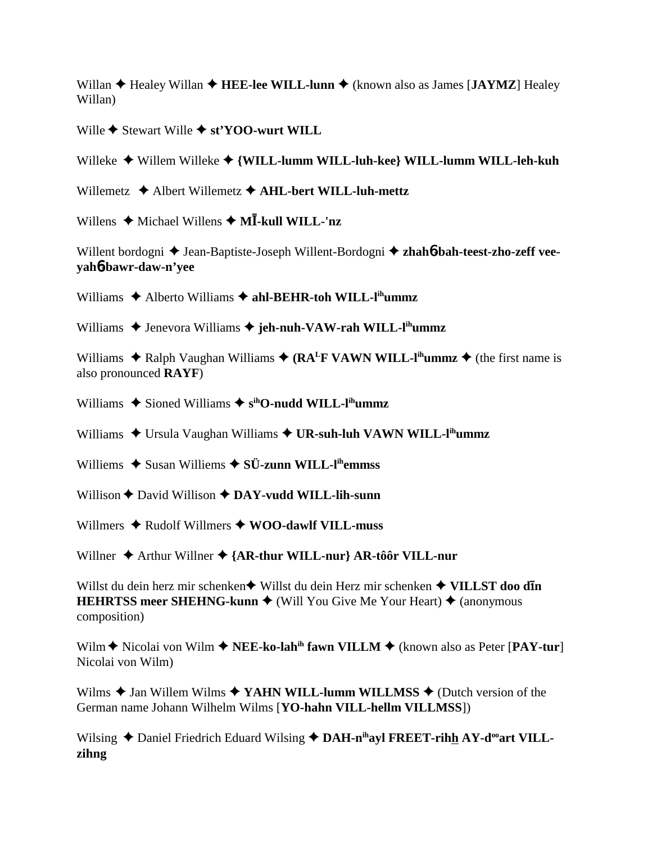Willan  $\triangle$  Healey Willan  $\triangle$  HEE-lee WILL-lunn  $\triangle$  (known also as James [JAYMZ] Healey Willan)

Wille  $\triangle$  Stewart Wille  $\triangle$  st'YOO-wurt WILL

Willeke ◆ Willem Willeke ◆ {WILL-lumm WILL-luh-kee} WILL-lumm WILL-leh-kuh

Willemetz  $\triangle$  Albert Willemetz  $\triangle$  AHL-bert WILL-luh-mettz

Willens  $\triangleleft$  Michael Willens  $\triangleleft$  MI-kull WILL-'nz

Willent bordogni  $\triangle$  Jean-Baptiste-Joseph Willent-Bordogni  $\triangle$  zhahó-bah-teest-zho-zeff veevahb-bawr-daw-n'vee

Williams  $\triangle$  Alberto Williams  $\triangle$  ahl-BEHR-toh WILL-l<sup>ih</sup>ummz

Williams  $\triangle$  Jenevora Williams  $\triangle$  jeh-nuh-VAW-rah WILL-l<sup>ih</sup>ummz

Williams  $\triangle$  Ralph Vaughan Williams  $\triangle$  (RA<sup>L</sup>F VAWN WILL-l<sup>ih</sup>ummz  $\triangle$  (the first name is also pronounced **RAYF**)

Williams  $\blacklozenge$  Sioned Williams  $\blacklozenge$  s<sup>ih</sup>O-nudd WILL-l<sup>ih</sup>ummz

Williams  $\triangle$  Ursula Vaughan Williams  $\triangle$  UR-suh-luh VAWN WILL-l<sup>ih</sup>ummz

Williems  $\triangle$  Susan Williems  $\triangle$  SÜ-zunn WILL-I<sup>th</sup>emmss

Willison  $\triangle$  David Willison  $\triangle$  DAY-vudd WILL-lih-sunn

Willmers  $\triangle$  Rudolf Willmers  $\triangle$  WOO-dawlf VILL-muss

Willner  $\triangle$  Arthur Willner  $\triangle$  {AR-thur WILL-nur} AR-tôôr VILL-nur

Willst du dein herz mir schenken◆ Willst du dein Herz mir schenken ◆ VILLST doo dIn **HEHRTSS meer SHEHNG-kunn**  $\blacklozenge$  (Will You Give Me Your Heart)  $\blacklozenge$  (anonymous composition)

Wilm  $\blacklozenge$  Nicolai von Wilm  $\blacklozenge$  NEE-ko-lah<sup>ih</sup> fawn VILLM  $\blacklozenge$  (known also as Peter [PAY-tur] Nicolai von Wilm)

Wilms  $\triangle$  Jan Willem Wilms  $\triangle$  YAHN WILL-lumm WILLMSS  $\triangle$  (Dutch version of the German name Johann Wilhelm Wilms [YO-hahn VILL-hellm VILLMSS])

Wilsing  $\triangle$  Daniel Friedrich Eduard Wilsing  $\triangle$  DAH-n<sup>ih</sup>ayl FREET-rihh AY-d<sup>oo</sup>art VILLzihng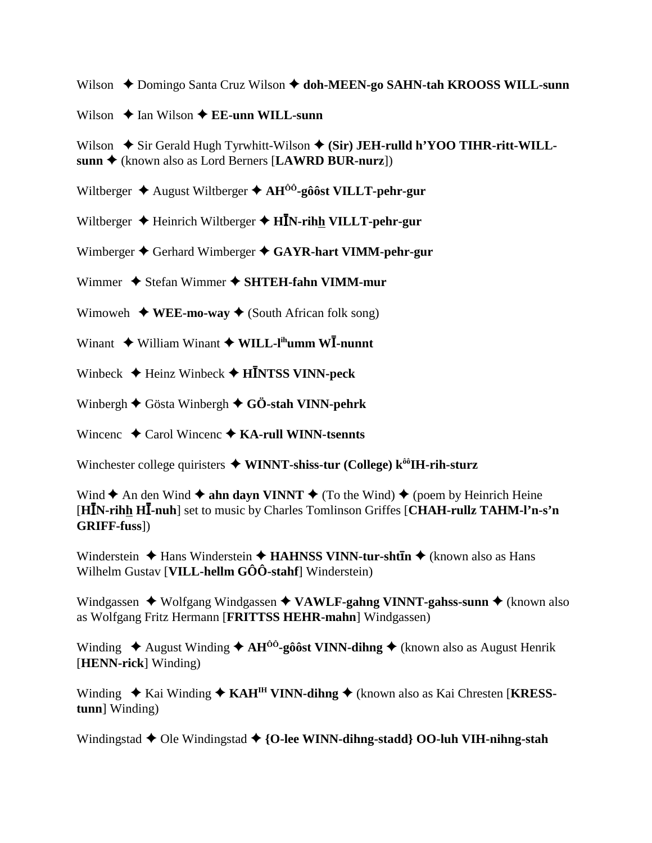Wilson ◆ Domingo Santa Cruz Wilson ◆ doh-MEEN-go SAHN-tah KROOSS WILL-sunn

Wilson  $\triangle$  Ian Wilson  $\triangle$  EE-unn WILL-sunn

Wilson  $\triangle$  Sir Gerald Hugh Tyrwhitt-Wilson  $\triangle$  (Sir) JEH-rulld h'YOO TIHR-ritt-WILLsunn ◆ (known also as Lord Berners [LAWRD BUR-nurz])

Wiltberger  $\triangle$  August Wiltberger  $\triangle$  AH<sup> $\hat{0}$ °-gôôst VILLT-pehr-gur</sup>

Wiltberger  $\triangle$  Heinrich Wiltberger  $\triangle$  HIN-rihh VILLT-pehr-gur

Wimberger  $\triangle$  Gerhard Wimberger  $\triangle$  GAYR-hart VIMM-pehr-gur

Wimmer  $\triangle$  Stefan Wimmer  $\triangle$  SHTEH-fahn VIMM-mur

Wimoweh  $\blacklozenge$  WEE-mo-way  $\blacklozenge$  (South African folk song)

Winant  $\triangleq$  William Winant  $\triangleq$  WILL-l<sup>ih</sup>umm W**I**-nunnt

Winbeck  $\triangleleft$  Heinz Winbeck  $\triangleleft$  HINTSS VINN-peck

Winbergh  $\blacklozenge$  Gösta Winbergh  $\blacklozenge$  GÖ-stah VINN-pehrk

Wincenc  $\triangle$  Carol Wincenc  $\triangle$  KA-rull WINN-tsennts

Winchester college quiristers  $\blacklozenge$  WINNT-shiss-tur (College) k<sup> $\hat{\theta}$ oH-rih-sturz</sup>

Wind  $\triangle$  An den Wind  $\triangle$  ahn dayn VINNT  $\triangle$  (To the Wind)  $\triangle$  (poem by Heinrich Heine [HIN-rihh HI-nuh] set to music by Charles Tomlinson Griffes [CHAH-rullz TAHM-l'n-s'n **GRIFF-fuss**])

Winderstein  $\triangle$  Hans Winderstein  $\triangle$  HAHNSS VINN-tur-shtin  $\triangle$  (known also as Hans Wilhelm Gustav [VILL-hellm GÔÔ-stahf] Winderstein)

Windgassen  $\blacklozenge$  Wolfgang Windgassen  $\blacklozenge$  VAWLF-gahng VINNT-gahss-sunn  $\blacklozenge$  (known also as Wolfgang Fritz Hermann [FRITTSS HEHR-mahn] Windgassen)

Winding  $\triangle$  August Winding  $\triangle$  AH<sup>00</sup>-gôôst VINN-dihng  $\triangle$  (known also as August Henrik [HENN-rick] Winding)

Winding  $\triangle$  Kai Winding  $\triangle$  KAH<sup>IH</sup> VINN-dihng  $\triangle$  (known also as Kai Chresten [KRESStunn] Winding)

Windingstad  $\blacklozenge$  Ole Windingstad  $\blacklozenge$  {O-lee WINN-dihng-stadd} OO-luh VIH-nihng-stah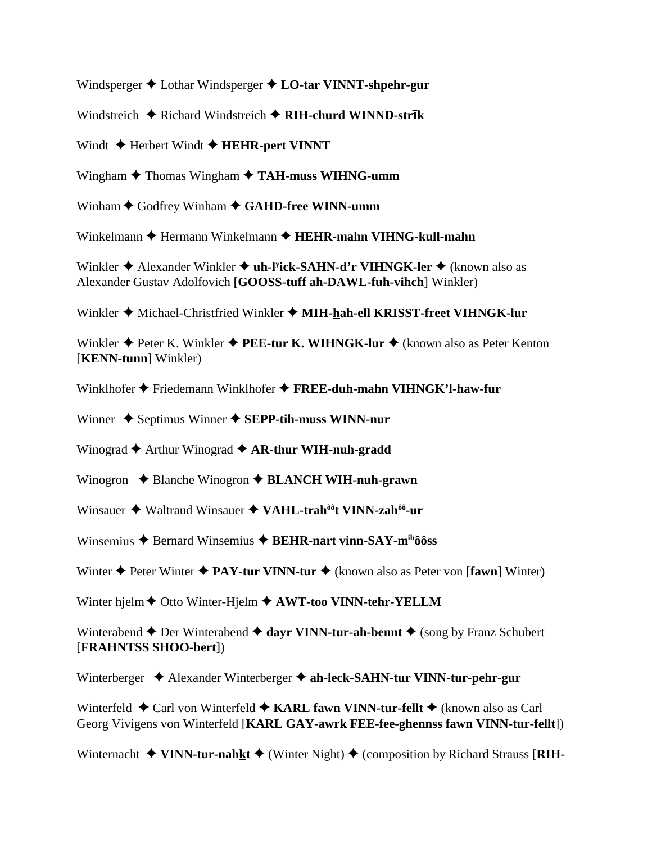Windsperger  $\triangle$  Lothar Windsperger  $\triangle$  LO-tar VINNT-shpehr-gur

Windstreich  $\triangle$  Richard Windstreich  $\triangle$  RIH-churd WINND-strik

Windt  $\triangle$  Herbert Windt  $\triangle$  HEHR-pert VINNT

Wingham  $\triangle$  Thomas Wingham  $\triangle$  TAH-muss WIHNG-umm

Winham  $\blacklozenge$  Godfrey Winham  $\blacklozenge$  GAHD-free WINN-umm

Winkelmann ♦ Hermann Winkelmann ♦ HEHR-mahn VIHNG-kull-mahn

Winkler  $\triangleq$  Alexander Winkler  $\triangleq$  uh-l<sup>y</sup>ick-SAHN-d'r VIHNGK-ler  $\triangleq$  (known also as Alexander Gustav Adolfovich [GOOSS-tuff ah-DAWL-fuh-vihch] Winkler)

Winkler ♦ Michael-Christfried Winkler ♦ MIH-hah-ell KRISST-freet VIHNGK-lur

Winkler  $\triangle$  Peter K. Winkler  $\triangle$  PEE-tur K. WIHNGK-lur  $\triangle$  (known also as Peter Kenton [KENN-tunn] Winkler)

Winklhofer  $\triangleq$  Friedemann Winklhofer  $\triangleq$  FREE-duh-mahn VIHNGK'l-haw-fur

Winner  $\triangle$  Septimus Winner  $\triangle$  SEPP-tih-muss WINN-nur

Winograd  $\blacklozenge$  Arthur Winograd  $\blacklozenge$  AR-thur WIH-nuh-gradd

Winogron  $\triangle$  Blanche Winogron  $\triangle$  BLANCH WIH-nuh-grawn

Winsauer  $\triangleq$  Waltraud Winsauer  $\triangleq$  VAHL-trah<sup> $\delta \hat{\theta}$ </sup>t VINN-zah $\delta \hat{\theta}$ -ur

Winsemius  $\triangle$  Bernard Winsemius  $\triangle$  BEHR-nart vinn-SAY-m<sup>ih</sup>ôôss

Winter  $\triangle$  Peter Winter  $\triangle$  PAY-tur VINN-tur  $\triangle$  (known also as Peter von [fawn] Winter)

Winter hjelm  $\blacklozenge$  Otto Winter-Hjelm  $\blacklozenge$  AWT-too VINN-tehr-YELLM

Winterabend  $\triangle$  Der Winterabend  $\triangle$  dayr VINN-tur-ah-bennt  $\triangle$  (song by Franz Schubert [FRAHNTSS SHOO-bert])

Winterberger  $\triangleleft$  Alexander Winterberger  $\triangleleft$  ah-leck-SAHN-tur VINN-tur-pehr-gur

Winterfeld  $\triangle$  Carl von Winterfeld  $\triangle$  KARL fawn VINN-tur-fellt  $\triangle$  (known also as Carl Georg Vivigens von Winterfeld [KARL GAY-awrk FEE-fee-ghennss fawn VINN-tur-fellt])

Winternacht  $\triangleq$  VINN-tur-nahkt  $\triangleq$  (Winter Night)  $\triangleq$  (composition by Richard Strauss [RIH-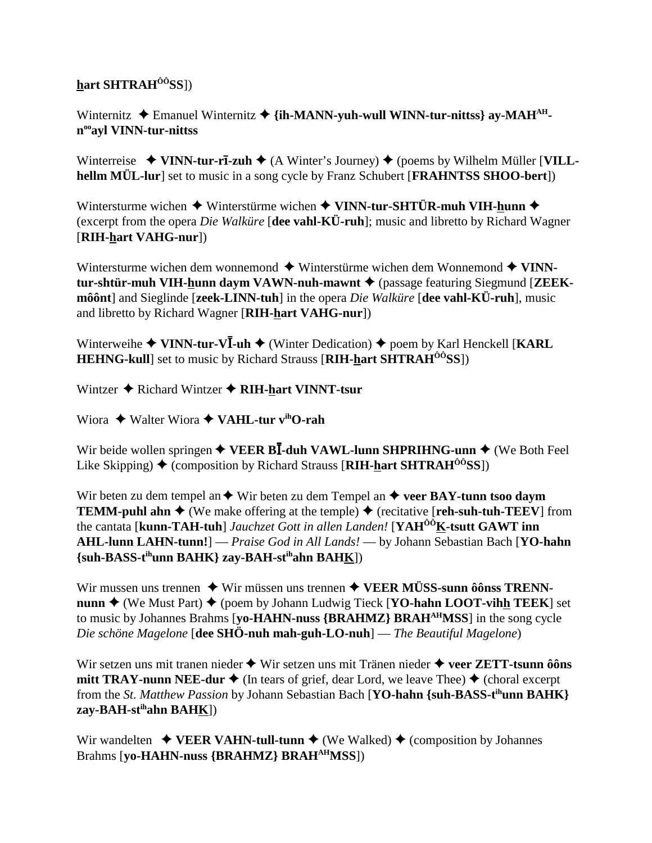## **hart SHTRAHÔÔSS**])

Winternitz  $\triangle$  Emanuel Winternitz  $\triangle$  {ih-MANN-yuh-wull WINN-tur-nittss} av-MAH<sup>AH</sup>**nooayl VINN-tur-nittss**

Winterreise  $\blacklozenge$  VINN-tur-r**ī**-zuh  $\blacklozenge$  (A Winter's Journey)  $\blacklozenge$  (poems by Wilhelm Müller [VILL**hellm MÜL-lur**] set to music in a song cycle by Franz Schubert [**FRAHNTSS SHOO-bert**])

Wintersturme wichen  $\triangleq$  Winterstürme wichen  $\triangleq$  VINN-tur-SHTÜR-muh VIH-hunn  $\triangleq$ (excerpt from the opera *Die Walküre* [**dee vahl-KÜ-ruh**]; music and libretto by Richard Wagner [**RIH-hart VAHG-nur**])

Wintersturme wichen dem wonnemond  $\blacklozenge$  Winterstürme wichen dem Wonnemond  $\blacklozenge$  VINN**tur-shtür-muh VIH-hunn daym VAWN-nuh-mawnt ♦** (passage featuring Siegmund [**ZEEKmôônt**] and Sieglinde [**zeek-LINN-tuh**] in the opera *Die Walküre* [**dee vahl-KÜ-ruh**], music and libretto by Richard Wagner [**RIH-hart VAHG-nur**])

Winterweihe ◆ VINN-tur-VI-uh ◆ (Winter Dedication) ◆ poem by Karl Henckell [KARL **HEHNG-kull**] set to music by Richard Strauss [**RIH-hart SHTRAHÔÔSS**])

Wintzer  $\triangle$  Richard Wintzer  $\triangle$  RIH-hart VINNT-tsur

Wiora  $\triangle$  Walter Wiora  $\triangle$  VAHL-tur v<sup>ih</sup>O-rah

Wir beide wollen springen  $\triangle$  VEER BI-duh VAWL-lunn SHPRIHNG-unn  $\triangle$  (We Both Feel Like Skipping)  $\blacklozenge$  (composition by Richard Strauss [RIH-hart SHTRAH<sup> $\hat{0}$ *O*SS])</sup>

Wir beten zu dem tempel an  $\blacklozenge$  Wir beten zu dem Tempel an  $\blacklozenge$  veer BAY-tunn tsoo daym **TEMM-puhl ahn**  $\triangle$  (We make offering at the temple)  $\triangle$  (recitative [**reh-suh-tuh-TEEV**] from the cantata [**kunn-TAH-tuh**] *Jauchzet Gott in allen Landen!* [**YAHÔÔK-tsutt GAWT inn AHL-lunn LAHN-tunn!**] — *Praise God in All Lands!* — by Johann Sebastian Bach [**YO-hahn {suh-BASS-tihunn BAHK} zay-BAH-stihahn BAHK**])

Wir mussen uns trennen  $\blacklozenge$  Wir müssen uns trennen  $\blacklozenge$  **VEER MÜSS-sunn ôônss TRENNnunn**  $\triangle$  (We Must Part)  $\triangle$  (poem by Johann Ludwig Tieck [**YO-hahn LOOT-vihh TEEK**] set to music by Johannes Brahms [**yo-HAHN-nuss {BRAHMZ} BRAHAHMSS**] in the song cycle *Die schöne Magelone* [**dee SHÖ-nuh mah-guh-LO-nuh**] — *The Beautiful Magelone*)

Wir setzen uns mit tranen nieder  $\triangle$  Wir setzen uns mit Tränen nieder  $\triangle$  veer ZETT-tsunn ôôns **mitt TRAY-nunn NEE-dur**  $\blacklozenge$  (In tears of grief, dear Lord, we leave Thee)  $\blacklozenge$  (choral excerpt from the *St. Matthew Passion* by Johann Sebastian Bach [**YO-hahn {suh-BASS-tihunn BAHK} zay-BAH-stihahn BAHK**])

Wir wandelten  $\triangle$  **VEER VAHN-tull-tunn**  $\triangle$  (We Walked)  $\triangle$  (composition by Johannes Brahms [**yo-HAHN-nuss {BRAHMZ} BRAHAHMSS**])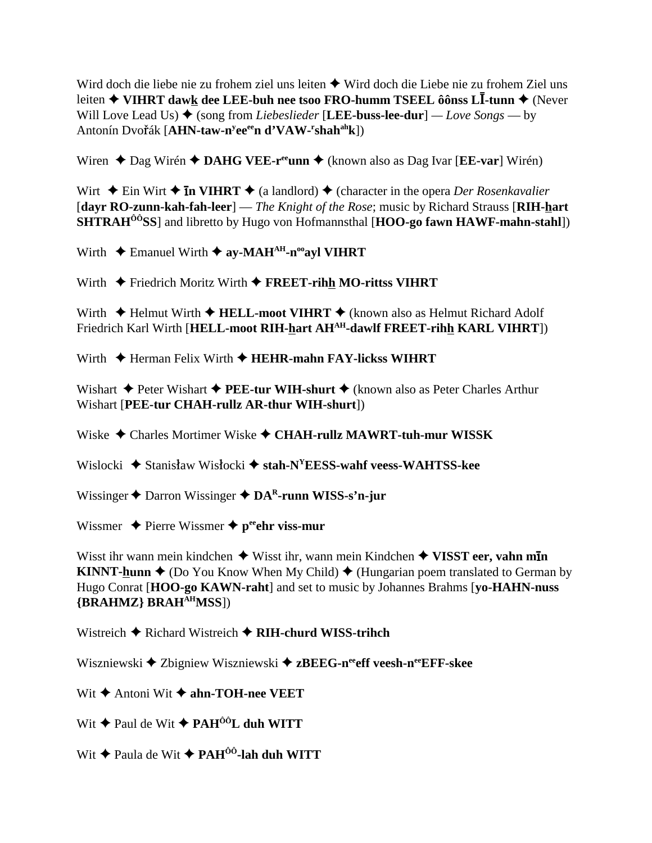Wird doch die liebe nie zu frohem ziel uns leiten ◆ Wird doch die Liebe nie zu frohem Ziel uns leiten ◆ VIHRT dawk dee LEE-buh nee tsoo FRO-humm TSEEL ôônss LI-tunn ◆ (Never Will Love Lead Us)  $\blacklozenge$  (song from *Liebeslieder* [LEE-buss-lee-dur] — Love Songs — by Antonín Dvořák [AHN-taw-n<sup>y</sup>ee<sup>ee</sup>n d'VAW-'shah<sup>ah</sup>k])

Wiren ◆ Dag Wirén ◆ DAHG VEE-r<sup>ee</sup>unn ◆ (known also as Dag Ivar [EE-var] Wirén)

Wirt  $\triangle$  Ein Wirt  $\triangle$  **In VIHRT**  $\triangle$  (a landlord)  $\triangle$  (character in the opera *Der Rosenkavalier* [dayr RO-zunn-kah-fah-leer] — The Knight of the Rose; music by Richard Strauss [RIH-hart] SHTRAH<sup>00</sup>SS] and libretto by Hugo von Hofmannsthal [HOO-go fawn HAWF-mahn-stahl])

Wirth  $\triangle$  Emanuel Wirth  $\triangle$  ay-MAH<sup>AH</sup>-n<sup>oo</sup>ayl VIHRT

Wirth  $\triangle$  Friedrich Moritz Wirth  $\triangle$  FREET-rihh MO-rittss VIHRT

Wirth  $\triangle$  Helmut Wirth  $\triangle$  HELL-moot VIHRT  $\triangle$  (known also as Helmut Richard Adolf Friedrich Karl Wirth [HELL-moot RIH-hart AH<sup>AH</sup>-dawlf FREET-rihh KARL VIHRT])

Wirth  $\triangle$  Herman Felix Wirth  $\triangle$  HEHR-mahn FAY-lickss WIHRT

Wishart  $\triangle$  Peter Wishart  $\triangle$  PEE-tur WIH-shurt  $\triangle$  (known also as Peter Charles Arthur Wishart [PEE-tur CHAH-rullz AR-thur WIH-shurt])

Wiske  $\triangle$  Charles Mortimer Wiske  $\triangle$  CHAH-rullz MAWRT-tuh-mur WISSK

Wislocki  $\triangle$  Stanisław Wisłocki  $\triangle$  stah-N<sup>V</sup>EESS-wahf veess-WAHTSS-kee

Wissinger  $\triangle$  Darron Wissinger  $\triangle$  DA<sup>R</sup>-runn WISS-s'n-jur

Wissmer  $\triangle$  Pierre Wissmer  $\triangle$  p<sup>ee</sup> chr viss-mur

Wisst ihr wann mein kindchen  $\blacklozenge$  Wisst ihr, wann mein Kindchen  $\blacklozenge$  VISST eer, vahn min **KINNT-hunn**  $\triangle$  (Do You Know When My Child)  $\triangle$  (Hungarian poem translated to German by Hugo Conrat [HOO-go KAWN-raht] and set to music by Johannes Brahms [vo-HAHN-nuss] {BRAHMZ} BRAH<sup>AH</sup>MSS])

Wistreich  $\triangle$  Richard Wistreich  $\triangle$  RIH-churd WISS-trihch

Wiszniewski  $\triangle$  Zbigniew Wiszniewski  $\triangle$  zBEEG-n<sup>ee</sup> eff veesh-n<sup>ee</sup>EFF-skee

Wit  $\triangle$  Antoni Wit  $\triangle$  ahn-TOH-nee VEET

Wit ◆ Paul de Wit ◆ PAH<sup>ÔÔ</sup>L duh WITT

Wit  $\triangle$  Paula de Wit  $\triangle$  PAH<sup> $\hat{0}$ 0-lah duh WITT</sup>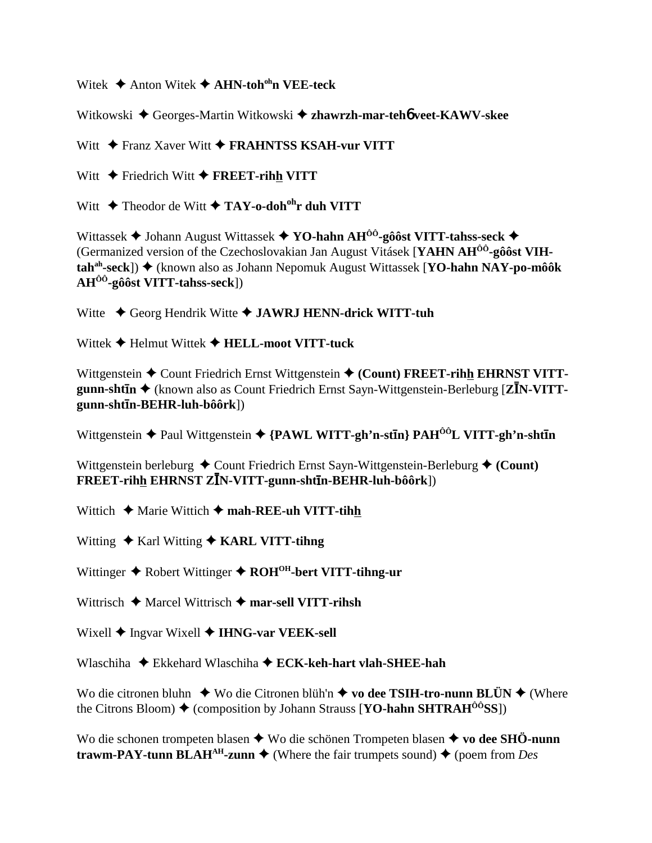Witek Anton Witek **AHN-tohohn VEE-teck**

Witkowski Georges-Martin Witkowski **zhawrzh-mar-teh**6 **veet-KAWV-skee**

Witt  $\rightarrow$  Franz Xaver Witt  $\rightarrow$  **FRAHNTSS KSAH-vur VITT** 

Witt  $\rightarrow$  Friedrich Witt  $\rightarrow$  **FREET-rihh VITT** 

Witt  $\triangle$  Theodor de Witt  $\triangle$  TAY-o-doh<sup>oh</sup>r duh VITT

Wittassek **→** Johann August Wittassek → YO-hahn AH<sup>00</sup>-gôôst VITT-tahss-seck → (Germanized version of the Czechoslovakian Jan August Vitásek [**YAHN AHÔÔ-gôôst VIHtah<sup>ah</sup>-seck**]) ◆ (known also as Johann Nepomuk August Wittassek [**YO-hahn NAY-po-môôk AHÔÔ-gôôst VITT-tahss-seck**])

Witte  $\triangle$  Georg Hendrik Witte  $\triangle$  **JAWRJ HENN-drick WITT-tuh** 

Wittek Helmut Wittek **HELL-moot VITT-tuck**

Wittgenstein  $\triangle$  Count Friedrich Ernst Wittgenstein  $\triangle$  (Count) FREET-rihh EHRNST VITT**gunn-shtīn**  $\triangleleft$  (known also as Count Friedrich Ernst Sayn-Wittgenstein-Berleburg [**ZI**N-VITT**gunn-shtn-BEHR-luh-bôôrk**])

Wittgenstein **→** Paul Wittgenstein ◆ {PAWL WITT-gh'n-st**In**} PAH<sup>ôô</sup>L VITT-gh'n-sht**In** 

Wittgenstein berleburg  $\triangle$  Count Friedrich Ernst Sayn-Wittgenstein-Berleburg  $\triangle$  (Count)  $\overline{\textbf{FREF}}$ -rihh EHRNST ZĪN-VITT-gunn-shtīn-BEHR-luh-bôôrk])

Wittich  $\triangle$  Marie Wittich  $\triangle$  mah-REE-uh VITT-tihh

Witting ◆ Karl Witting ◆ **KARL VITT-tihng** 

Wittinger ◆ Robert Wittinger ◆ ROH<sup>OH</sup>-bert VITT-tihng-ur

Wittrisch **→** Marcel Wittrisch → mar-sell VITT-rihsh

Wixell  $\blacklozenge$  Ingvar Wixell  $\blacklozenge$  **IHNG-var VEEK-sell** 

Wlaschiha **→** Ekkehard Wlaschiha **→ ECK-keh-hart vlah-SHEE-hah** 

Wo die citronen bluhn ◆ Wo die Citronen blüh'n ◆ vo dee TSIH-tro-nunn BLÜN ◆ (Where the Citrons Bloom)  $\triangle$  (composition by Johann Strauss [**YO-hahn SHTRAH<sup>** $0$ **0</sup>SS**])

Wo die schonen trompeten blasen  $\triangle$  Wo die schönen Trompeten blasen  $\triangle$  vo dee SHÖ-nunn **trawm-PAY-tunn BLAH<sup>AH</sup>-zunn**  $\blacklozenge$  (Where the fair trumpets sound)  $\blacklozenge$  (poem from *Des*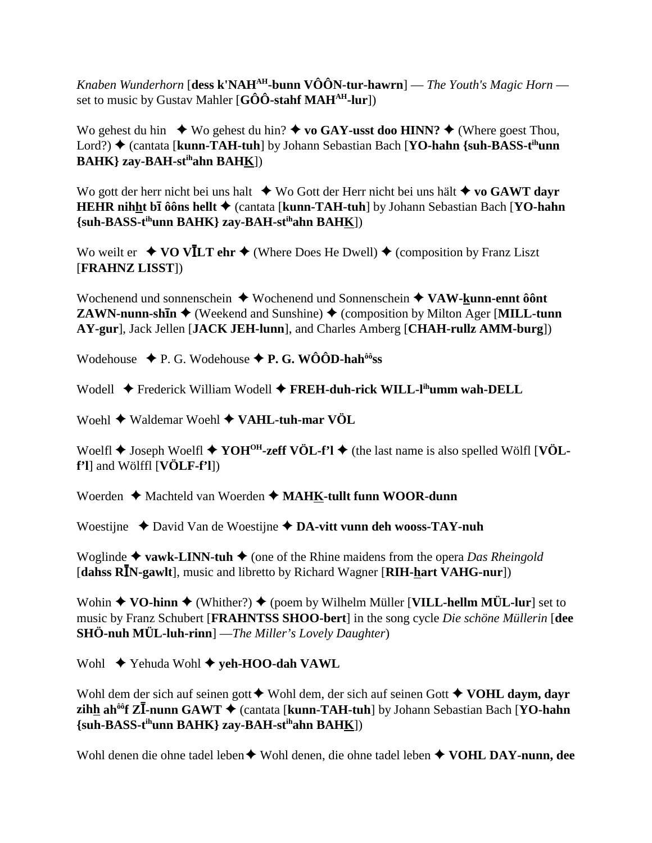Knaben Wunderhorn [dess k'NAH<sup>AH</sup>-bunn VÔÔN-tur-hawrn] — The Youth's Magic Horn set to music by Gustav Mahler  $[G\hat{O}\hat{O}$ -stahf MAH<sup>AH</sup>-lur])

Wo gehest du hin  $\bullet$  Wo gehest du hin?  $\bullet$  vo GAY-usst doo HINN?  $\bullet$  (Where goest Thou, Lord?) ♦ (cantata [kunn-TAH-tuh] by Johann Sebastian Bach [YO-hahn {suh-BASS-t<sup>ih</sup>unn **BAHK**} zay-BAH-st<sup>ih</sup>ahn BAHK])

Wo gott der herr nicht bei uns halt  $\bullet$  Wo Gott der Herr nicht bei uns hält  $\bullet$  vo GAWT dayr HEHR nihht bī ôôns hellt ♦ (cantata [kunn-TAH-tuh] by Johann Sebastian Bach [YO-hahn] {suh-BASS-t<sup>ih</sup>unn BAHK} zay-BAH-st<sup>ih</sup>ahn BAHK])

Wo weilt er  $\triangle$  VO VILT ehr  $\triangle$  (Where Does He Dwell)  $\triangle$  (composition by Franz Liszt [FRAHNZ LISST])

Wochenend und sonnenschein  $\blacklozenge$  Wochenend und Sonnenschein  $\blacklozenge$  VAW-kunn-ennt ôônt **ZAWN-nunn-shin**  $\blacklozenge$  (Weekend and Sunshine)  $\blacklozenge$  (composition by Milton Ager [MILL-tunn AY-gur], Jack Jellen [JACK JEH-lunn], and Charles Amberg [CHAH-rullz AMM-burg])

Wodehouse  $\blacklozenge$  P. G. Wodehouse  $\blacklozenge$  P. G. WÔÔD-hah<sup>ôô</sup>ss

Wodell ◆ Frederick William Wodell ◆ FREH-duh-rick WILL-l<sup>ih</sup>umm wah-DELL

Woehl  $\blacklozenge$  Waldemar Woehl  $\blacklozenge$  VAHL-tuh-mar VÖL

Woelfl  $\blacklozenge$  Joseph Woelfl  $\blacklozenge$  YOH<sup>OH</sup>-zeff VÖL-f'l  $\blacklozenge$  (the last name is also spelled Wölfl [VÖL $f'$ l] and Wölffl  $[VÖLF-f'$ l])

Woerden  $\triangle$  Machteld van Woerden  $\triangle$  MAHK-tullt funn WOOR-dunn

Woestijne  $\triangle$  David Van de Woestijne  $\triangle$  DA-vitt vunn deh wooss-TAY-nuh

Woglinde  $\triangle$  vawk-LINN-tuh  $\triangle$  (one of the Rhine maidens from the opera *Das Rheingold* [dahss RIN-gawlt], music and libretto by Richard Wagner [RIH-hart VAHG-nur])

Wohin  $\blacklozenge$  VO-hinn  $\blacklozenge$  (Whither?)  $\blacklozenge$  (poem by Wilhelm Müller [VILL-hellm MÜL-lur] set to music by Franz Schubert [FRAHNTSS SHOO-bert] in the song cycle Die schöne Müllerin [dee **SHÖ-nuh MÜL-luh-rinn**] — The Miller's Lovely Daughter)

Wohl  $\blacklozenge$  Yehuda Wohl  $\blacklozenge$  yeh-HOO-dah VAWL

Wohl dem der sich auf seinen gott  $\blacklozenge$  Wohl dem, der sich auf seinen Gott  $\blacklozenge$  VOHL daym, dayr zihh ah<sup> $\delta \hat{\theta}$ </sup>f Z $\overline{I}$ -nunn GAWT  $\blacklozenge$  (cantata [kunn-TAH-tuh] by Johann Sebastian Bach [YO-hahn {suh-BASS-t<sup>ih</sup>unn BAHK} zay-BAH-st<sup>ih</sup>ahn BAH<u>K</u>])

Wohl denen die ohne tadel leben  $\blacklozenge$  Wohl denen, die ohne tadel leben  $\blacklozenge$  VOHL DAY-nunn. dee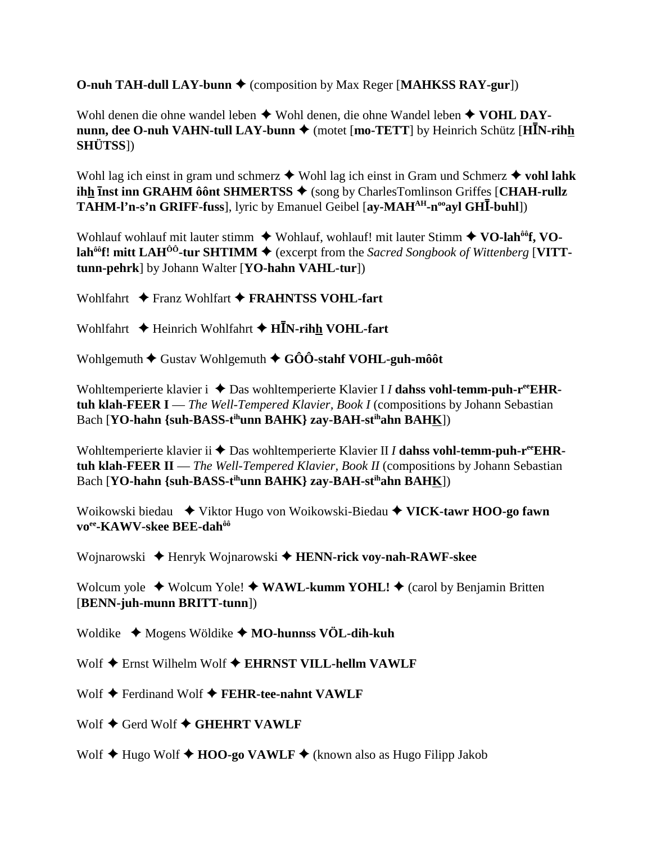**O-nuh TAH-dull LAY-bunn ♦** (composition by Max Reger [MAHKSS RAY-gur])

Wohl denen die ohne wandel leben  $\triangle$  Wohl denen, die ohne Wandel leben  $\triangle$  VOHL DAY**nunn, dee O-nuh VAHN-tull LAY-bunn**  $\blacklozenge$  **(motet [mo-TETT] by Heinrich Schütz [HIN-rihh SHÜTSS**])

Wohl lag ich einst in gram und schmerz  $\triangle$  Wohl lag ich einst in Gram und Schmerz  $\triangle$  vohl lahk **ihh inst inn GRAHM ôônt SHMERTSS ♦** (song by CharlesTomlinson Griffes [CHAH-rullz] **TAHM-l'n-s'n GRIFF-fuss**], lyric by Emanuel Geibel [ay-MAH<sup>AH</sup>-n<sup>oo</sup>ayl GHI-buhl])

Wohlauf wohlauf mit lauter stimm  $\blacklozenge$  Wohlauf, wohlauf! mit lauter Stimm  $\blacklozenge$  VO-lah<sup>ôô</sup>f, VO**lah<sup>ôô</sup>f! mitt LAH<sup>ÔÔ</sup>-tur SHTIMM**  $\blacklozenge$  (excerpt from the *Sacred Songbook of Wittenberg* [VITT**tunn-pehrk**] by Johann Walter [**YO-hahn VAHL-tur**])

Wohlfahrt  $\rightarrow$  Franz Wohlfart  $\rightarrow$  **FRAHNTSS VOHL-fart** 

Wohlfahrt  $\triangle$  Heinrich Wohlfahrt  $\triangle$  HIN-rihh VOHL-fart

Wohlgemuth  $\blacklozenge$  Gustav Wohlgemuth  $\blacklozenge$  GÔÔ-stahf VOHL-guh-môôt

Wohltemperierte klavier i  $\triangle$  Das wohltemperierte Klavier I *I* dahss vohl-temm-puh-r<sup>ee</sup>EHR**tuh klah-FEER I** — *The Well-Tempered Klavier, Book I* (compositions by Johann Sebastian Bach [**YO-hahn** {suh-BASS-t<sup>ih</sup>unn BAHK} zay-BAH-st<sup>ih</sup>ahn BAHK])

Wohltemperierte klavier ii  $\triangle$  Das wohltemperierte Klavier II *I* dahss vohl-temm-puh-r<sup>ee</sup>EHR**tuh klah-FEER II** — *The Well-Tempered Klavier, Book II* (compositions by Johann Sebastian Bach [**YO-hahn** {suh-BASS-t<sup>ih</sup>unn BAHK} zay-BAH-st<sup>ih</sup>ahn BAHK])

Woikowski biedau  $\blacklozenge$  Viktor Hugo von Woikowski-Biedau  $\blacklozenge$  VICK-tawr HOO-go fawn **voee-KAWV-skee BEE-dahôô**

Wojnarowski  $\triangle$  Henryk Wojnarowski  $\triangle$  **HENN-rick voy-nah-RAWF-skee** 

Wolcum yole  $\triangle$  Wolcum Yole!  $\triangle$  WAWL-kumm YOHL!  $\triangle$  (carol by Benjamin Britten [**BENN-juh-munn BRITT-tunn**])

Woldike  $\triangleleft$  Mogens Wöldike  $\triangleleft$  MO-hunnss VÖL-dih-kuh

Wolf  $\triangle$  Ernst Wilhelm Wolf  $\triangle$  EHRNST VILL-hellm VAWLF

Wolf  $\blacklozenge$  Ferdinand Wolf  $\blacklozenge$  FEHR-tee-nahnt VAWLF

Wolf  $\triangle$  Gerd Wolf  $\triangle$  GHEHRT VAWLF

Wolf  $\triangle$  Hugo Wolf  $\triangle$  **HOO-go VAWLF**  $\triangle$  (known also as Hugo Filipp Jakob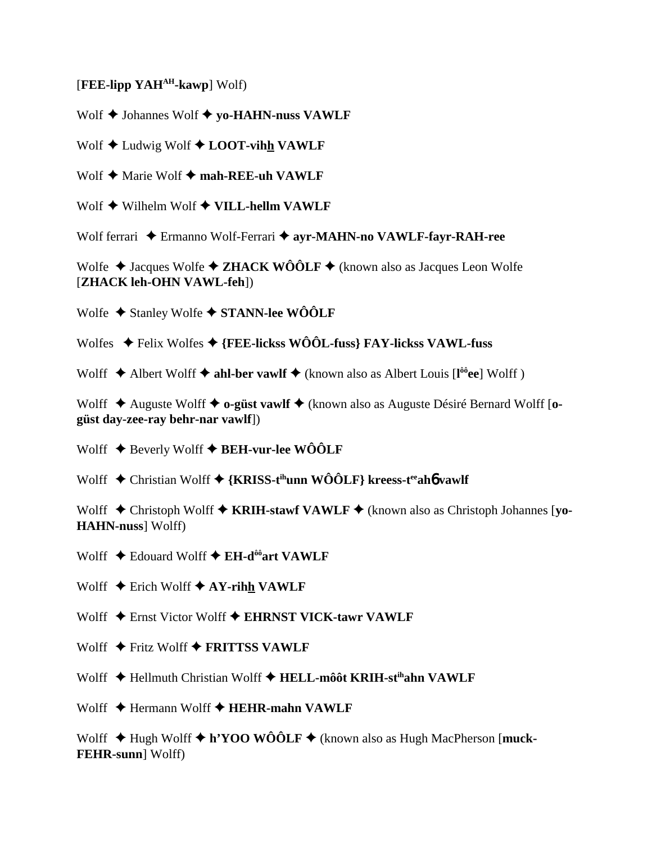## [FEE-lipp YAH<sup>AH</sup>-kawp] Wolf)

Wolf  $\triangle$  Johannes Wolf  $\triangle$  yo-HAHN-nuss VAWLF

Wolf  $\triangle$  Ludwig Wolf  $\triangle$  LOOT-vihh VAWLF

Wolf  $\blacklozenge$  Marie Wolf  $\blacklozenge$  mah-REE-uh VAWLF

Wolf  $\blacklozenge$  Wilhelm Wolf  $\blacklozenge$  VILL-hellm VAWLF

Wolf ferrari ◆ Ermanno Wolf-Ferrari ◆ ayr-MAHN-no VAWLF-fayr-RAH-ree

Wolfe  $\triangle$  Jacques Wolfe  $\triangle$  ZHACK WÔÔLF  $\triangle$  (known also as Jacques Leon Wolfe [ZHACK leh-OHN VAWL-feh])

Wolfe  $\triangle$  Stanley Wolfe  $\triangle$  STANN-lee WÔÔLF

Wolfes  $\triangleleft$  Felix Wolfes  $\triangleleft$  {FEE-lickss WOOL-fuss} FAY-lickss VAWL-fuss

Wolff  $\triangle$  Albert Wolff  $\triangle$  ahl-ber vawlf  $\triangle$  (known also as Albert Louis [l<sup>oo</sup>ee] Wolff)

Wolff  $\triangle$  Auguste Wolff  $\triangle$  o-güst vawlf  $\triangle$  (known also as Auguste Désiré Bernard Wolff [ogüst day-zee-ray behr-nar vawlf])

Wolff  $\triangle$  Beverly Wolff  $\triangle$  BEH-vur-lee WÔÔLF

Wolff  $\triangle$  Christian Wolff  $\triangle$  {KRISS-t<sup>ih</sup>unn WOOLF} kreess-t<sup>ee</sup> aho vawlf

Wolff  $\triangle$  Christoph Wolff  $\triangle$  KRIH-stawf VAWLF  $\triangle$  (known also as Christoph Johannes [yo-**HAHN-nuss** Wolff)

Wolff  $\triangle$  Edouard Wolff  $\triangle$  EH-d<sup>ôô</sup>art VAWLF

Wolff  $\triangle$  Erich Wolff  $\triangle$  AY-rihh VAWLF

Wolff  $\triangle$  Ernst Victor Wolff  $\triangle$  EHRNST VICK-tawr VAWLF

Wolff  $\triangle$  Fritz Wolff  $\triangle$  FRITTSS VAWLF

Wolff  $\triangleq$  Hellmuth Christian Wolff  $\triangleq$  HELL-môôt KRIH-st<sup>ih</sup>ahn VAWLF

Wolff  $\triangle$  Hermann Wolff  $\triangle$  HEHR-mahn VAWLF

Wolff  $\triangle$  Hugh Wolff  $\triangle$  h'YOO WÔÔLF  $\triangle$  (known also as Hugh MacPherson [muck-**FEHR-sunn** Wolff)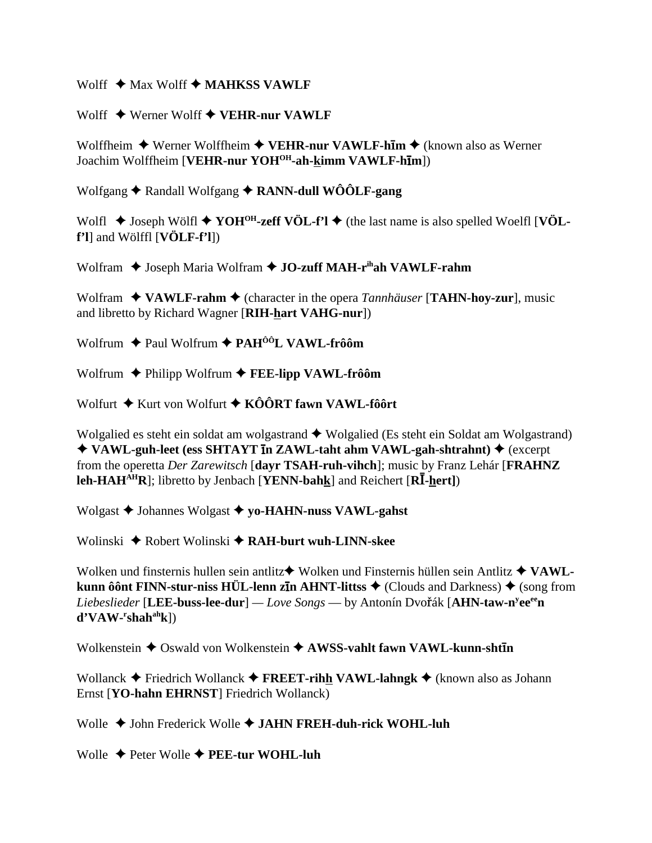Wolff  $\triangleq$  Max Wolff  $\triangleq$  MAHKSS VAWLF

Wolff  $\triangle$  Werner Wolff  $\triangle$  VEHR-nur VAWLF

Wolffheim  $\blacklozenge$  Werner Wolffheim  $\blacklozenge$  VEHR-nur VAWLF-him  $\blacklozenge$  (known also as Werner Joachim Wolffheim [VEHR-nur YOH<sup>OH</sup>-ah-kimm VAWLF-hIm])

Wolfgang  $\triangle$  Randall Wolfgang  $\triangle$  RANN-dull WOOLF-gang

Wolfl  $\triangle$  Joseph Wölfl  $\triangle$  YOH<sup>OH</sup>-zeff VÖL-f'l  $\triangle$  (the last name is also spelled Woelfl [VÖL $f'$ l] and Wölffl  $[VÖLF-f'$ l])

Wolfram ♦ Joseph Maria Wolfram ♦ JO-zuff MAH-r<sup>ih</sup>ah VAWLF-rahm

Wolfram  $\triangleleft$  VAWLF-rahm  $\triangleleft$  (character in the opera *Tannhäuser* [TAHN-hoy-zur], music and libretto by Richard Wagner [RIH-hart VAHG-nur])

Wolfrum  $\triangle$  Paul Wolfrum  $\triangle$  PAH<sup>ôô</sup>L VAWL-frôôm

Wolfrum  $\blacklozenge$  Philipp Wolfrum  $\blacklozenge$  FEE-lipp VAWL-frôôm

Wolfurt  $\triangle$  Kurt von Wolfurt  $\triangle$  KÔÔRT fawn VAWL-fôôrt

Wolgalied es steht ein soldat am wolgastrand  $\triangle$  Wolgalied (Es steht ein Soldat am Wolgastrand) ◆ VAWL-guh-leet (ess SHTAYT in ZAWL-taht ahm VAWL-gah-shtrahnt) ◆ (excerpt from the operetta Der Zarewitsch [dayr TSAH-ruh-vihch]; music by Franz Lehár [FRAHNZ] **leh-HAH<sup>AH</sup>R**]; libretto by Jenbach [YENN-bahk] and Reichert [R $\overline{I}$ -hert])

Wolgast  $\blacklozenge$  Johannes Wolgast  $\blacklozenge$  yo-HAHN-nuss VAWL-gahst

Wolinski  $\triangle$  Robert Wolinski  $\triangle$  RAH-burt wuh-LINN-skee

Wolken und finsternis hullen sein antlitz $\blacklozenge$  Wolken und Finsternis hüllen sein Antlitz  $\blacklozenge$  VAWLkunn ôônt FINN-stur-niss HÜL-lenn zin AHNT-littss  $\triangle$  (Clouds and Darkness)  $\triangle$  (song from Liebeslieder [LEE-buss-lee-dur] — Love Songs — by Antonín Dvořák [AHN-taw-n<sup>y</sup>ee<sup>ee</sup>n  $d'VAW-rshah<sup>ah</sup>k$ ])

Wolkenstein  $\triangleq$  Oswald von Wolkenstein  $\triangleq$  AWSS-vahlt fawn VAWL-kunn-sht $\bar{\mathbf{u}}$ 

Wollanck  $\triangle$  Friedrich Wollanck  $\triangle$  FREET-rihh VAWL-lahngk  $\triangle$  (known also as Johann Ernst [YO-hahn EHRNST] Friedrich Wollanck)

Wolle  $\triangle$  John Frederick Wolle  $\triangle$  JAHN FREH-duh-rick WOHL-luh

Wolle  $\triangle$  Peter Wolle  $\triangle$  PEE-tur WOHL-luh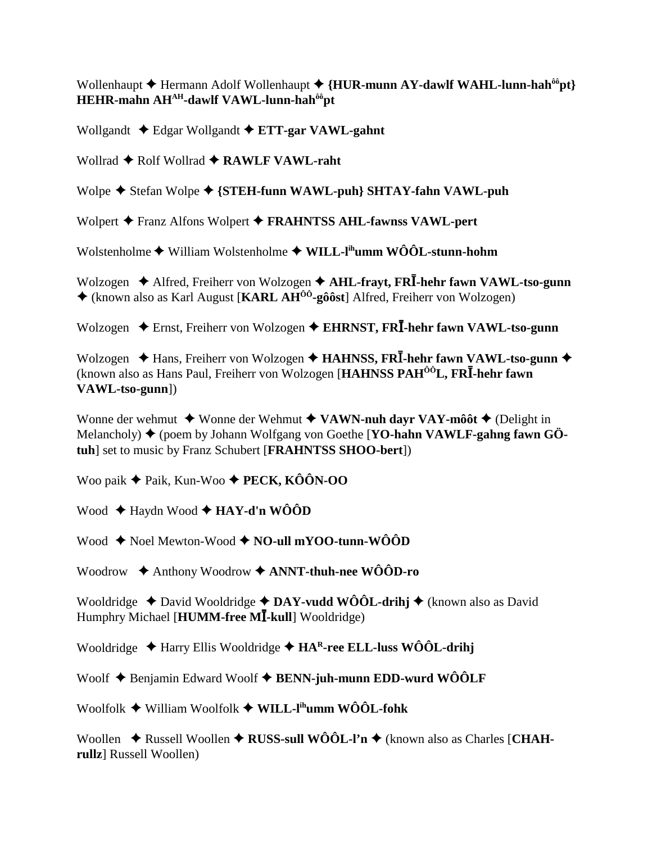Wollenhaupt  $\triangle$  Hermann Adolf Wollenhaupt  $\triangle$  {HUR-munn AY-dawlf WAHL-lunn-hah<sup> $\delta \hat{\theta}$ </sup>pt} HEHR-mahn AHAH-dawlf VAWL-lunn-hah<sup>ôô</sup>pt

Wollgandt  $\triangleleft$  Edgar Wollgandt  $\triangleleft$  ETT-gar VAWL-gahnt

Wollrad  $\triangle$  Rolf Wollrad  $\triangle$  RAWLF VAWL-raht

Wolpe  $\blacklozenge$  Stefan Wolpe  $\blacklozenge$  {STEH-funn WAWL-puh} SHTAY-fahn VAWL-puh

Wolpert + Franz Alfons Wolpert + FRAHNTSS AHL-fawnss VAWL-pert

Wolstenholme  $\blacklozenge$  William Wolstenholme  $\blacklozenge$  WILL-l<sup>ih</sup>umm WÔÔL-stunn-hohm

Wolzogen  $\triangle$  Alfred, Freiherr von Wolzogen  $\triangle$  AHL-frayt, FRI-hehr fawn VAWL-tso-gunn  $\triangle$  (known also as Karl August [KARL AH<sup> $\hat{0}$ o<sup>2</sup>-gôôst] Alfred, Freiherr von Wolzogen)</sup>

Wolzogen  $\triangle$  Ernst, Freiherr von Wolzogen  $\triangle$  EHRNST, FRI-hehr fawn VAWL-tso-gunn

Wolzogen  $\triangleleft$  Hans, Freiherr von Wolzogen  $\triangleleft$  HAHNSS, FRI-hehr fawn VAWL-tso-gunn  $\triangleleft$ (known also as Hans Paul, Freiherr von Wolzogen [HAHNSS PAH<sup>00</sup>L, FRI-hehr fawn VAWL-tso-gunn])

Wonne der wehmut  $\blacklozenge$  Wonne der Wehmut  $\blacklozenge$  VAWN-nuh dayr VAY-môôt  $\blacklozenge$  (Delight in Melancholy)  $\blacklozenge$  (poem by Johann Wolfgang von Goethe [YO-hahn VAWLF-gahng fawn GÖtuh] set to music by Franz Schubert [FRAHNTSS SHOO-bert])

Woo paik  $\triangle$  Paik, Kun-Woo  $\triangle$  PECK, KÔÔN-OO

Wood  $\triangle$  Haydn Wood  $\triangle$  HAY-d'n WÔÔD

Wood  $\triangle$  Noel Mewton-Wood  $\triangle$  NO-ull mYOO-tunn-WOOD

Woodrow  $\triangle$  Anthony Woodrow  $\triangle$  ANNT-thuh-nee WÔÔD-ro

Wooldridge  $\triangle$  David Wooldridge  $\triangle$  DAY-vudd WÔÔL-drihj  $\triangle$  (known also as David Humphry Michael [HUMM-free MI-kull] Wooldridge)

Wooldridge  $\triangle$  Harry Ellis Wooldridge  $\triangle$  HA<sup>R</sup>-ree ELL-luss WÔÔL-drihj

Woolf  $\blacklozenge$  Benjamin Edward Woolf  $\blacklozenge$  BENN-juh-munn EDD-wurd WÔÔLF

Woolfolk ◆ William Woolfolk ◆ WILL-I<sup>ih</sup>umm WÔÔL-fohk

Woollen  $\triangle$  Russell Woollen  $\triangle$  RUSS-sull WOOL-I'n  $\triangle$  (known also as Charles [CHAHrullz] Russell Woollen)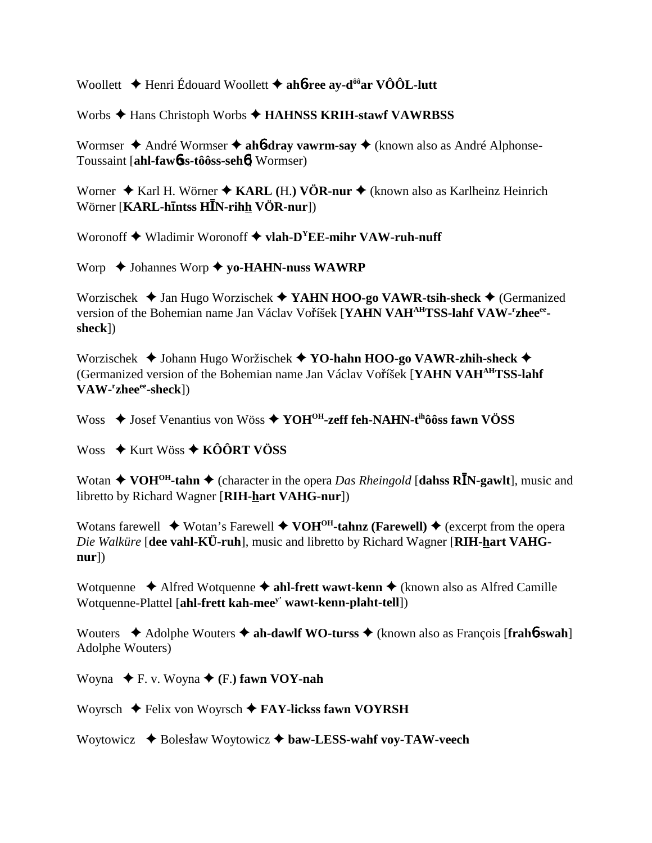Woollett ♦ Henri Édouard Woollett ♦ ahô-ree ay-d<sup>ôô</sup> ar VÔÔL-lutt

Worbs  $\triangle$  Hans Christoph Worbs  $\triangle$  HAHNSS KRIH-stawf VAWRBSS

Wormser  $\triangle$  André Wormser  $\triangle$  ahb-dray vawrm-say  $\triangle$  (known also as André Alphonse-Toussaint [ahl-fawbss-tôôss-sehb] Wormser)

Worner  $\triangle$  Karl H. Wörner  $\triangle$  KARL (H.) VÖR-nur  $\triangle$  (known also as Karlheinz Heinrich Wörner [KARL-hintss HIN-rihh VÖR-nur])

Woronoff  $\blacklozenge$  Wladimir Woronoff  $\blacklozenge$  vlah-D<sup>Y</sup>EE-mihr VAW-ruh-nuff

Worp  $\triangle$  Johannes Worp  $\triangle$  yo-HAHN-nuss WAWRP

Worzischek  $\triangleleft$  Jan Hugo Worzischek  $\triangleleft$  YAHN HOO-go VAWR-tsih-sheck  $\triangleleft$  (Germanized version of the Bohemian name Jan Václav Voříšek [YAHN VAHAHTSS-lahf VAW-'zhee<sup>ee</sup>sheck])

Worzischek ◆ Johann Hugo Woržischek ◆ YO-hahn HOO-go VAWR-zhih-sheck ◆ (Germanized version of the Bohemian name Jan Václav Voříšek [YAHN VAHAHTSS-lahf]  $VAW$ - $r$ zhee $e$ e-sheck $l$ )

Woss  $\triangle$  Josef Venantius von Wöss  $\triangle$  YOH<sup>OH</sup>-zeff feh-NAHN-t<sup>ih</sup>ôôss fawn VÖSS

Woss  $\div$  Kurt Wöss  $\div$  KÔÔRT VÖSS

Wotan  $\triangle$  VOH<sup>OH</sup>-tahn  $\triangle$  (character in the opera *Das Rheingold* [dahss RIN-gawlt], music and libretto by Richard Wagner [RIH-hart VAHG-nur])

Wotans farewell  $\blacklozenge$  Wotan's Farewell  $\blacklozenge$  VOH<sup>OH</sup>-tahnz (Farewell)  $\blacklozenge$  (excerpt from the opera Die Walküre [dee vahl-KÜ-ruh], music and libretto by Richard Wagner [RIH-hart VAHG $nur$ )

Wotquenne  $\triangle$  Alfred Wotquenne  $\triangle$  ahl-frett wawt-kenn  $\triangle$  (known also as Alfred Camille Wotquenne-Plattel [ahl-frett kah-mee<sup>y'</sup> wawt-kenn-plaht-tell])

Wouters  $\triangle$  Adolphe Wouters  $\triangle$  ah-dawlf WO-turss  $\triangle$  (known also as Francois [frah6-swah] Adolphe Wouters)

Woyna  $\blacklozenge$  F. v. Woyna  $\blacklozenge$  (F.) fawn VOY-nah

Woyrsch  $\blacklozenge$  Felix von Woyrsch  $\blacklozenge$  FAY-lickss fawn VOYRSH

Woytowicz  $\triangleleft$  Bolesław Woytowicz  $\triangleleft$  baw-LESS-wahf voy-TAW-veech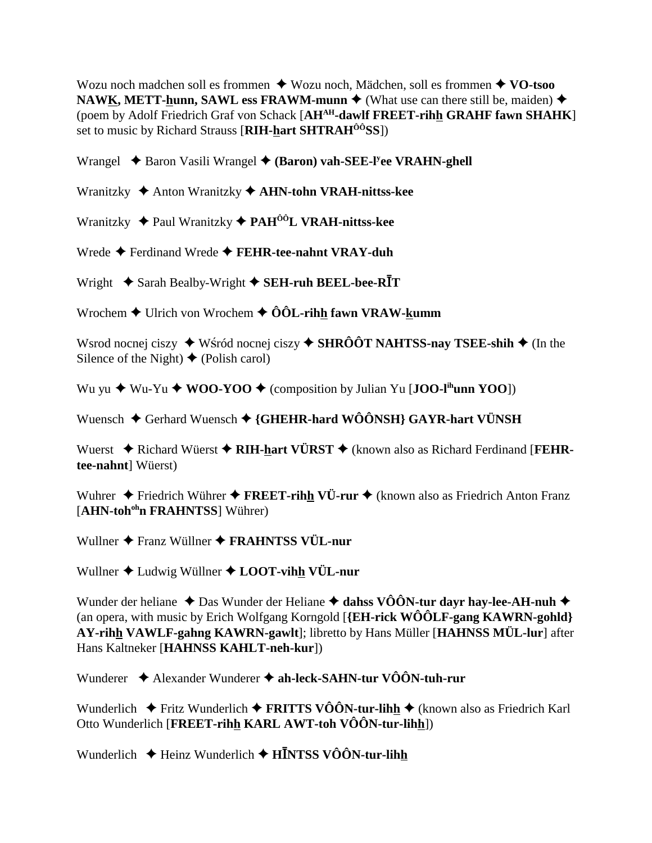Wozu noch madchen soll es frommen  $\triangle$  Wozu noch, Mädchen, soll es frommen  $\triangle$  VO-tsoo NAWK, METT-hunn, SAWL ess FRAWM-munn  $\blacklozenge$  (What use can there still be, maiden)  $\blacklozenge$ (poem by Adolf Friedrich Graf von Schack [AH<sup>AH</sup>-dawlf FREET-rihh GRAHF fawn SHAHK] set to music by Richard Strauss [RIH-hart SHTRAH<sup>00</sup>SS])

Wrangel  $\triangle$  Baron Vasili Wrangel  $\triangle$  (Baron) vah-SEE-I'ee VRAHN-ghell

Wranitzky  $\triangle$  Anton Wranitzky  $\triangle$  AHN-tohn VRAH-nittss-kee

Wranitzky  $\triangle$  Paul Wranitzky  $\triangle$  PAH<sup> $\hat{o}$ ôL VRAH-nittss-kee</sup>

Wrede  $\blacklozenge$  Ferdinand Wrede  $\blacklozenge$  FEHR-tee-nahnt VRAY-duh

Wright  $\triangle$  Sarah Bealby-Wright  $\triangle$  SEH-ruh BEEL-bee-RIT

Wrochem  $\triangle$  Ulrich von Wrochem  $\triangle$  ÔÔL-rihh fawn VRAW-kumm

Wsrod nocnej ciszy  $\blacklozenge$  Wśród nocnej ciszy  $\blacklozenge$  SHRÔÔT NAHTSS-nay TSEE-shih  $\blacklozenge$  (In the Silence of the Night)  $\blacklozenge$  (Polish carol)

Wu yu  $\triangleq$  Wu-Yu  $\triangleq$  WOO-YOO  $\triangleq$  (composition by Julian Yu [JOO-l<sup>ih</sup>unn YOO])

Wuensch ◆ Gerhard Wuensch ◆ {GHEHR-hard WÔÔNSH} GAYR-hart VÜNSH

Wuerst  $\triangle$  Richard Wüerst  $\triangle$  RIH-hart VÜRST  $\triangle$  (known also as Richard Ferdinand [FEHRtee-nahnt] Wüerst)

Wuhrer  $\triangle$  Friedrich Wührer  $\triangle$  FREET-rihh VÜ-rur  $\triangle$  (known also as Friedrich Anton Franz [AHN-toh<sup>oh</sup>n FRAHNTSS] Wührer)

Wullner ◆ Franz Wüllner ◆ FRAHNTSS VÜL-nur

Wullner  $\triangle$  Ludwig Wüllner  $\triangle$  LOOT-vihh VÜL-nur

Wunder der heliane  $\triangle$  Das Wunder der Heliane  $\triangle$  dahss VÔÔN-tur dayr hay-lee-AH-nuh  $\triangle$ (an opera, with music by Erich Wolfgang Korngold [ ${EH$ -rick WÔÔLF-gang KAWRN-gohld] AY-rihh VAWLF-gahng KAWRN-gawlt]; libretto by Hans Müller [HAHNSS MÜL-lur] after Hans Kaltneker [HAHNSS KAHLT-neh-kur])

Wunderer ◆ Alexander Wunderer ◆ ah-leck-SAHN-tur VÔÔN-tuh-rur

Wunderlich  $\blacklozenge$  Fritz Wunderlich  $\blacklozenge$  FRITTS VÔÔN-tur-lihh  $\blacklozenge$  (known also as Friedrich Karl Otto Wunderlich [FREET-rihh KARL AWT-toh  $\widehat{VOON}$ -tur-lihh])

Wunderlich  $\triangleq$  Heinz Wunderlich  $\triangleq$  HINTSS VÔÔN-tur-lihh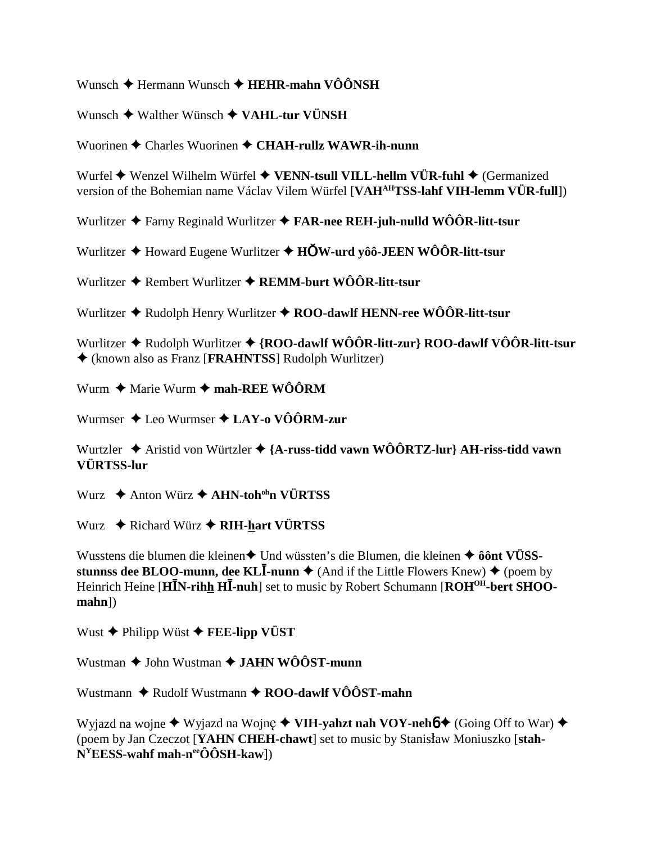Wunsch  $\triangleq$  Hermann Wunsch  $\triangleq$  HEHR-mahn VÔÔNSH

Wunsch  $\triangle$  Walther Wünsch  $\triangle$  VAHL-tur VÜNSH

Wuorinen  $\triangle$  Charles Wuorinen  $\triangle$  CHAH-rullz WAWR-ih-nunn

Wurfel  $\blacklozenge$  Wenzel Wilhelm Würfel  $\blacklozenge$  VENN-tsull VILL-hellm VÜR-fuhl  $\blacklozenge$  (Germanized version of the Bohemian name Václav Vilem Würfel [VAHAHTSS-lahf VIH-lemm VÜR-full])

Wurlitzer  $\triangle$  Farny Reginald Wurlitzer  $\triangle$  FAR-nee REH-juh-nulld WOOR-litt-tsur

Wurlitzer  $\triangle$  Howard Eugene Wurlitzer  $\triangle$  HOW-urd yôô-JEEN WÔÔR-litt-tsur

Wurlitzer  $\triangle$  Rembert Wurlitzer  $\triangle$  REMM-burt WÔÔR-litt-tsur

Wurlitzer  $\triangle$  Rudolph Henry Wurlitzer  $\triangle$  ROO-dawlf HENN-ree WÔÔR-litt-tsur

Wurlitzer  $\triangle$  Rudolph Wurlitzer  $\triangle$  {ROO-dawlf WÔÔR-litt-zur} ROO-dawlf VÔÔR-litt-tsur ♦ (known also as Franz [FRAHNTSS] Rudolph Wurlitzer)

Wurm  $\triangleq$  Marie Wurm  $\triangleq$  mah-REE WÔÔRM

Wurmser  $\triangle$  Leo Wurmser  $\triangle$  LAY-o VÔÔRM-zur

Wurtzler  $\triangleq$  Aristid von Würtzler  $\triangleq$  {A-russ-tidd vawn WÔÔRTZ-lur} AH-riss-tidd vawn VÜRTSS-lur

Wurz  $\triangle$  Anton Würz  $\triangle$  AHN-toh<sup>oh</sup>n VÜRTSS

Wurz  $\triangle$  Richard Würz  $\triangle$  RIH-hart VÜRTSS

Wusstens die blumen die kleinen◆ Und wüssten's die Blumen, die kleinen ◆ ôônt VÜSSstunnss dee BLOO-munn, dee KLI-nunn  $\triangle$  (And if the Little Flowers Knew)  $\triangle$  (poem by Heinrich Heine [HIN-rihh HI-nuh] set to music by Robert Schumann [ROH<sup>OH</sup>-bert SHOO- $$ 

Wust  $\blacklozenge$  Philipp Wüst  $\blacklozenge$  FEE-lipp VÜST

Wustman  $\triangle$  John Wustman  $\triangle$  JAHN WÔÔST-munn

Wustmann  $\triangle$  Rudolf Wustmann  $\triangle$  ROO-dawlf VÔÔST-mahn

Wyjazd na wojne  $\blacklozenge$  Wyjazd na Wojne  $\blacklozenge$  VIH-yahzt nah VOY-neh $\blacklozenge$  (Going Off to War)  $\blacklozenge$ (poem by Jan Czeczot [YAHN CHEH-chawt] set to music by Stanisław Moniuszko [stah- $N<sup>Y</sup>EESS$ -wahf mah-n<sup>ee</sup>ÔÔSH-kaw])